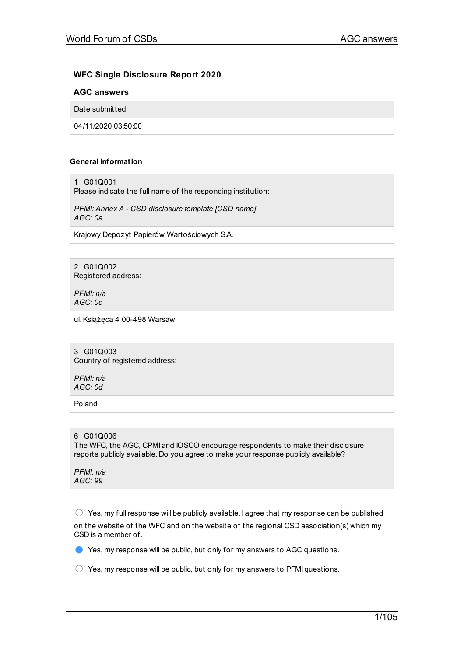## **WFC Single Disclosure Report 2020**

## **AGC answers**

Date submitted

04/11/2020 03:50:00

## **General information**

1 G01Q001

Please indicate the full name of the responding institution:

*PFMI: Annex A - CSD disclosure template [CSD name] AGC: 0a*

Krajowy Depozyt Papierów Wartościowych S.A.

2 G01Q002 Registered address:

*PFMI: n/a AGC: 0c*

ul.Książęca 4 00-498 Warsaw

3 G01Q003 Country of registered address:

*PFMI: n/a AGC: 0d*

Poland

## 6 G01Q006

The WFC, the AGC, CPMI and IOSCO encourage respondents to make their disclosure reports publicly available. Do you agree to make your response publicly available?

*PFMI: n/a AGC: 99*

 $\bigcirc$  Yes, my full response will be publicly available. I agree that my response can be published on the website of the WFC and on the website of the regional CSD association(s) which my CSD is a member of.

● Yes, my response will be public, but only for my answers to AGC questions.

 $\bigcirc$  Yes, my response will be public, but only for my answers to PFMI questions.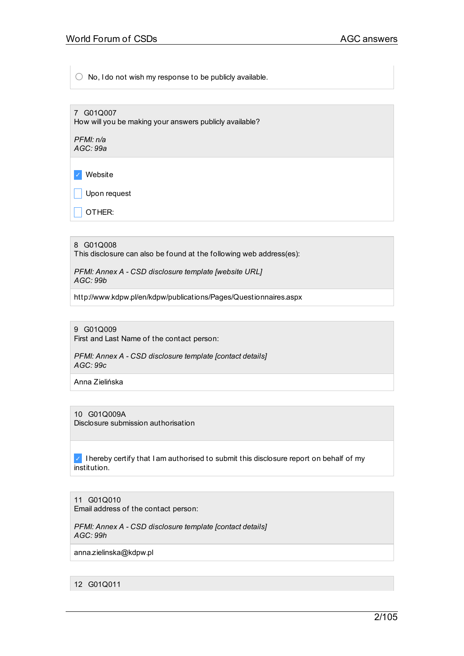$\bigcirc$  No, I do not wish my response to be publicly available.

7 G01Q007 How will you be making your answers publicly available?

*PFMI: n/a AGC: 99a*

✓ Website

 $\Box$  Upon request

OTHER:

8 G01Q008 This disclosure can also be found at the following web address(es):

*PFMI: Annex A - CSD disclosure template [website URL] AGC: 99b*

http://www.kdpw.pl/en/kdpw/publications/Pages/Questionnaires.aspx

9 G01Q009 First and Last Name of the contact person:

*PFMI: Annex A - CSD disclosure template [contact details] AGC: 99c*

Anna Zielińska

10 G01Q009A Disclosure submission authorisation

 $\vee$  I hereby certify that I am authorised to submit this disclosure report on behalf of my institution.

11 G01Q010 Email address of the contact person:

*PFMI: Annex A - CSD disclosure template [contact details] AGC: 99h*

anna.zielinska@kdpw.pl

12 G01Q011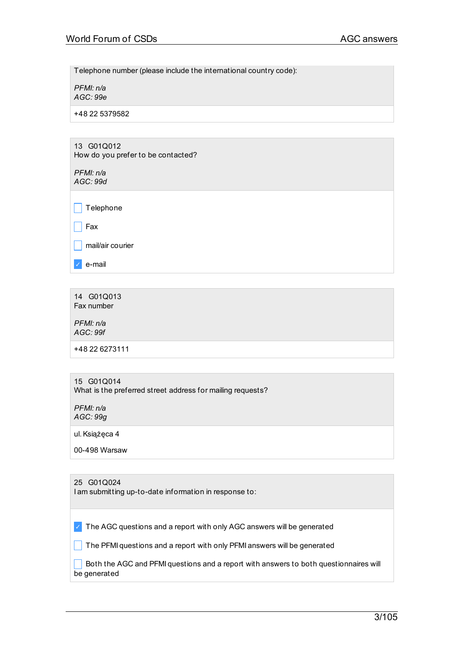Telephone number (please include the international country code):

*PFMI: n/a AGC: 99e*

+48 22 5379582

## 13 G01Q012 How do you prefer to be contacted?

*PFMI: n/a AGC: 99d*

 $\Box$  Fax

mail/air courier

✓ e-mail

14 G01Q013 Fax number

*PFMI: n/a AGC: 99f*

+48 22 6273111

## 15 G01Q014 What is the preferred street address for mailing requests?

*PFMI: n/a AGC: 99g*

ul.Książęca 4

00-498 Warsaw

## 25 G01Q024

I am submitting up-to-date information in response to:

 $\vee$  The AGC questions and a report with only AGC answers will be generated

 $\Box$  The PFMI questions and a report with only PFMI answers will be generated

 $\Box$  Both the AGC and PFMI questions and a report with answers to both questionnaires will be generated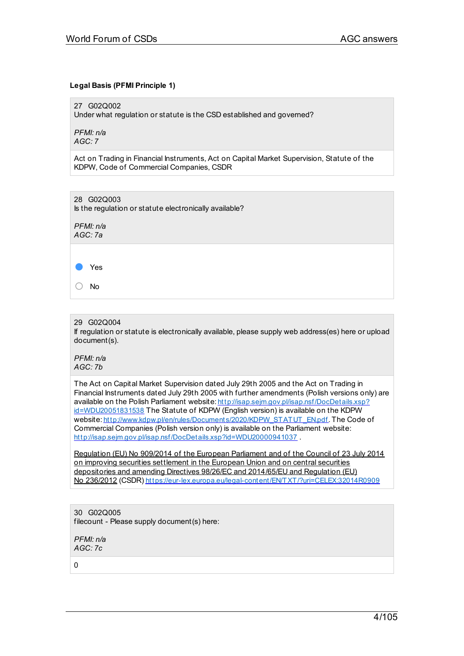## **Legal Basis (PFMI Principle 1)**

27 G02Q002

Under what regulation or statute is the CSD established and governed?

*PFMI: n/a AGC: 7*

Act on Trading in Financial Instruments, Act on Capital Market Supervision, Statute of the KDPW, Code of Commercial Companies, CSDR

28 G02Q003 Is the regulation or statute electronically available?

*PFMI: n/a AGC: 7a*



○ No

## 29 G02Q004

If regulation or statute is electronically available, please supply web address(es) here or upload document(s).

*PFMI: n/a AGC: 7b*

The Act on Capital Market Supervision dated July 29th 2005 and the Act on Trading in Financial Instruments dated July 29th 2005 with further amendments (Polish versions only) are available on the Polish Parliament website: [http://isap.sejm.gov.pl/isap.nsf/DocDetails.xsp?](http://isap.sejm.gov.pl/isap.nsf/DocDetails.xsp?id=WDU20051831538) id=WDU20051831538 The Statute of KDPW (English version) is available on the KDPW website: [http://www.kdpw.pl/en/rules/Document](http://www.kdpw.pl/en/rules/Documents/2020/KDPW_STATUT_EN.pdf) s/2020/KDPW\_STATUT\_EN.pdf. The Code of Commercial Companies (Polish version only) is available on the Parliament website: <http://isap.sejm.gov.pl/isap.nsf/DocDetails.xsp?id=WDU20000941037>.

Regulation (EU) No 909/2014 of the European Parliament and of the Council of 23 July 2014 on improving securities settlement in the European Union and on central securities depositories and amending Directives 98/26/EC and 2014/65/EU and Regulation (EU) No 236/2012 (CSDR) <https://eur-lex.europa.eu/legal-content/EN/TXT/?uri=CELEX:32014R0909>

30 G02Q005 filecount - Please supply document(s) here:

*PFMI: n/a AGC: 7c*

0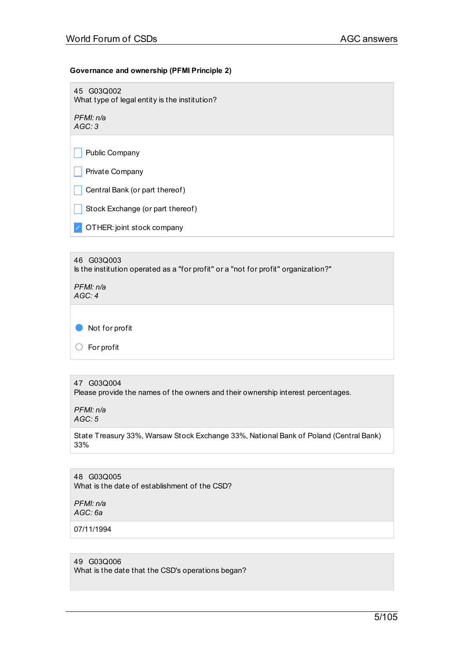## **Governance and ownership (PFMI Principle 2)**

45 G03Q002 What type of legal entity is the institution?

*PFMI: n/a AGC: 3*

 $\Box$  Public Company

 $\vert \vert$  Private Company

 $\Box$  Central Bank (or part thereof)

 $\Box$  Stock Exchange (or part thereof)

✓ OTHER: joint stock company

46 G03Q003 Is the institution operated as a "for profit" or a "not for profit" organization?" *PFMI: n/a AGC: 4*

● Not for profit

○ For profit

## 47 G03Q004

Please provide the names of the owners and their ownership interest percentages.

*PFMI: n/a AGC: 5*

State Treasury 33%, Warsaw Stock Exchange 33%, National Bank of Poland (Central Bank) 33%

48 G03Q005 What is the date of establishment of the CSD?

*PFMI: n/a AGC: 6a*

07/11/1994

## 49 G03Q006

What is the date that the CSD's operations began?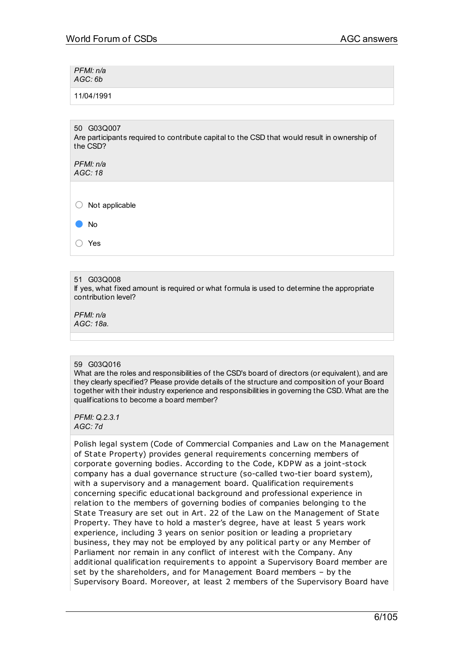*PFMI: n/a AGC: 6b*

11/04/1991

50 G03Q007 Are participants required to contribute capital to the CSD that would result in ownership of the CSD?

*PFMI: n/a AGC: 18*

 $\bigcirc$  Not applicable

● No

○ Yes

51 G03Q008

If yes, what fixed amount is required or what formula is used to determine the appropriate contribution level?

*PFMI: n/a AGC: 18a.*

## 59 G03Q016

What are the roles and responsibilities of the CSD's board of directors (or equivalent), and are they clearly specified? Please provide details of the structure and composition of your Board together with their industry experience and responsibilities in governing the CSD. What are the qualifications to become a board member?

*PFMI: Q.2.3.1 AGC: 7d*

Polish legal system (Code of Commercial Companies and Law on the Management of State Property) provides general requirements concerning members of corporate governing bodies. According to the Code, KDPW as a joint-stock company has a dual governance st ructure (so-called two-tier board system), with a supervisory and a management board. Qualification requirements concerning specific educational background and professional experience in relation to the members of governing bodies of companies belonging to the State Treasury are set out in Art. 22 of the Law on the Management of State Property. They have to hold a master's degree, have at least 5 years work experience, including 3 years on senior position or leading a proprietary business, they may not be employed by any political party or any Member of Parliament nor remain in any conflict of interest with the Company. Any additional qualification requirements to appoint a Supervisory Board member are set by the shareholders, and for Management Board members – by the Supervisory Board. Moreover, at least 2 members of the Supervisory Board have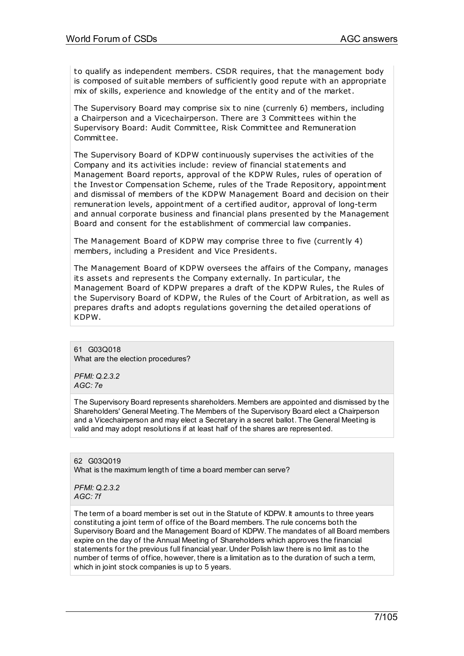to qualify as independent members. CSDR requires, that the management body is composed of suitable members of sufficiently good repute with an appropriate mix of skills, experience and knowledge of the entity and of the market.

The Supervisory Board may comprise six to nine (currenly 6) members, including a Chairperson and a Vicechairperson. There are 3 Committees within the Supervisory Board: Audit Committee, Risk Committee and Remuneration Committee.

The Supervisory Board of KDPW continuously supervises the activities of the Company and its activities include: review of financial statements and Management Board reports, approval of the KDPW Rules, rules of operation of the Investor Compensation Scheme, rules of the Trade Repository, appointment and dismissal of members of the KDPW Management Board and decision on their remuneration levels, appointment of a certified auditor, approval of long-term and annual corporate business and financial plans presented by the Management Board and consent for the establishment of commercial law companies.

The Management Board of KDPW may comprise three to five (currently 4) members, including a President and Vice Presidents.

The Management Board of KDPW oversees the affairs of the Company, manages its assets and represents the Company externally. In particular, the Management Board of KDPW prepares a draft of the KDPW Rules, the Rules of the Supervisory Board of KDPW, the Rules of the Court of Arbit ration, as well as prepares drafts and adopts regulations governing the detailed operations of KDPW.

61 G03Q018 What are the election procedures?

*PFMI: Q.2.3.2 AGC: 7e*

The Supervisory Board represents shareholders. Members are appointed and dismissed by the Shareholders' General Meeting. The Members of the Supervisory Board elect a Chairperson and a Vicechairperson and may elect a Secretary in a secret ballot. The General Meeting is valid and may adopt resolutions if at least half of the shares are represented.

62 G03Q019 What is the maximum length of time a board member can serve?

*PFMI: Q.2.3.2 AGC: 7f*

The term of a board member is set out in the Statute of KDPW. It amounts to three years constituting a joint term of office of the Board members. The rule concerns both the Supervisory Board and the Management Board of KDPW. The mandates of all Board members expire on the day of the Annual Meeting of Shareholders which approves the financial statements for the previous full financial year. Under Polish law there is no limit as to the number of terms of office, however, there is a limitation as to the duration of such a term, which in joint stock companies is up to 5 years.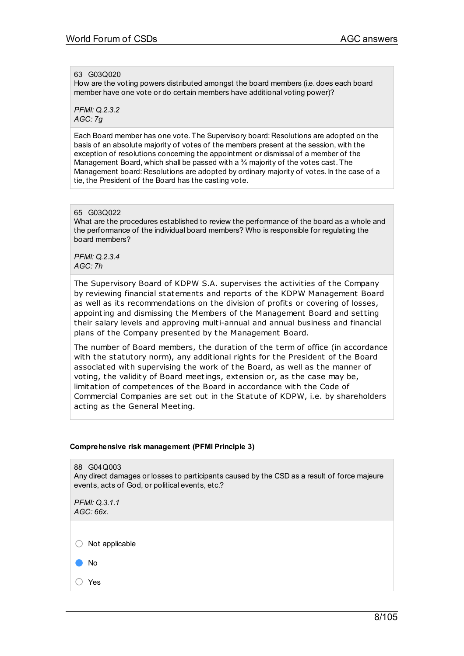## 63 G03Q020

How are the voting powers distributed amongst the board members (i.e. does each board member have one vote or do certain members have additional voting power)?

*PFMI: Q.2.3.2 AGC: 7g*

Each Board member has one vote. The Supervisory board: Resolutions are adopted on the basis of an absolute majority of votes of the members present at the session, with the exception of resolutions concerning the appointment or dismissal of a member of the Management Board, which shall be passed with a 34 majority of the votes cast. The Management board: Resolutions are adopted by ordinary majority of votes. In the case of a tie, the President of the Board has the casting vote.

## 65 G03Q022

What are the procedures established to review the performance of the board as a whole and the performance of the individual board members? Who is responsible for regulating the board members?

*PFMI: Q.2.3.4 AGC: 7h*

The Supervisory Board of KDPW S.A. supervises the activities of the Company by reviewing financial statements and reports of the KDPW Management Board as well as its recommendations on the division of profits or covering of losses, appointing and dismissing the Members of the Management Board and setting their salary levels and approving multi-annual and annual business and financial plans of the Company presented by the Management Board.

The number of Board members, the duration of the term of office (in accordance with the statutory norm), any additional rights for the President of the Board associated with supervising the work of the Board, as well as the manner of voting, the validity of Board meetings, extension or, as the case may be, limitation of competences of the Board in accordance with the Code of Commercial Companies are set out in the Statute of KDPW, i.e. by shareholders acting as the General Meeting.

## **Comprehensive risk management (PFMI Principle 3)**

88 G04Q003 Any direct damages or losses to participants caused by the CSD as a result of force majeure events, acts of God, or political events, etc.?

*PFMI: Q.3.1.1 AGC: 66x.*

 $\bigcirc$  Not applicable

● No

○ Yes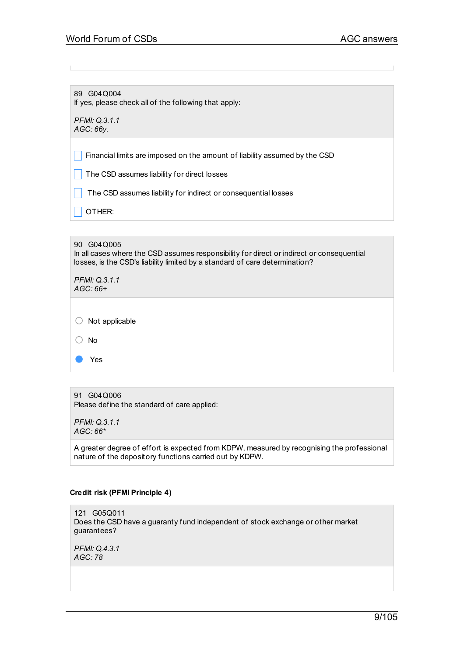89 G04Q004 If yes, please check all of the following that apply:

*PFMI: Q.3.1.1 AGC: 66y.*

 $\vert \vert$  Financial limits are imposed on the amount of liability assumed by the CSD

 $\Box$  The CSD assumes liability for direct losses

 $\Box$  The CSD assumes liability for indirect or consequential losses

OTHER:

## 90 G04Q005

In all cases where the CSD assumes responsibility for direct or indirect or consequential losses, is the CSD's liability limited by a standard of care determination?

*PFMI: Q.3.1.1 AGC: 66+*

| $\bigcirc$ Not applicable |
|---------------------------|
| () No                     |

● Yes

91 G04Q006 Please define the standard of care applied:

*PFMI: Q.3.1.1 AGC: 66\**

A greater degree of effort is expected from KDPW, measured by recognising the professional nature of the depository functions carried out by KDPW.

## **Credit risk (PFMI Principle 4)**

121 G05Q011 Does the CSD have a guaranty fund independent of stock exchange or other market guarantees?

*PFMI: Q.4.3.1 AGC: 78*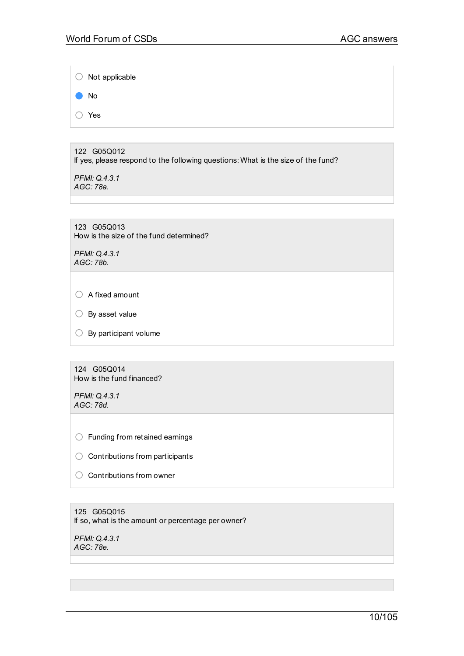○ Not applicable ● No

○ Yes

122 G05Q012 If yes, please respond to the following questions: What is the size of the fund?

*PFMI: Q.4.3.1 AGC: 78a.*

123 G05Q013 How is the size of the fund determined?

*PFMI: Q.4.3.1 AGC: 78b.*

○ A fixed amount

○ By asset value

 $\bigcirc$  By participant volume

124 G05Q014 How is the fund financed?

*PFMI: Q.4.3.1 AGC: 78d.*

○ Funding from retained earnings

 $\bigcirc$  Contributions from participants

○ Contributions from owner

125 G05Q015 If so, what is the amount or percentage per owner?

*PFMI: Q.4.3.1 AGC: 78e.*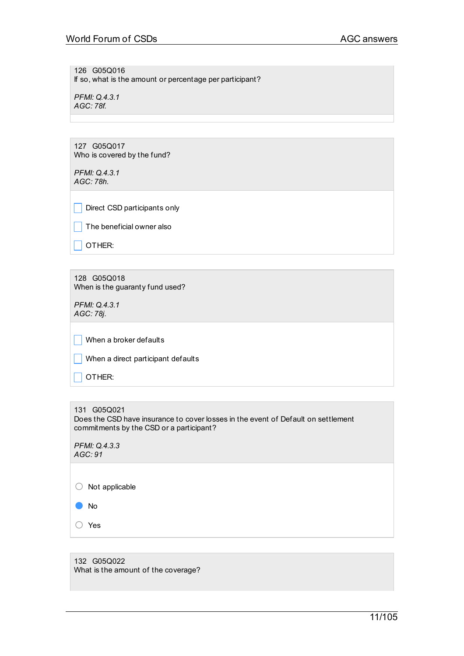126 G05Q016 If so, what is the amount or percentage per participant?

*PFMI: Q.4.3.1 AGC: 78f.*

127 G05Q017 Who is covered by the fund?

*PFMI: Q.4.3.1 AGC: 78h.*

Direct CSD participants only

 $\Box$  The beneficial owner also

 $\Box$  Other:

128 G05Q018 When is the guaranty fund used?

*PFMI: Q.4.3.1 AGC: 78j.*

 $\Box$  When a broker defaults

 $\Box$  When a direct participant defaults

 $\vert$  OTHER:

131 G05Q021 Does the CSD have insurance to cover losses in the event of Default on settlement commitments by the CSD or a participant?

| PFMI: Q.4.3.3 |
|---------------|
| AGC: 91       |

○ Not applicable

● No

○ Yes

132 G05Q022 What is the amount of the coverage?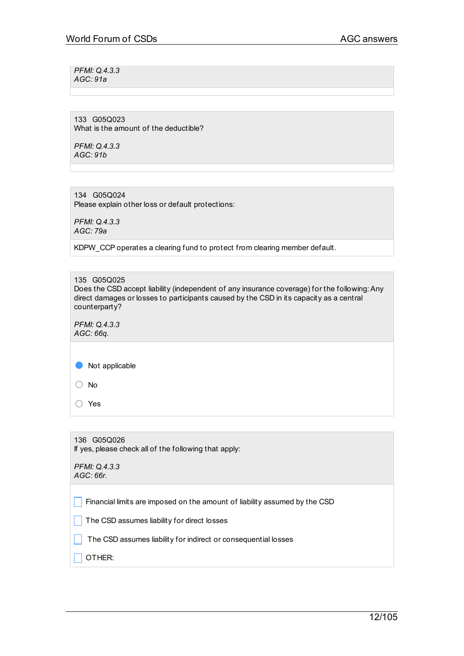*PFMI: Q.4.3.3 AGC: 91a*

133 G05Q023 What is the amount of the deductible?

*PFMI: Q.4.3.3 AGC: 91b*

134 G05Q024 Please explain other loss or default protections:

*PFMI: Q.4.3.3 AGC: 79a*

KDPW\_CCP operates a clearing fund to protect from clearing member default.

135 G05Q025 Does the CSD accept liability (independent of any insurance coverage) for the following:Any direct damages or losses to participants caused by the CSD in its capacity as a central counterparty?

*PFMI: Q.4.3.3 AGC: 66q.*

● Not applicable

○ No

○ Yes

| 136 G05Q026<br>If yes, please check all of the following that apply:       |  |
|----------------------------------------------------------------------------|--|
| PFMI: Q.4.3.3<br>AGC:66r.                                                  |  |
| Financial limits are imposed on the amount of liability assumed by the CSD |  |
| The CSD assumes liability for direct losses                                |  |
| The CSD assumes liability for indirect or consequential losses             |  |
| OTHER:                                                                     |  |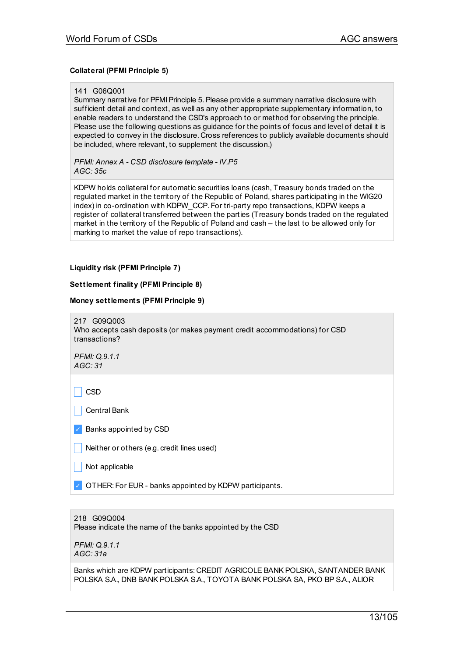## **Collateral (PFMI Principle 5)**

#### 141 G06Q001

Summary narrative for PFMI Principle 5. Please provide a summary narrative disclosure with sufficient detail and context, as well as any other appropriate supplementary information, to enable readers to understand the CSD's approach to or method for observing the principle. Please use the following questions as guidance for the points of focus and level of detail it is expected to convey in the disclosure. Cross references to publicly available documents should be included, where relevant, to supplement the discussion.)

*PFMI: Annex A - CSD disclosure template - IV.P5 AGC: 35c*

KDPW holds collateral for automatic securities loans (cash, Treasury bonds traded on the regulated market in the territory of the Republic of Poland, shares participating in the WIG20 index) in co-ordination with KDPW\_CCP. For tri-party repo transactions, KDPW keeps a register of collateral transferred between the parties (Treasury bonds traded on the regulated market in the territory of the Republic of Poland and cash – the last to be allowed only for marking to market the value of repo transactions).

## **Liquidity risk (PFMI Principle 7)**

## **Settlement finality (PFMI Principle 8)**

#### **Money settlements (PFMI Principle 9)**



*PFMI: Q.9.1.1 AGC: 31*

\_ CSD

| Central Bank

✓ Banks appointed by CSD

 $\vert$  Not applicable

OTHER: For EUR - banks appointed by KDPW participants.

218 G09Q004 Please indicate the name of the banks appointed by the CSD

*PFMI: Q.9.1.1 AGC: 31a*

Banks which are KDPW participants: CREDIT AGRICOLE BANK POLSKA, SANTANDER BANK POLSKA S.A., DNB BANK POLSKA S.A., TOYOTA BANK POLSKA SA, PKO BP S.A., ALIOR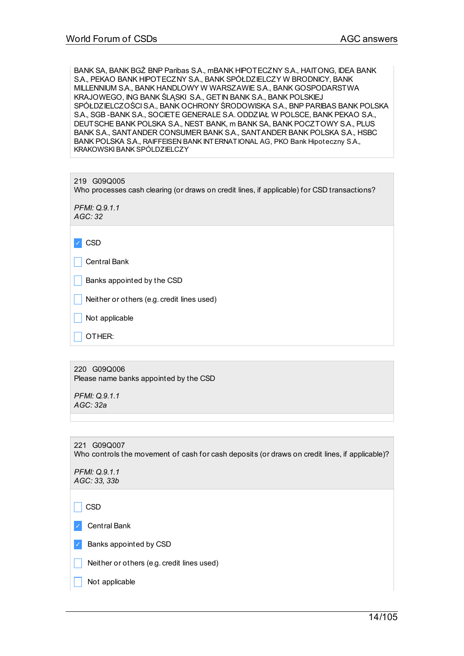BANK SA, BANK BGŻ BNP Paribas S.A., mBANK HIPOTECZNY S.A., HAITONG, IDEA BANK S.A., PEKAO BANK HIPOTECZNY S.A., BANK SPÓŁDZIELCZY W BRODNICY, BANK MILLENNIUM S.A., BANK HANDLOWY W WARSZAWIE S.A., BANK GOSPODARSTWA KRAJOWEGO, ING BANK ŚLĄSKI S.A., GET IN BANK S.A., BANK POLSKIEJ SPÓŁDZIELCZOŚCIS.A., BANK OCHRONY ŚRODOWISKA S.A., BNP PARIBAS BANK POLSKA S.A., SGB -BANK S.A., SOCIETE GENERALE S.A. ODDZIAŁ W POLSCE, BANK PEKAO S.A., DEUTSCHE BANK POLSKA S.A., NEST BANK, m BANK SA, BANK POCZTOWY S.A., PLUS BANK S.A., SANTANDER CONSUMER BANK S.A., SANTANDER BANK POLSKA S.A., HSBC BANK POLSKA S.A., RAIFFEISEN BANK INTERNATIONAL AG, PKO Bank Hipoteczny S.A., KRAKOWSKI BANK SPÓLDZIELCZY

| 219 G09Q005<br>Who processes cash clearing (or draws on credit lines, if applicable) for CSD transactions? |  |
|------------------------------------------------------------------------------------------------------------|--|
| PFMI: Q.9.1.1<br>AGC: 32                                                                                   |  |
|                                                                                                            |  |
| <b>CSD</b>                                                                                                 |  |
| <b>Central Bank</b>                                                                                        |  |
| Banks appointed by the CSD                                                                                 |  |
| Neither or others (e.g. credit lines used)                                                                 |  |
| Not applicable                                                                                             |  |
| OTHER:                                                                                                     |  |

220 G09Q006 Please name banks appointed by the CSD

*PFMI: Q.9.1.1 AGC: 32a*

221 G09Q007 Who controls the movement of cash for cash deposits (or draws on credit lines, if applicable)?

*PFMI: Q.9.1.1 AGC: 33, 33b*

 $\Box$  CSD

✓ Central Bank

✓ Banks appointed by CSD

Neither or others (e.g. credit lines used)

Not applicable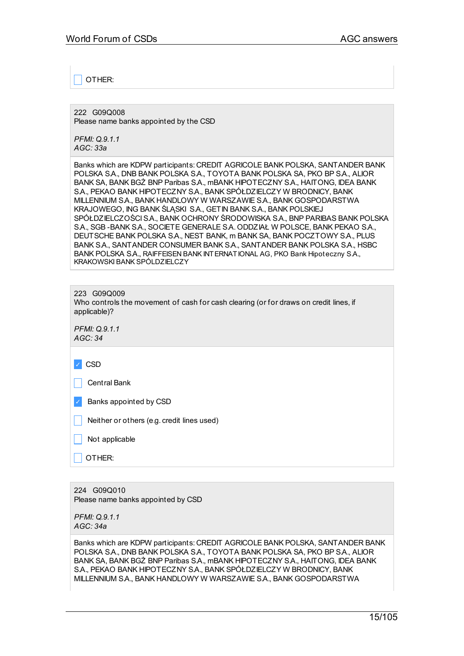\_ OTHER:

222 G09Q008 Please name banks appointed by the CSD

*PFMI: Q.9.1.1 AGC: 33a*

Banks which are KDPW participants: CREDIT AGRICOLE BANK POLSKA, SANTANDER BANK POLSKA S.A., DNB BANK POLSKA S.A., TOYOTA BANK POLSKA SA, PKO BP S.A., ALIOR BANK SA, BANK BGŻ BNP Paribas SA., mBANK HIPOTECZNY SA., HAITONG, IDEA BANK S.A., PEKAO BANK HIPOTECZNY S.A., BANK SPÓŁDZIELCZY W BRODNICY, BANK MILLENNIUM S.A., BANK HANDLOWY W WARSZAWIE S.A., BANK GOSPODARSTWA KRAJOWEGO, ING BANK ŚLĄSKI S.A., GETIN BANK S.A., BANK POLSKIEJ SPÓŁDZIELCZOŚCIS.A., BANK OCHRONY ŚRODOWISKA S.A., BNP PARIBAS BANK POLSKA S.A., SGB -BANK S.A., SOCIETE GENERALE S.A. ODDZIAŁ W POLSCE, BANK PEKAO S.A., DEUTSCHE BANK POLSKA S.A., NEST BANK, m BANK SA, BANK POCZTOWY S.A., PLUS BANK S.A., SANTANDER CONSUMER BANK S.A., SANTANDER BANK POLSKA S.A., HSBC BANK POLSKA S.A., RAIFFEISEN BANK INTERNATIONAL AG, PKO Bank Hipoteczny S.A., KRAKOWSKI BANK SPÓLDZIELCZY

| G09Q009<br>223<br>Who controls the movement of cash for cash clearing (or for draws on credit lines, if<br>applicable)? |  |  |
|-------------------------------------------------------------------------------------------------------------------------|--|--|
| PFMI: Q.9.1.1<br>AGC: 34                                                                                                |  |  |
| <b>CSD</b>                                                                                                              |  |  |
| <b>Central Bank</b>                                                                                                     |  |  |
| Banks appointed by CSD                                                                                                  |  |  |
| Neither or others (e.g. credit lines used)                                                                              |  |  |
| Not applicable                                                                                                          |  |  |
| OTHER:                                                                                                                  |  |  |
|                                                                                                                         |  |  |

224 G09Q010 Please name banks appointed by CSD

*PFMI: Q.9.1.1 AGC: 34a*

Banks which are KDPW participants: CREDIT AGRICOLE BANK POLSKA, SANTANDER BANK POLSKA S.A., DNB BANK POLSKA S.A., TOYOTA BANK POLSKA SA, PKO BP S.A., ALIOR BANK SA, BANK BGŻ BNP Paribas SA., mBANK HIPOTECZNY SA., HAITONG, IDEA BANK S.A., PEKAO BANK HIPOTECZNY S.A., BANK SPÓŁDZIELCZY W BRODNICY, BANK MILLENNIUM S.A., BANK HANDLOWY W WARSZAWIE S.A., BANK GOSPODARSTWA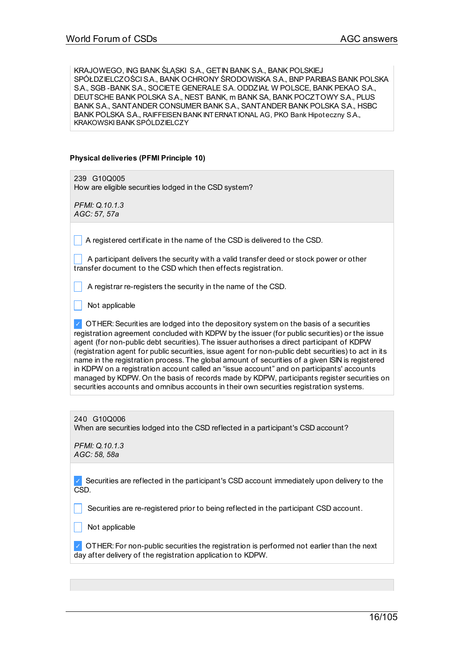KRAJOWEGO, ING BANK ŚLĄSKI S.A., GETIN BANK S.A., BANK POLSKIEJ SPÓŁDZIELCZOŚCIS.A., BANK OCHRONY ŚRODOWISKA S.A., BNP PARIBAS BANK POLSKA S.A., SGB -BANK S.A., SOCIETE GENERALE S.A. ODDZIAŁ W POLSCE, BANK PEKAO S.A., DEUTSCHE BANK POLSKA S.A., NEST BANK, m BANK SA, BANK POCZTOWY S.A., PLUS BANK S.A., SANTANDER CONSUMER BANK S.A., SANTANDER BANK POLSKA S.A., HSBC BANK POLSKA S.A., RAIFFEISEN BANK INTERNATIONAL AG, PKO Bank Hipoteczny S.A., KRAKOWSKI BANK SPÓLDZIELCZY

## **Physical deliveries (PFMI Principle 10)**

239 G10Q005 How are eligible securities lodged in the CSD system?

*PFMI: Q.10.1.3 AGC: 57, 57a*

 $\overline{\phantom{a}}$  A registered certificate in the name of the CSD is delivered to the CSD.

A participant delivers the security with a valid transfer deed or stock power or other transfer document to the CSD which then effects registration.

A registrar re-registers the security in the name of the CSD.

 $\blacksquare$  Not applicable

 $\vee$  OTHER: Securities are lodged into the depository system on the basis of a securities registration agreement concluded with KDPW by the issuer (for public securities) or the issue agent (for non-public debt securities). The issuer authorises a direct participant of KDPW (registration agent for public securities, issue agent for non-public debt securities) to act in its name in the registration process. The global amount of securities of a given ISIN is registered in KDPW on a registration account called an "issue account" and on participants' accounts managed by KDPW. On the basis of records made by KDPW, participants register securities on securities accounts and omnibus accounts in their own securities registration systems.

240 G10Q006 When are securities lodged into the CSD reflected in a participant's CSD account?

*PFMI: Q.10.1.3 AGC: 58, 58a*

✓ Securities are reflected in the participant's CSD account immediately upon delivery to the CSD.

Securities are re-registered prior to being reflected in the participant CSD account.

Not applicable

✓ OTHER: For non-public securities the registration is performed not earlier than the next day after delivery of the registration application to KDPW.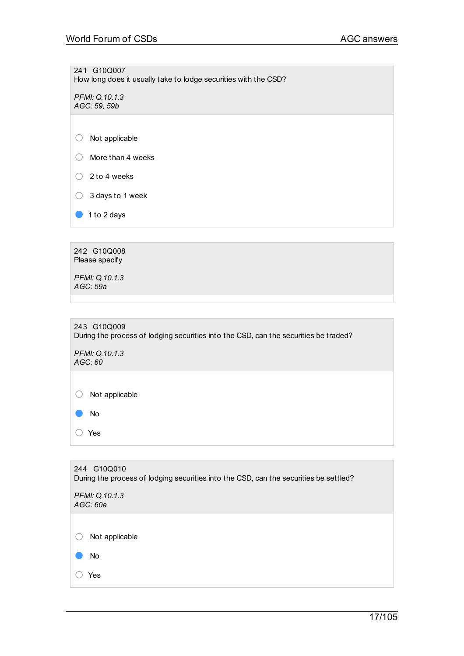241 G10Q007 How long does it usually take to lodge securities with the CSD?

*PFMI: Q.10.1.3 AGC: 59, 59b*

- More than 4 weeks
- $\bigcirc$  2 to 4 weeks
- 3 days to 1 week
- 1 to 2 days

242 G10Q008 Please specify

*PFMI: Q.10.1.3 AGC: 59a*

| 243 G10Q009                                                                          |
|--------------------------------------------------------------------------------------|
| During the process of lodging securities into the CSD, can the securities be traded? |

*PFMI: Q.10.1.3 AGC: 60*

○ Not applicable ● No

○ Yes

244 G10Q010 During the process of lodging securities into the CSD, can the securities be settled? *PFMI: Q.10.1.3 AGC: 60a* ○ Not applicable ● No ○ Yes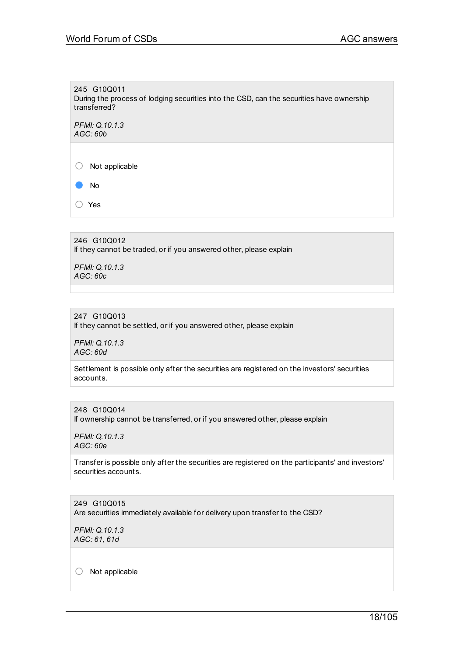245 G10Q011 During the process of lodging securities into the CSD, can the securities have ownership transferred?

*PFMI: Q.10.1.3 AGC: 60b*

○ Not applicable

● No

○ Yes

246 G10Q012 If they cannot be traded, or if you answered other, please explain

*PFMI: Q.10.1.3 AGC: 60c*

## 247 G10Q013

If they cannot be settled, or if you answered other, please explain

*PFMI: Q.10.1.3 AGC: 60d*

Settlement is possible only after the securities are registered on the investors' securities accounts.

248 G10Q014 If ownership cannot be transferred, or if you answered other, please explain

*PFMI: Q.10.1.3 AGC: 60e*

Transfer is possible only after the securities are registered on the participants' and investors' securities accounts.

249 G10Q015 Are securities immediately available for delivery upon transfer to the CSD?

*PFMI: Q.10.1.3 AGC: 61, 61d*

○ Not applicable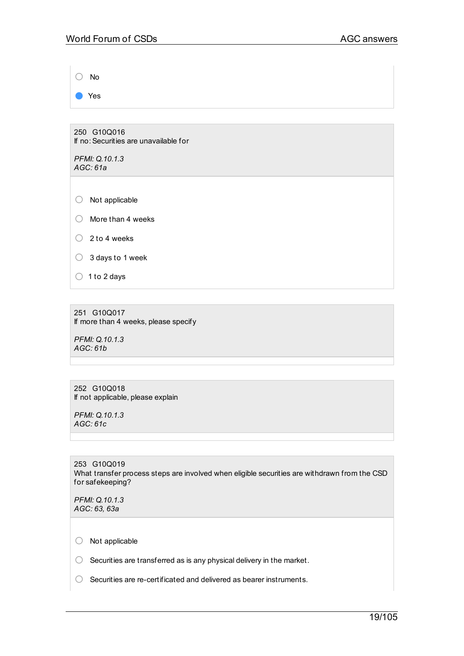○ No ● Yes 250 G10Q016 If no:Securities are unavailable for *PFMI: Q.10.1.3 AGC: 61a* ○ Not applicable ○ More than <sup>4</sup> weeks  $\bigcirc$  2 to 4 weeks  $\bigcirc$  3 days to 1 week  $\bigcirc$  1 to 2 days

251 G10Q017 If more than 4 weeks, please specify

*PFMI: Q.10.1.3 AGC: 61b*

252 G10Q018 If not applicable, please explain

*PFMI: Q.10.1.3 AGC: 61c*

253 G10Q019 What transfer process steps are involved when eligible securities are withdrawn from the CSD for safekeeping?

*PFMI: Q.10.1.3 AGC: 63, 63a*

○ Not applicable

 $\bigcirc$  Securities are transferred as is any physical delivery in the market.

○ Securities are re-certificated and delivered as bearer instruments.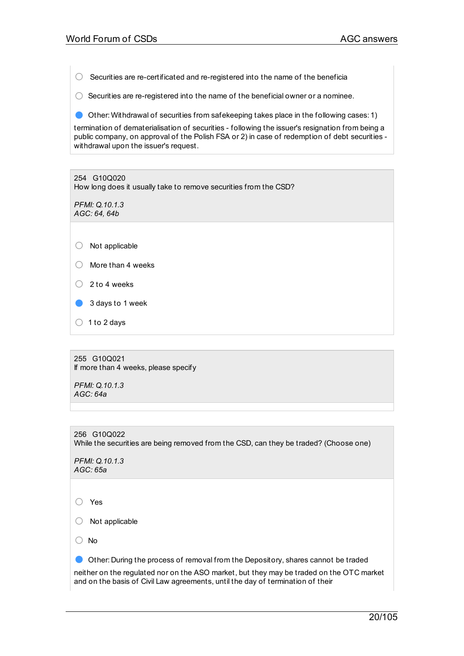$\bigcirc$  Securities are re-certificated and re-registered into the name of the beneficia

 $\bigcirc$  Securities are re-registered into the name of the beneficial owner or a nominee.

● Other: Withdrawal of securities from safekeeping takes place in the following cases: 1)

termination of dematerialisation of securities - following the issuer's resignation from being a public company, on approval of the Polish FSA or 2) in case of redemption of debt securities withdrawal upon the issuer's request.

254 G10Q020 How long does it usually take to remove securities from the CSD?

*PFMI: Q.10.1.3 AGC: 64, 64b*

- Not applicable
- More than <sup>4</sup> weeks
- <sup>2</sup> to <sup>4</sup> weeks
- 3 days to 1 week
- $\bigcirc$  1 to 2 days

255 G10Q021 If more than 4 weeks, please specify

*PFMI: Q.10.1.3 AGC: 64a*

256 G10Q022 While the securities are being removed from the CSD, can they be traded? (Choose one)

*PFMI: Q.10.1.3 AGC: 65a*

○ Yes

○ Not applicable

○ No

● Other: During the process of removal from the Depository, shares cannot be traded

neither on the regulated nor on the ASO market, but they may be traded on the OTC market and on the basis of Civil Law agreements, until the day of termination of their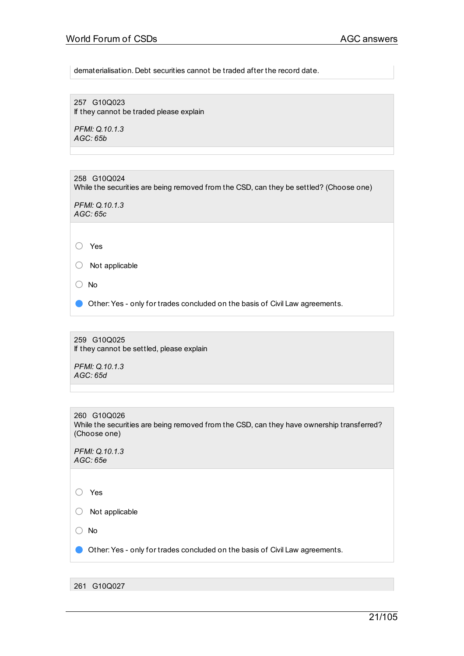dematerialisation. Debt securities cannot be traded after the record date.

257 G10Q023 If they cannot be traded please explain

*PFMI: Q.10.1.3 AGC: 65b*

258 G10Q024 While the securities are being removed from the CSD, can they be settled? (Choose one)

*PFMI: Q.10.1.3 AGC: 65c*

○ Yes

○ Not applicable

○ No

Other: Yes - only for trades concluded on the basis of Civil Law agreements.

259 G10Q025 If they cannot be settled, please explain

*PFMI: Q.10.1.3 AGC: 65d*

260 G10Q026 While the securities are being removed from the CSD, can they have ownership transferred? (Choose one)

*PFMI: Q.10.1.3 AGC: 65e*

○ Yes

○ Not applicable

○ No

Other: Yes - only for trades concluded on the basis of Civil Law agreements.

261 G10Q027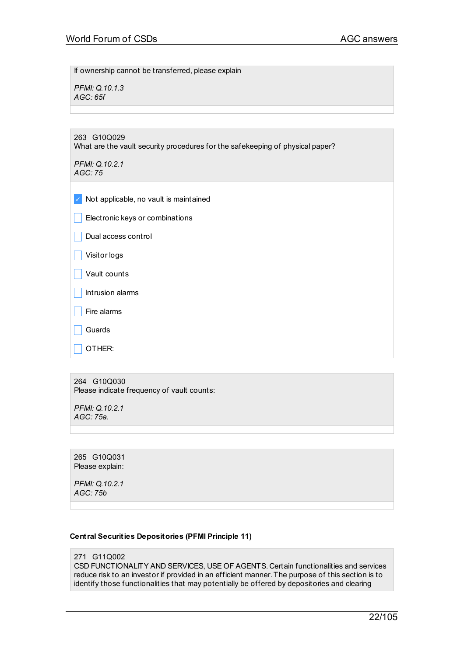If ownership cannot be transferred, please explain

*PFMI: Q.10.1.3 AGC: 65f*

263 G10Q029 What are the vault security procedures for the safekeeping of physical paper?

*PFMI: Q.10.2.1 AGC: 75*

✓ Not applicable, no vault is maintained

 $\Box$  Electronic keys or combinations

Dual access control

|  | Visitor logs |
|--|--------------|
|--|--------------|

 $\Box$  Vault counts

 $\vert$  Intrusion alarms

 $\Box$  Fire alarms

\_ Guards

\_ OTHER:

264 G10Q030 Please indicate frequency of vault counts:

*PFMI: Q.10.2.1 AGC: 75a.*

265 G10Q031 Please explain:

*PFMI: Q.10.2.1 AGC: 75b*

## **Central Securities Depositories (PFMI Principle 11)**

## 271 G11Q002

CSD FUNCTIONALITY AND SERVICES, USE OF AGENTS. Certain functionalities and services reduce risk to an investor if provided in an efficient manner. The purpose of this section is to identify those functionalities that may potentially be offered by depositories and clearing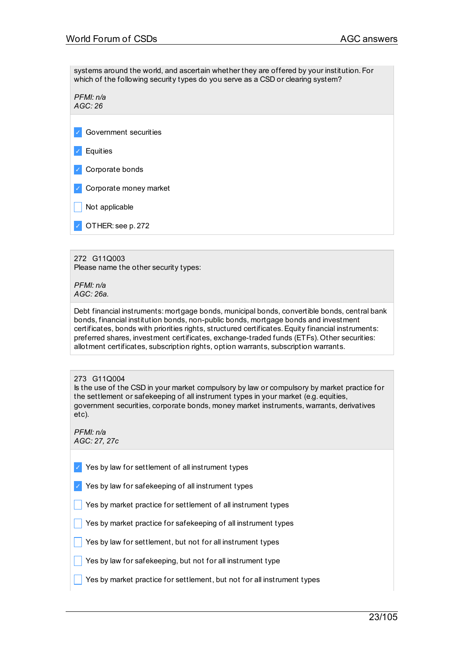systems around the world, and ascertain whether they are offered by your institution. For which of the following security types do you serve as a CSD or clearing system?

*PFMI: n/a AGC: 26*

- ✓ Government securities
- ✓ Equities
- ✓ Corporate bonds
- Corporate money market
- Not applicable
- ✓ OTHER: see p. 272

# 272 G11Q003

Please name the other security types:

*PFMI: n/a AGC: 26a.*

Debt financial instruments: mortgage bonds, municipal bonds, convertible bonds, central bank bonds, financial institution bonds, non-public bonds, mortgage bonds and investment certificates, bonds with priorities rights, structured certificates.Equity financial instruments: preferred shares, investment certificates, exchange-traded funds (ETFs). Other securities: allotment certificates, subscription rights, option warrants, subscription warrants.

## 273 G11Q004

Is the use of the CSD in your market compulsory by law or compulsory by market practice for the settlement or safekeeping of all instrument types in your market (e.g. equities, government securities, corporate bonds, money market instruments, warrants, derivatives etc).

*PFMI: n/a AGC: 27, 27c*

- $\vee$  Yes by law for settlement of all instrument types
- Yes by law for safekeeping of all instrument types
- $\blacksquare$  Yes by market practice for settlement of all instrument types
- $\Box$  Yes by market practice for safekeeping of all instrument types
- $\blacksquare$  Yes by law for settlement, but not for all instrument types
- $\blacksquare$  Yes by law for safekeeping, but not for all instrument type
- $\sqrt{ }$  Yes by market practice for settlement, but not for all instrument types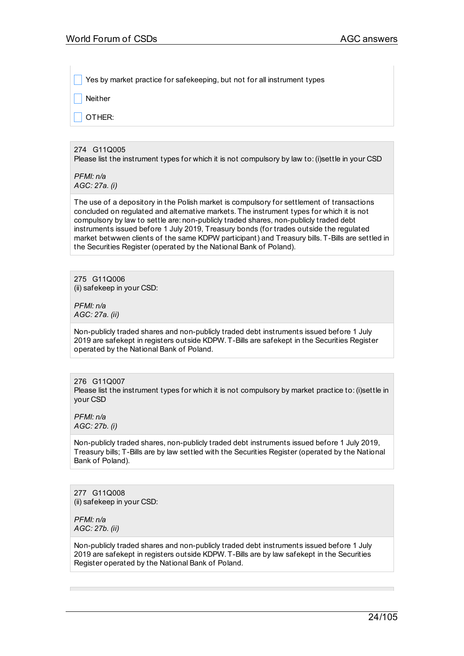Yes by market practice for safekeeping, but not for all instrument types

Neither

OTHER:

274 G11Q005 Please list the instrument types for which it is not compulsory by law to:(i)settle in your CSD

*PFMI: n/a AGC: 27a. (i)*

The use of a depository in the Polish market is compulsory for settlement of transactions concluded on regulated and alternative markets. The instrument types for which it is not compulsory by law to settle are: non-publicly traded shares, non-publicly traded debt instruments issued before 1 July 2019, Treasury bonds (for trades outside the regulated market betwwen clients of the same KDPW participant) and Treasury bills. T-Bills are settled in the Securities Register (operated by the National Bank of Poland).

275 G11Q006 (ii) safekeep in your CSD:

*PFMI: n/a AGC: 27a. (ii)*

Non-publicly traded shares and non-publicly traded debt instruments issued before 1 July 2019 are safekept in registers outside KDPW. T-Bills are safekept in the Securities Register operated by the National Bank of Poland.

276 G11Q007 Please list the instrument types for which it is not compulsory by market practice to: (i)settle in your CSD

*PFMI: n/a AGC: 27b. (i)*

Non-publicly traded shares, non-publicly traded debt instruments issued before 1 July 2019, Treasury bills; T-Bills are by law settled with the Securities Register (operated by the National Bank of Poland).

277 G11Q008 (ii) safekeep in your CSD:

*PFMI: n/a AGC: 27b. (ii)*

Non-publicly traded shares and non-publicly traded debt instruments issued before 1 July 2019 are safekept in registers outside KDPW. T-Bills are by law safekept in the Securities Register operated by the National Bank of Poland.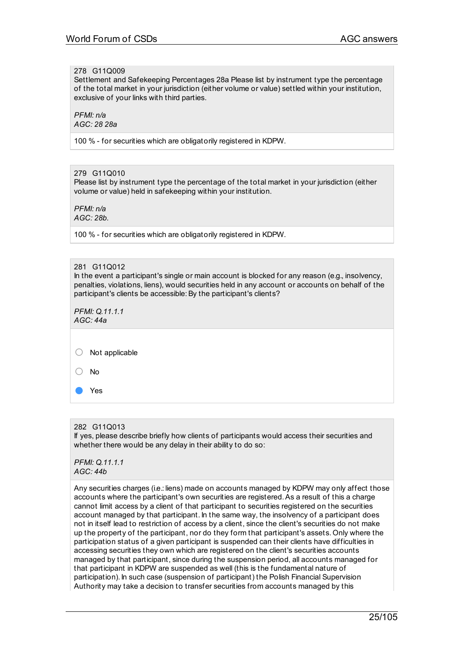## 278 G11Q009

Settlement and Safekeeping Percentages 28a Please list by instrument type the percentage of the total market in your jurisdiction (either volume or value) settled within your institution, exclusive of your links with third parties.

*PFMI: n/a AGC: 28 28a*

100 % - for securities which are obligatorily registered in KDPW.

279 G11Q010 Please list by instrument type the percentage of the total market in your jurisdiction (either volume or value) held in safekeeping within your institution.

*PFMI: n/a AGC: 28b.*

100 % - for securities which are obligatorily registered in KDPW.

## 281 G11Q012

In the event a participant's single or main account is blocked for any reason (e.g., insolvency, penalties, violations, liens), would securities held in any account or accounts on behalf of the participant's clients be accessible: By the participant's clients?

*PFMI: Q.11.1.1 AGC: 44a*

○ Not applicable

○ No

Yes

282 G11Q013

If yes, please describe briefly how clients of participants would access their securities and whether there would be any delay in their ability to do so:

*PFMI: Q.11.1.1 AGC: 44b*

Any securities charges (i.e.: liens) made on accounts managed by KDPW may only affect those accounts where the participant's own securities are registered.As a result of this a charge cannot limit access by a client of that participant to securities registered on the securities account managed by that participant. In the same way, the insolvency of a participant does not in itself lead to restriction of access by a client, since the client's securities do not make up the property of the participant, nor do they form that participant's assets. Only where the participation status of a given participant is suspended can their clients have difficulties in accessing securities they own which are registered on the client's securities accounts managed by that participant, since during the suspension period, all accounts managed for that participant in KDPW are suspended as well (this is the fundamental nature of participation). In such case (suspension of participant) the Polish Financial Supervision Authority may take a decision to transfer securities from accounts managed by this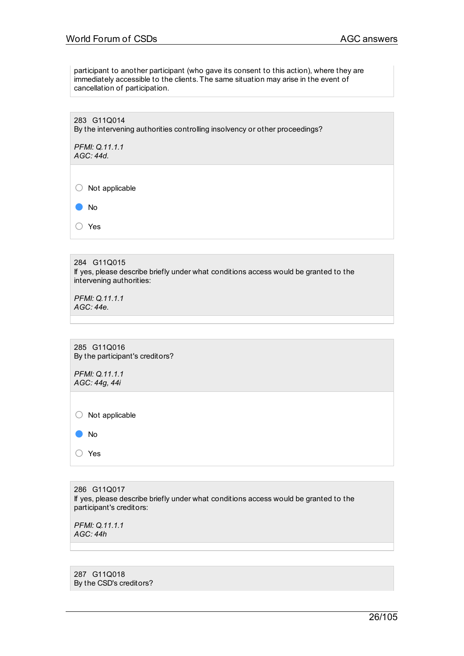participant to another participant (who gave its consent to this action), where they are immediately accessible to the clients. The same situation may arise in the event of cancellation of participation.

283 G11Q014 By the intervening authorities controlling insolvency or other proceedings?

*PFMI: Q.11.1.1 AGC: 44d.*

 $\bigcirc$  Not applicable

● No

○ Yes

284 G11Q015 If yes, please describe briefly under what conditions access would be granted to the intervening authorities:

*PFMI: Q.11.1.1 AGC: 44e.*

285 G11Q016 By the participant's creditors?

*PFMI: Q.11.1.1 AGC: 44g, 44i*

○ Not applicable

● No

○ Yes

286 G11Q017 If yes, please describe briefly under what conditions access would be granted to the participant's creditors:

*PFMI: Q.11.1.1 AGC: 44h*

287 G11Q018 By the CSD's creditors?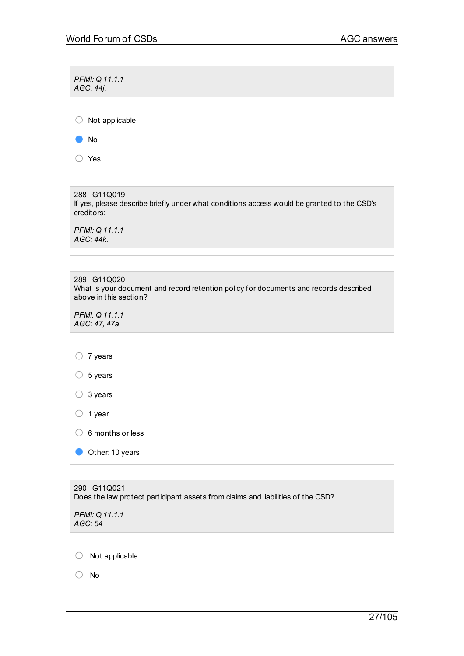| PFMI: Q.11.1.1<br>AGC: 44j. |  |  |  |
|-----------------------------|--|--|--|
|                             |  |  |  |
| Not applicable<br>モラ        |  |  |  |
| No                          |  |  |  |
| Yes                         |  |  |  |

288 G11Q019 If yes, please describe briefly under what conditions access would be granted to the CSD's creditors:

*PFMI: Q.11.1.1 AGC: 44k.*

| 289 G11Q020                                                                           |
|---------------------------------------------------------------------------------------|
| What is your document and record retention policy for documents and records described |
| above in this section?                                                                |

*PFMI: Q.11.1.1 AGC: 47, 47a*

○ <sup>7</sup> years

○ <sup>5</sup> years

○ <sup>3</sup> years

○ <sup>1</sup> year

○ 6 months or less

Other: 10 years

290 G11Q021 Does the law protect participant assets from claims and liabilities of the CSD?

*PFMI: Q.11.1.1 AGC: 54*

○ Not applicable

○ No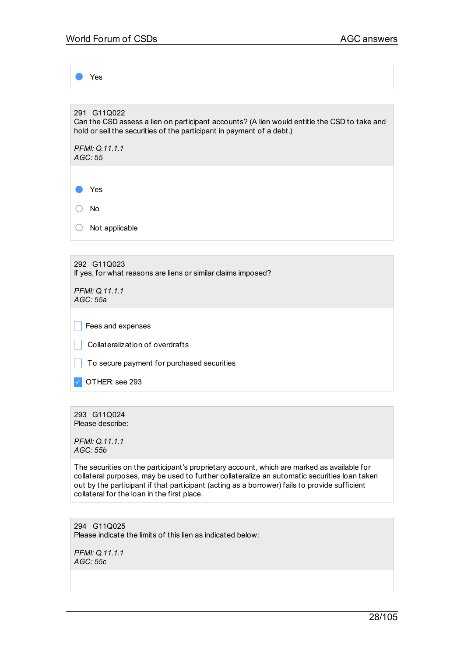Yes 291 G11Q022 Can the CSD assess a lien on participant accounts? (A lien would entitle the CSD to take and hold or sell the securities of the participant in payment of a debt.) *PFMI: Q.11.1.1 AGC: 55* ● Yes ○ No ○ Not applicable 292 G11Q023 If yes, for what reasons are liens or similar claims imposed? *PFMI: Q.11.1.1 AGC: 55a*

 $\vert \vert$  Fees and expenses

- \_ Collateralization of overdrafts
- $\Box$  To secure payment for purchased securities

✓ OTHER: see 293

293 G11Q024 Please describe:

*PFMI: Q.11.1.1 AGC: 55b*

The securities on the participant's proprietary account, which are marked as available for collateral purposes, may be used to further collateralize an automatic securities loan taken out by the participant if that participant (acting as a borrower) fails to provide sufficient collateral for the loan in the first place.

294 G11Q025 Please indicate the limits of this lien as indicated below:

*PFMI: Q.11.1.1 AGC: 55c*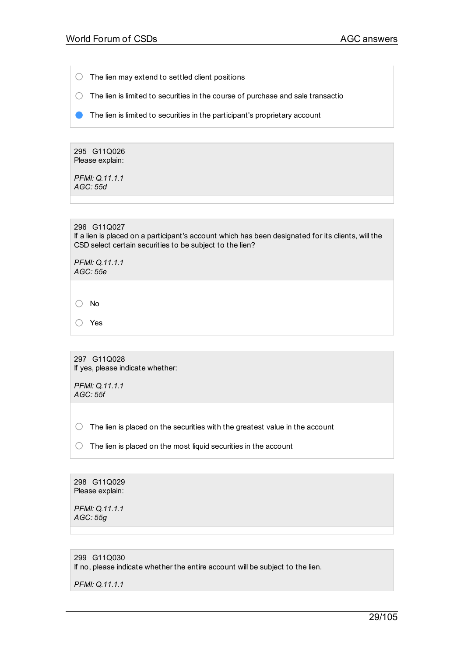- $\bigcirc$  The lien may extend to settled client positions
- $\bigcirc$  The lien is limited to securities in the course of purchase and sale transactio
- **O** The lien is limited to securities in the participant's proprietary account

295 G11Q026 Please explain:

*PFMI: Q.11.1.1 AGC: 55d*

296 G11Q027

If a lien is placed on a participant's account which has been designated for its clients, will the CSD select certain securities to be subject to the lien?

*PFMI: Q.11.1.1 AGC: 55e*

○ No

○ Yes

297 G11Q028 If yes, please indicate whether:

*PFMI: Q.11.1.1 AGC: 55f*

 $\bigcirc$  The lien is placed on the securities with the greatest value in the account

 $\bigcirc$  The lien is placed on the most liquid securities in the account

298 G11Q029 Please explain:

*PFMI: Q.11.1.1 AGC: 55g*

299 G11Q030 If no, please indicate whether the entire account will be subject to the lien.

*PFMI: Q.11.1.1*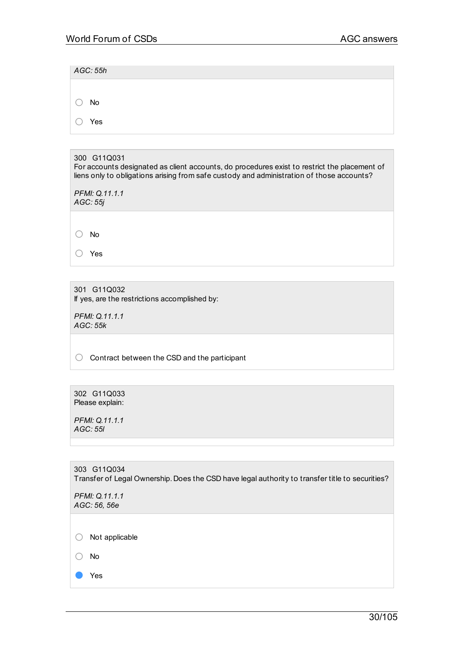*AGC: 55h* ○ No ○ Yes

## 300 G11Q031

For accounts designated as client accounts, do procedures exist to restrict the placement of liens only to obligations arising from safe custody and administration of those accounts?

*PFMI: Q.11.1.1 AGC: 55j*

○ No

○ Yes

301 G11Q032 If yes, are the restrictions accomplished by:

*PFMI: Q.11.1.1 AGC: 55k*

◯ Contract between the CSD and the participant

302 G11Q033 Please explain:

*PFMI: Q.11.1.1 AGC: 55l*

303 G11Q034 Transfer of Legal Ownership. Does the CSD have legal authority to transfer title to securities?

*PFMI: Q.11.1.1 AGC: 56, 56e*

○ Not applicable

○ No

● Yes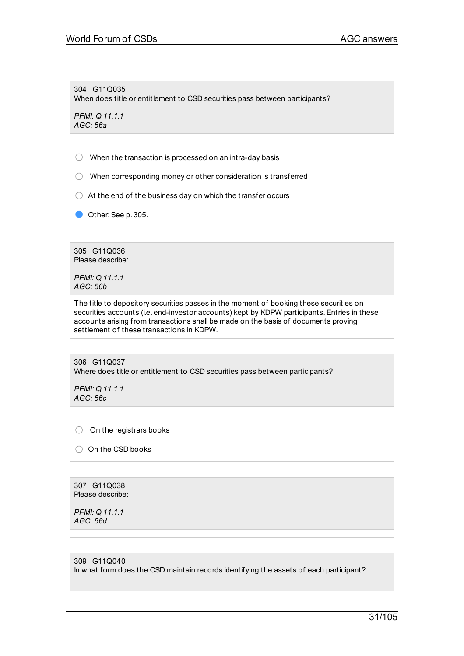304 G11Q035 When does title or entitlement to CSD securities pass between participants?

*PFMI: Q.11.1.1 AGC: 56a*

 $\bigcirc$  When the transaction is processed on an intra-day basis

- When corresponding money or other consideration is transferred
- $\bigcirc$  At the end of the business day on which the transfer occurs
- Other: See p. 305.

305 G11Q036 Please describe:

*PFMI: Q.11.1.1 AGC: 56b*

The title to depository securities passes in the moment of booking these securities on securities accounts (i.e. end-investor accounts) kept by KDPW participants.Entries in these accounts arising from transactions shall be made on the basis of documents proving settlement of these transactions in KDPW.

306 G11Q037 Where does title or entitlement to CSD securities pass between participants?

*PFMI: Q.11.1.1 AGC: 56c*

 $\bigcirc$  On the registrars books

○ On the CSD books

307 G11Q038 Please describe:

*PFMI: Q.11.1.1 AGC: 56d*

309 G11Q040 In what form does the CSD maintain records identifying the assets of each participant?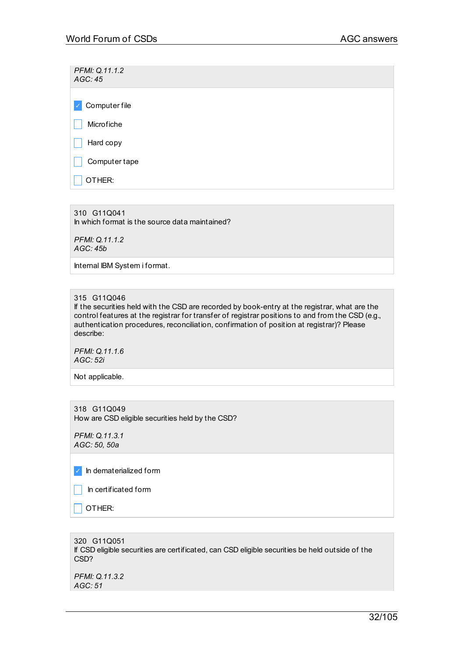*PFMI: Q.11.1.2 AGC: 45*

✓ Computer file

 $\Box$  Microfiche

 $\Box$  Hard copy

 $\Box$  Computer tape

 $\Box$  Other:

310 G11Q041 In which format is the source data maintained?

*PFMI: Q.11.1.2 AGC: 45b*

Internal IBM System i format.

315 G11Q046

If the securities held with the CSD are recorded by book-entry at the registrar, what are the control features at the registrar for transfer of registrar positions to and from the CSD (e.g., authentication procedures, reconciliation, confirmation of position at registrar)? Please describe:

*PFMI: Q.11.1.6 AGC: 52i*

Not applicable.

318 G11Q049 How are CSD eligible securities held by the CSD?

*PFMI: Q.11.3.1 AGC: 50, 50a*

✓ In dematerialized form

 $\Box$  In certificated form

 $\overline{\phantom{a}}$  other:

320 G11Q051 If CSD eligible securities are certificated, can CSD eligible securities be held outside of the CSD?

*PFMI: Q.11.3.2 AGC: 51*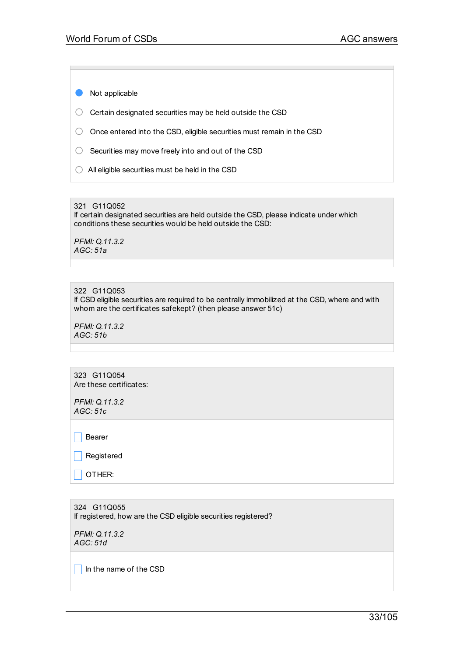● Not applicable

 $\bigcirc$  Certain designated securities may be held outside the CSD

○ Once entered into the CSD, eligible securities must remain in the CSD

 $\bigcirc$  Securities may move freely into and out of the CSD

 $\bigcirc$  All eligible securities must be held in the CSD

#### 321 G11Q052

If certain designated securities are held outside the CSD, please indicate under which conditions these securities would be held outside the CSD:

*PFMI: Q.11.3.2 AGC: 51a*

## 322 G11Q053

If CSD eligible securities are required to be centrally immobilized at the CSD, where and with whom are the certificates safekept? (then please answer 51c)

*PFMI: Q.11.3.2 AGC: 51b*

323 G11Q054 Are these certificates:

*PFMI: Q.11.3.2 AGC: 51c*

 $\Box$  Bearer

 $\Box$  Registered

 $\Box$  OTHER:

324 G11Q055 If registered, how are the CSD eligible securities registered?

*PFMI: Q.11.3.2 AGC: 51d*

 $\Box$  In the name of the CSD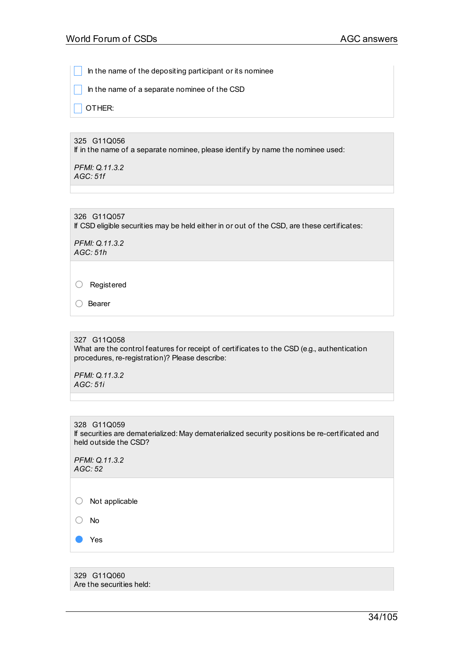In the name of the depositing participant or its nominee

\_ In the name of a separate nominee of the CSD

\_ OTHER:

325 G11Q056 If in the name of a separate nominee, please identify by name the nominee used:

*PFMI: Q.11.3.2 AGC: 51f*

326 G11Q057 If CSD eligible securities may be held either in or out of the CSD, are these certificates:

*PFMI: Q.11.3.2 AGC: 51h*

○ Registered

○ Bearer

327 G11Q058 What are the control features for receipt of certificates to the CSD (e.g., authentication procedures, re-registration)? Please describe:

*PFMI: Q.11.3.2 AGC: 51i*

328 G11Q059 If securities are dematerialized: May dematerialized security positions be re-certificated and held outside the CSD?

*PFMI: Q.11.3.2 AGC: 52*

○ Not applicable

○ No

Yes

329 G11Q060 Are the securities held: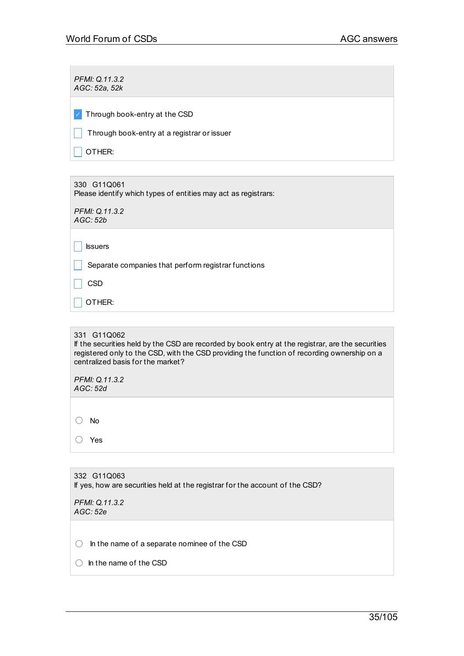| PFMI: Q.11.3.2<br>AGC: 52a, 52k             |
|---------------------------------------------|
| Through book-entry at the CSD<br>ا / ا      |
| Through book-entry at a registrar or issuer |
| OTHER:                                      |
|                                             |

330 G11Q061 Please identify which types of entities may act as registrars:

*PFMI: Q.11.3.2 AGC: 52b*

 $\Box$  Issuers

 $\Box$  Separate companies that perform registrar functions

 $\Box$  CSD

 $\Box$  Other:

331 G11Q062

If the securities held by the CSD are recorded by book entry at the registrar, are the securities registered only to the CSD, with the CSD providing the function of recording ownership on a centralized basis for the market?

*PFMI: Q.11.3.2 AGC: 52d*

○ No

○ Yes

332 G11Q063 If yes, how are securities held at the registrar for the account of the CSD?

*PFMI: Q.11.3.2 AGC: 52e*

 $\bigcirc$  In the name of a separate nominee of the CSD

○ In the name of the CSD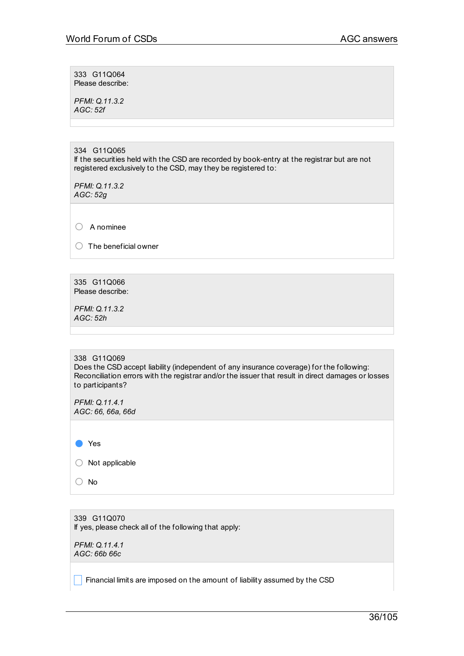333 G11Q064 Please describe:

*PFMI: Q.11.3.2 AGC: 52f*

334 G11Q065 If the securities held with the CSD are recorded by book-entry at the registrar but are not registered exclusively to the CSD, may they be registered to:

*PFMI: Q.11.3.2 AGC: 52g*

○ <sup>A</sup> nominee

 $\bigcirc$  The beneficial owner

335 G11Q066 Please describe:

*PFMI: Q.11.3.2 AGC: 52h*

338 G11Q069 Does the CSD accept liability (independent of any insurance coverage) for the following: Reconciliation errors with the registrar and/or the issuer that result in direct damages or losses to participants?

*PFMI: Q.11.4.1 AGC: 66, 66a, 66d*

● Yes

 $\bigcirc$  Not applicable

○ No

339 G11Q070 If yes, please check all of the following that apply:

*PFMI: Q.11.4.1 AGC: 66b 66c*

 $\blacksquare$  Financial limits are imposed on the amount of liability assumed by the CSD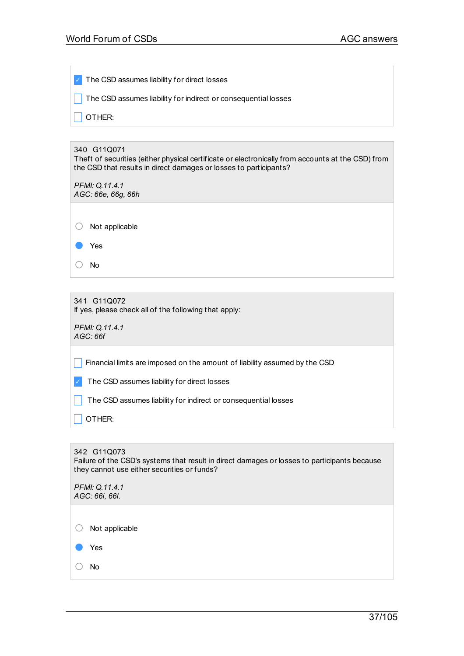$\mathcal{A}$ 

| The CSD assumes liability for direct losses                                                                                                                                           |
|---------------------------------------------------------------------------------------------------------------------------------------------------------------------------------------|
| The CSD assumes liability for indirect or consequential losses                                                                                                                        |
| OTHER:                                                                                                                                                                                |
|                                                                                                                                                                                       |
| 340 G11Q071<br>Theft of securities (either physical certificate or electronically from accounts at the CSD) from<br>the CSD that results in direct damages or losses to participants? |
| PFMI: Q.11.4.1                                                                                                                                                                        |
| AGC: 66e, 66g, 66h                                                                                                                                                                    |
|                                                                                                                                                                                       |

○ Not applicable

● Yes

○ No

341 G11Q072 If yes, please check all of the following that apply:

*PFMI: Q.11.4.1 AGC: 66f*

**Financial limits are imposed on the amount of liability assumed by the CSD** 

✓ The CSD assumes liability for direct losses

The CSD assumes liability for indirect or consequential losses

\_ OTHER:

# 342 G11Q073

Failure of the CSD's systems that result in direct damages or losses to participants because they cannot use either securities or funds?

| PFMI: Q.11.4.1<br>AGC: 66i, 66l. |  |
|----------------------------------|--|
| Not applicable<br>O              |  |
| Yes                              |  |
| No                               |  |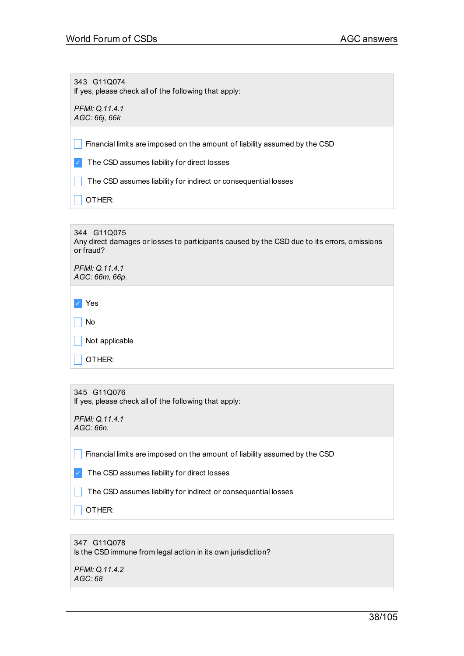343 G11Q074 If yes, please check all of the following that apply:

*PFMI: Q.11.4.1 AGC: 66j, 66k*

 $\Box$  Financial limits are imposed on the amount of liability assumed by the CSD

✓ The CSD assumes liability for direct losses

 $\Box$  The CSD assumes liability for indirect or consequential losses

 $\Box$  OTHER:

344 G11Q075 Any direct damages or losses to participants caused by the CSD due to its errors, omissions or fraud?

| PFMI: Q.11.4.1<br>AGC: 66m, 66p. |
|----------------------------------|
| Yes                              |
| No                               |
| Not applicable                   |
| OTHER:                           |

| 345 G11Q076                                           |
|-------------------------------------------------------|
| If yes, please check all of the following that apply: |

| PFMI: Q.11.4.1 |
|----------------|
| AGC: 66n.      |

Financial limits are imposed on the amount of liability assumed by the CSD

✓ The CSD assumes liability for direct losses

The CSD assumes liability for indirect or consequential losses

\_ OTHER:

| 347 G11Q078                                                  |
|--------------------------------------------------------------|
| Is the CSD immune from legal action in its own jurisdiction? |

*PFMI: Q.11.4.2 AGC: 68*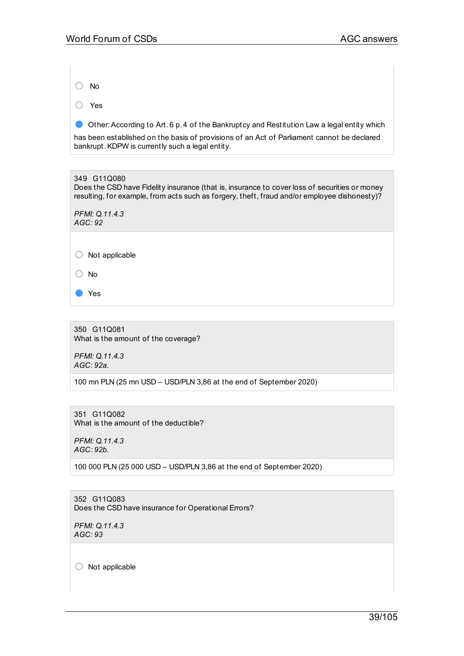○ No

○ Yes

● Other: According to Art. 6 p. 4 of the Bankruptcy and Restitution Law a legal entity which

has been established on the basis of provisions of an Act of Parliament cannot be declared bankrupt.KDPW is currently such a legal entity.

349 G11Q080 Does the CSD have Fidelity insurance (that is, insurance to cover loss of securities or money resulting, for example, from acts such as forgery, theft, fraud and/or employee dishonesty)? *PFMI: Q.11.4.3 AGC: 92*  $\bigcirc$  Not applicable ○ No

350 G11Q081 What is the amount of the coverage?

*PFMI: Q.11.4.3 AGC: 92a.*

● Yes

100 mn PLN (25 mn USD – USD/PLN 3,86 at the end of September 2020)

351 G11Q082 What is the amount of the deductible?

*PFMI: Q.11.4.3 AGC: 92b.*

100 000 PLN (25 000 USD – USD/PLN 3,86 at the end of September 2020)

352 G11Q083 Does the CSD have insurance for Operational Errors?

*PFMI: Q.11.4.3 AGC: 93*

○ Not applicable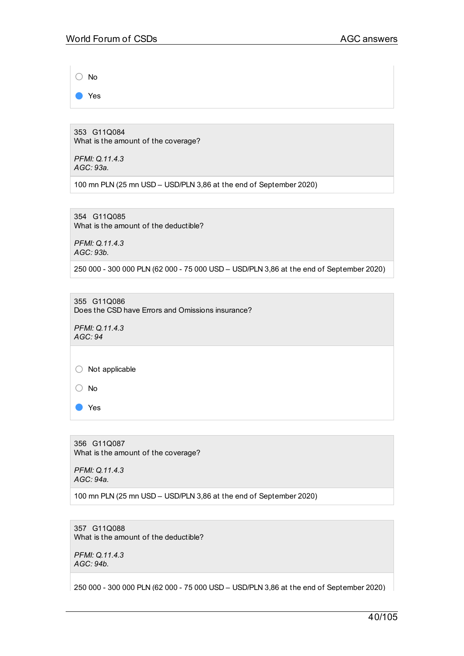○ No

● Yes

353 G11Q084 What is the amount of the coverage?

*PFMI: Q.11.4.3 AGC: 93a.*

100 mn PLN (25 mn USD – USD/PLN 3,86 at the end of September 2020)

354 G11Q085 What is the amount of the deductible?

*PFMI: Q.11.4.3 AGC: 93b.*

250 000 - 300 000 PLN (62 000 - 75 000 USD – USD/PLN 3,86 at the end of September 2020)

355 G11Q086 Does the CSD have Errors and Omissions insurance?

*PFMI: Q.11.4.3 AGC: 94*

 $\bigcirc$  Not applicable

○ No

● Yes

356 G11Q087 What is the amount of the coverage?

*PFMI: Q.11.4.3 AGC: 94a.*

100 mn PLN (25 mn USD – USD/PLN 3,86 at the end of September 2020)

357 G11Q088 What is the amount of the deductible?

*PFMI: Q.11.4.3 AGC: 94b.*

250 000 - 300 000 PLN (62 000 - 75 000 USD – USD/PLN 3,86 at the end of September 2020)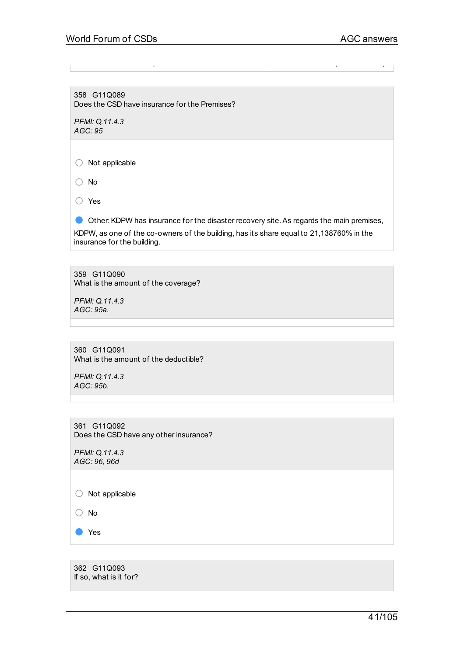358 G11Q089 Does the CSD have insurance for the Premises?

*PFMI: Q.11.4.3 AGC: 95*

○ Not applicable

○ No

○ Yes

Other: KDPW has insurance for the disaster recovery site. As regards the main premises, KDPW, as one of the co-owners of the building, has its share equal to 21,138760% in the insurance for the building.

250 000 - 300 000 PLN (62 000 - 75 000 USD – USD/PLN 3,86 at the end of September 2020)

359 G11Q090 What is the amount of the coverage?

*PFMI: Q.11.4.3 AGC: 95a.*

| 360 G11Q091                           |
|---------------------------------------|
| What is the amount of the deductible? |

*PFMI: Q.11.4.3 AGC: 95b.*

361 G11Q092 Does the CSD have any other insurance?

*PFMI: Q.11.4.3 AGC: 96, 96d*

○ Not applicable

○ No

● Yes

362 G11Q093 If so, what is it for?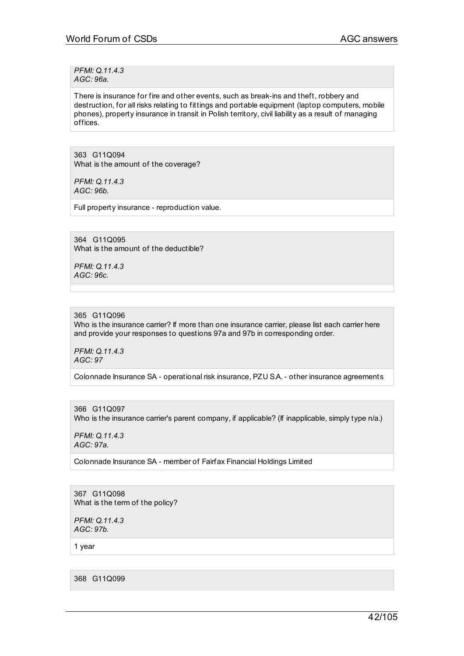*PFMI: Q.11.4.3 AGC: 96a.*

There is insurance for fire and other events, such as break-ins and theft, robbery and destruction, for all risks relating to fittings and portable equipment (laptop computers, mobile phones), property insurance in transit in Polish territory, civil liability as a result of managing offices.

363 G11Q094 What is the amount of the coverage?

*PFMI: Q.11.4.3 AGC: 96b.*

Full property insurance - reproduction value.

364 G11Q095 What is the amount of the deductible?

*PFMI: Q.11.4.3 AGC: 96c.*

365 G11Q096

Who is the insurance carrier? If more than one insurance carrier, please list each carrier here and provide your responses to questions 97a and 97b in corresponding order.

*PFMI: Q.11.4.3 AGC: 97*

Colonnade Insurance SA - operational risk insurance, PZU S.A.- other insurance agreements

366 G11Q097 Who is the insurance carrier's parent company, if applicable? (If inapplicable, simply type n/a.)

*PFMI: Q.11.4.3 AGC: 97a.*

Colonnade Insurance SA - member of Fairfax Financial Holdings Limited

367 G11Q098 What is the term of the policy?

*PFMI: Q.11.4.3 AGC: 97b.*

1 year

368 G11Q099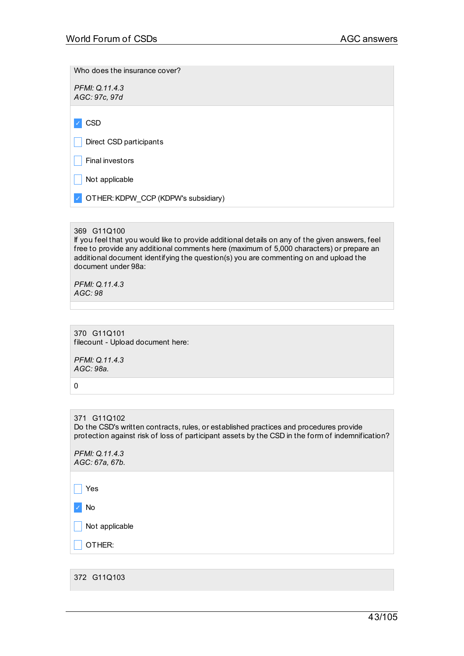Who does the insurance cover?

*PFMI: Q.11.4.3 AGC: 97c, 97d*

✓ CSD

Direct CSD participants

 $\vert \vert$  Final investors

 $\Box$  Not applicable

✓ OTHER:KDPW\_CCP (KDPW's subsidiary)

# 369 G11Q100

If you feel that you would like to provide additional details on any of the given answers, feel free to provide any additional comments here (maximum of 5,000 characters) or prepare an additional document identifying the question(s) you are commenting on and upload the document under 98a:

*PFMI: Q.11.4.3 AGC: 98*

370 G11Q101 filecount - Upload document here:

*PFMI: Q.11.4.3 AGC: 98a.*

0

371 G11Q102 Do the CSD's written contracts, rules, or established practices and procedures provide protection against risk of loss of participant assets by the CSD in the form of indemnification?

*PFMI: Q.11.4.3 AGC: 67a, 67b.*

 $\Box$  Yes

✓ No

 $\blacksquare$  Not applicable

\_ OTHER:

372 G11Q103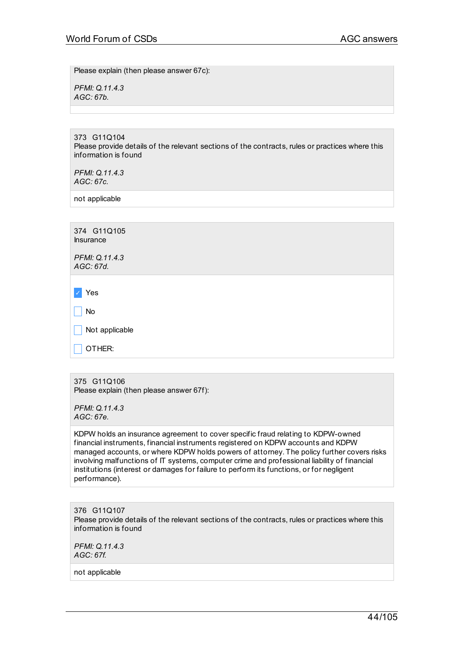Please explain (then please answer 67c):

*PFMI: Q.11.4.3 AGC: 67b.*

373 G11Q104 Please provide details of the relevant sections of the contracts, rules or practices where this information is found

*PFMI: Q.11.4.3 AGC: 67c.*

not applicable

| 374 G11Q105<br>Insurance    |
|-----------------------------|
| PFMI: Q.11.4.3<br>AGC: 67d. |
|                             |
| Yes                         |
| No                          |
| Not applicable              |
| OTHER:                      |
|                             |

375 G11Q106 Please explain (then please answer 67f):

*PFMI: Q.11.4.3 AGC: 67e.*

KDPW holds an insurance agreement to cover specific fraud relating to KDPW-owned financial instruments, financial instruments registered on KDPW accounts and KDPW managed accounts, or where KDPW holds powers of attorney. The policy further covers risks involving malfunctions of IT systems, computer crime and professional liability of financial institutions (interest or damages for failure to perform its functions, or for negligent performance).

376 G11Q107 Please provide details of the relevant sections of the contracts, rules or practices where this information is found

*PFMI: Q.11.4.3 AGC: 67f.*

not applicable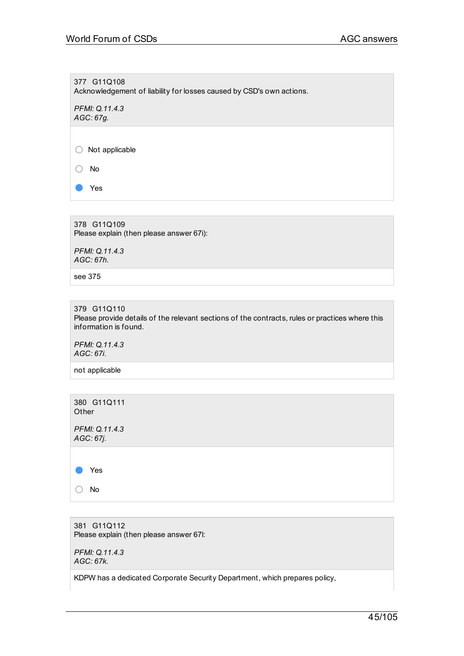377 G11Q108 Acknowledgement of liability for losses caused by CSD's own actions.

*PFMI: Q.11.4.3 AGC: 67g.*

○ Not applicable

○ No

Yes

378 G11Q109 Please explain (then please answer 67i):

*PFMI: Q.11.4.3 AGC: 67h.*

see 375

379 G11Q110

Please provide details of the relevant sections of the contracts, rules or practices where this information is found.

*PFMI: Q.11.4.3 AGC: 67i.*

not applicable



381 G11Q112 Please explain (then please answer 67l:

*PFMI: Q.11.4.3 AGC: 67k.*

KDPW has a dedicated Corporate Security Department, which prepares policy,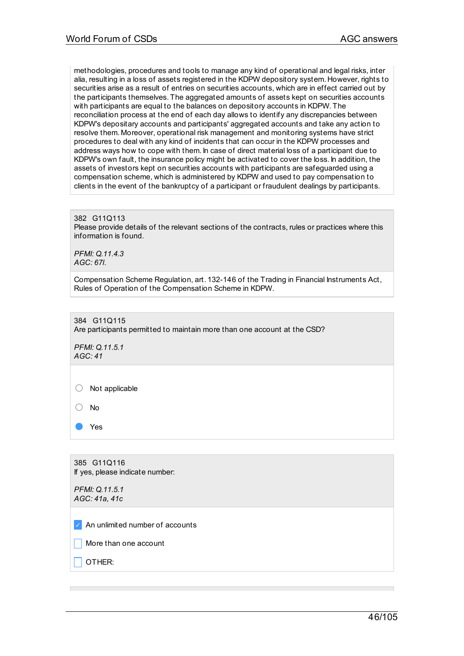methodologies, procedures and tools to manage any kind of operational and legal risks, inter alia, resulting in a loss of assets registered in the KDPW depository system. However, rights to securities arise as a result of entries on securities accounts, which are in effect carried out by the participants themselves. The aggregated amounts of assets kept on securities accounts with participants are equal to the balances on depository accounts in KDPW. The reconciliation process at the end of each day allows to identify any discrepancies between KDPW's depositary accounts and participants' aggregated accounts and take any action to resolve them. Moreover, operational risk management and monitoring systems have strict procedures to deal with any kind of incidents that can occur in the KDPW processes and address ways how to cope with them. In case of direct material loss of a participant due to KDPW's own fault, the insurance policy might be activated to cover the loss. In addition, the assets of investors kept on securities accounts with participants are safeguarded using a compensation scheme, which is administered by KDPW and used to pay compensation to clients in the event of the bankruptcy of a participant or fraudulent dealings by participants.

#### 382 G11Q113

Please provide details of the relevant sections of the contracts, rules or practices where this information is found.

*PFMI: Q.11.4.3 AGC: 67l.*

Compensation Scheme Regulation, art. 132-146 of the Trading in Financial Instruments Act, Rules of Operation of the Compensation Scheme in KDPW.

384 G11Q115

Are participants permitted to maintain more than one account at the CSD?

*PFMI: Q.11.5.1 AGC: 41*

○ Not applicable

○ No

Yes

385 G11Q116 If yes, please indicate number:

*PFMI: Q.11.5.1 AGC: 41a, 41c*

✓ An unlimited number of accounts

More than one account

\_ OTHER: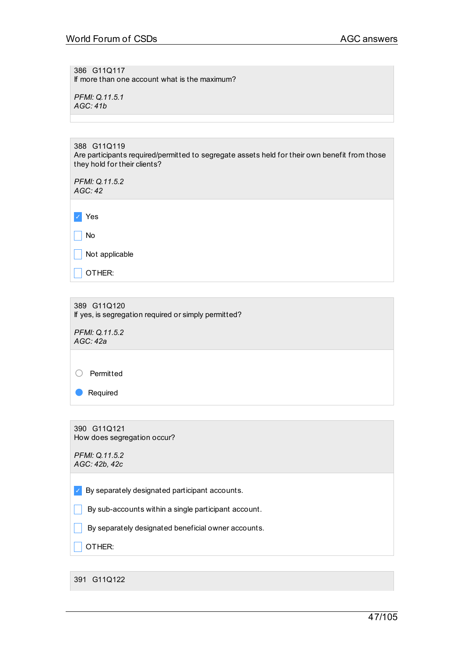386 G11Q117 If more than one account what is the maximum?

*PFMI: Q.11.5.1 AGC: 41b*

| 388 G11Q119                                                                                   |  |
|-----------------------------------------------------------------------------------------------|--|
| Are participants required/permitted to segregate assets held for their own benefit from those |  |
| they hold for their clients?                                                                  |  |

*PFMI: Q.11.5.2 AGC: 42*

✓ Yes

 $\Box$  No

 $\Box$  Not applicable

 $\Box$  OTHER:

389 G11Q120 If yes, is segregation required or simply permitted?

*PFMI: Q.11.5.2 AGC: 42a*

○ Permitted

● Required

390 G11Q121 How does segregation occur?

*PFMI: Q.11.5.2 AGC: 42b, 42c*

 $\triangledown$  By separately designated participant accounts.

 $\Box$  By sub-accounts within a single participant account.

 $\Box$  By separately designated beneficial owner accounts.

 $\Box$  OTHER:

391 G11Q122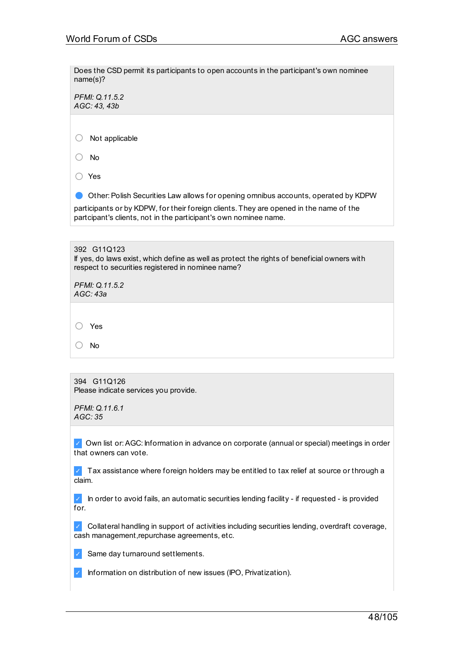Does the CSD permit its participants to open accounts in the participant's own nominee name(s)?

*PFMI: Q.11.5.2 AGC: 43, 43b*

○ Not applicable

○ No

○ Yes

● Other: Polish Securities Law allows for opening omnibus accounts, operated by KDPW participants or by KDPW, for their foreign clients. They are opened in the name of the partcipant's clients, not in the participant's own nominee name.

| 392 G11Q123<br>If yes, do laws exist, which define as well as protect the rights of beneficial owners with<br>respect to securities registered in nominee name? |  |  |
|-----------------------------------------------------------------------------------------------------------------------------------------------------------------|--|--|
| PFMI: Q.11.5.2<br>AGC: 43a                                                                                                                                      |  |  |
|                                                                                                                                                                 |  |  |
| Yes                                                                                                                                                             |  |  |
| Nο                                                                                                                                                              |  |  |

394 G11Q126 Please indicate services you provide.

*PFMI: Q.11.6.1 AGC: 35*

✓ Own list or:AGC: Information in advance on corporate (annual or special) meetings in order that owners can vote.

 $\vee$  Tax assistance where foreign holders may be entitled to tax relief at source or through a claim.

 $\vee$  In order to avoid fails, an automatic securities lending facility - if requested - is provided for.

✓ Collateral handling in support of activities including securities lending, overdraft coverage, cash management,repurchase agreements, etc.

✓ Same day turnaround settlements.

✓ Information on distribution of new issues (IPO, Privatization).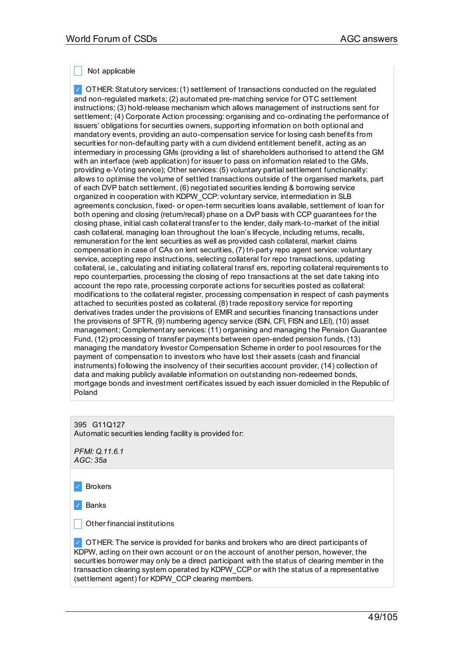Not applicable

✓ OTHER:Statutory services:(1) settlement of transactions conducted on the regulated and non-regulated markets; (2) automated pre-matching service for OTC settlement instructions; (3) hold-release mechanism which allows management of instructions sent for settlement; (4) Corporate Action processing: organising and co-ordinating the performance of issuers' obligations for securities owners, supporting information on both optional and mandatory events, providing an auto-compensation service for losing cash benefits from securities for non-defaulting party with a cum dividend entitlement benefit, acting as an intermediary in processing GMs (providing a list of shareholders authorised to attend the GM with an interface (web application) for issuer to pass on information related to the GMs, providing e-Voting service); Other services:(5) voluntary partial settlement functionality: allows to optimise the volume of settled transactions outside of the organised markets, part of each DVP batch settlement, (6) negotiated securities lending & borrowing service organized in cooperation with KDPW\_CCP: voluntary service, intermediation in SLB agreements conclusion, fixed- or open-term securities loans available, settlement of loan for both opening and closing (return/recall) phase on a DvP basis with CCP guarantees for the closing phase, initial cash collateral transfer to the lender, daily mark-to-market of the initial cash collateral, managing loan throughout the loan's lifecycle, including returns, recalls, remuneration for the lent securities as well as provided cash collateral, market claims compensation in case of CAs on lent securities, (7) tri-party repo agent service: voluntary service, accepting repo instructions, selecting collateral for repo transactions, updating collateral, i.e., calculating and initiating collateral transf ers, reporting collateral requirements to repo counterparties, processing the closing of repo transactions at the set date taking into account the repo rate, processing corporate actions for securities posted as collateral: modifications to the collateral register, processing compensation in respect of cash payments attached to securities posted as collateral.(8) trade repository service for reporting derivatives trades under the provisions of EMIR and securities financing transactions under the provisions of SFTR, (9) numbering agency service (ISIN, CFI, FISN and LEI), (10) asset management; Complementary services:(11) organising and managing the Pension Guarantee Fund, (12) processing of transfer payments between open-ended pension funds, (13) managing the mandatory Investor Compensation Scheme in order to pool resources for the payment of compensation to investors who have lost their assets (cash and financial instruments) following the insolvency of their securities account provider, (14) collection of data and making publicly available information on outstanding non-redeemed bonds, mortgage bonds and investment certificates issued by each issuer domiciled in the Republic of Poland

395 G11Q127

Automatic securities lending facility is provided for:

*PFMI: Q.11.6.1 AGC: 35a*

**Brokers** 

**Banks** 

 $\Box$  Other financial institutions

✓ OTHER: The service is provided for banks and brokers who are direct participants of KDPW, acting on their own account or on the account of another person, however, the securities borrower may only be a direct participant with the status of clearing member in the transaction clearing system operated by KDPW\_CCP or with the status of a representative (settlement agent) for KDPW\_CCP clearing members.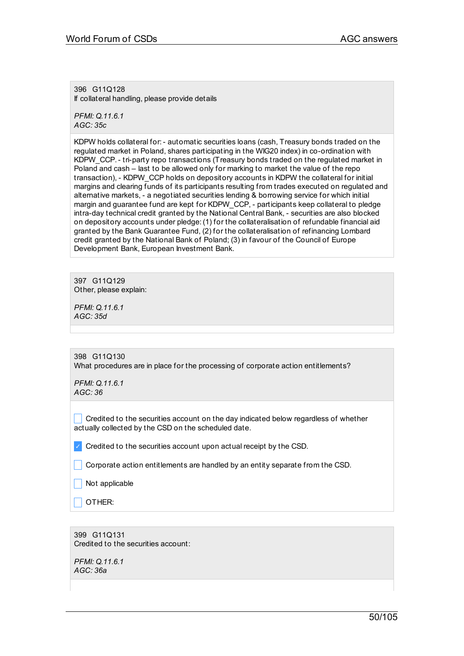396 G11Q128 If collateral handling, please provide details

*PFMI: Q.11.6.1 AGC: 35c*

KDPW holds collateral for:- automatic securities loans (cash, Treasury bonds traded on the regulated market in Poland, shares participating in the WIG20 index) in co-ordination with KDPW\_CCP.- tri-party repo transactions (Treasury bonds traded on the regulated market in Poland and cash – last to be allowed only for marking to market the value of the repo transaction), - KDPW\_CCP holds on depository accounts in KDPW the collateral for initial margins and clearing funds of its participants resulting from trades executed on regulated and alternative markets, - a negotiated securities lending & borrowing service for which initial margin and guarantee fund are kept for KDPW\_CCP, - participants keep collateral to pledge intra-day technical credit granted by the National Central Bank, - securities are also blocked on depository accounts under pledge:(1) for the collateralisation of refundable financial aid granted by the Bank Guarantee Fund, (2) for the collateralisation of refinancing Lombard credit granted by the National Bank of Poland; (3) in favour of the Council of Europe Development Bank, European Investment Bank.

397 G11Q129 Other, please explain:

*PFMI: Q.11.6.1 AGC: 35d*

398 G11Q130 What procedures are in place for the processing of corporate action entitlements?

*PFMI: Q.11.6.1 AGC: 36*

 $\Box$  Credited to the securities account on the day indicated below regardless of whether actually collected by the CSD on the scheduled date.

 $\vee$  Credited to the securities account upon actual receipt by the CSD.

 $\Box$  Corporate action entitlements are handled by an entity separate from the CSD.

Not applicable

\_ OTHER:

399 G11Q131 Credited to the securities account:

*PFMI: Q.11.6.1 AGC: 36a*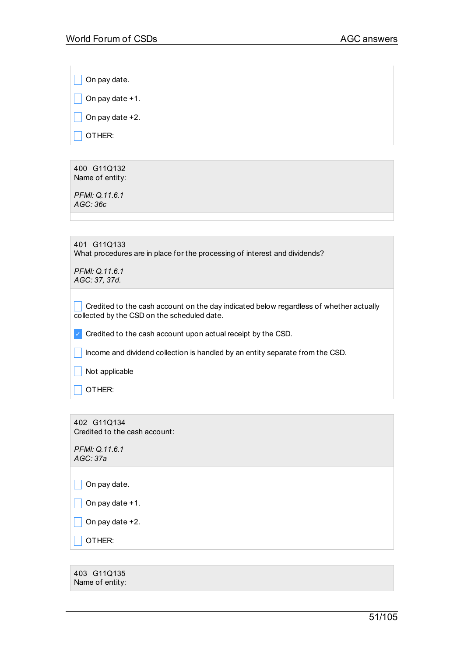$\Box$  On pay date.

 $\Box$  On pay date +1.

 $\Box$  On pay date +2.

 $\Box$  OTHER:

400 G11Q132 Name of entity:

*PFMI: Q.11.6.1 AGC: 36c*

| 401 G11Q133                                                                |
|----------------------------------------------------------------------------|
| What procedures are in place for the processing of interest and dividends? |

*PFMI: Q.11.6.1 AGC: 37, 37d.*

 $\Box$  Credited to the cash account on the day indicated below regardless of whether actually collected by the CSD on the scheduled date.

 $\vee$  Credited to the cash account upon actual receipt by the CSD.

 $\Box$  Income and dividend collection is handled by an entity separate from the CSD.

 $\Box$  Not applicable

 $\Box$  OTHER:

402 G11Q134 Credited to the cash account:

*PFMI: Q.11.6.1 AGC: 37a*

 $\Box$  On pay date.

 $\Box$  On pay date +1.

 $\Box$  On pay date +2.

 $\overline{\phantom{a}}$  OTHER:

403 G11Q135 Name of entity: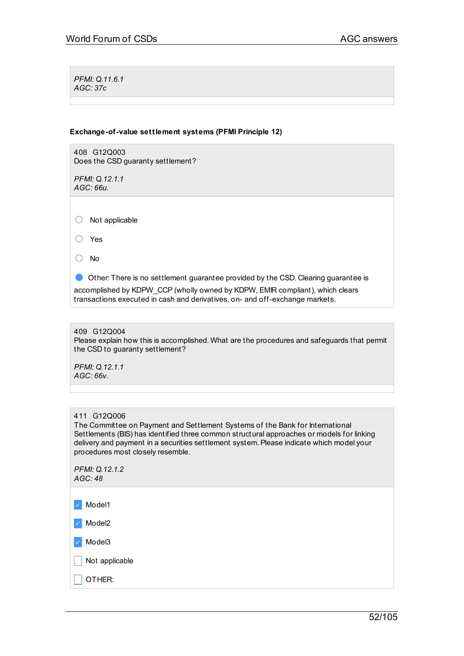*PFMI: Q.11.6.1 AGC: 37c*

## **Exchange-of-value settlement systems (PFMI Principle 12)**

408 G12Q003 Does the CSD guaranty settlement?

*PFMI: Q.12.1.1 AGC: 66u.*

○ Not applicable

○ Yes

○ No

● Other: There is no settlement guarantee provided by the CSD. Clearing guarantee is

accomplished by KDPW\_CCP (wholly owned by KDPW, EMIR compliant), which clears transactions executed in cash and derivatives, on- and off-exchange markets.

# 409 G12Q004

Please explain how this is accomplished. What are the procedures and safeguards that permit the CSD to guaranty settlement?

*PFMI: Q.12.1.1 AGC: 66v.*

## 411 G12Q006

The Committee on Payment and Settlement Systems of the Bank for International Settlements (BIS) has identified three common structural approaches or models for linking delivery and payment in a securities settlement system.Please indicate which model your procedures most closely resemble.

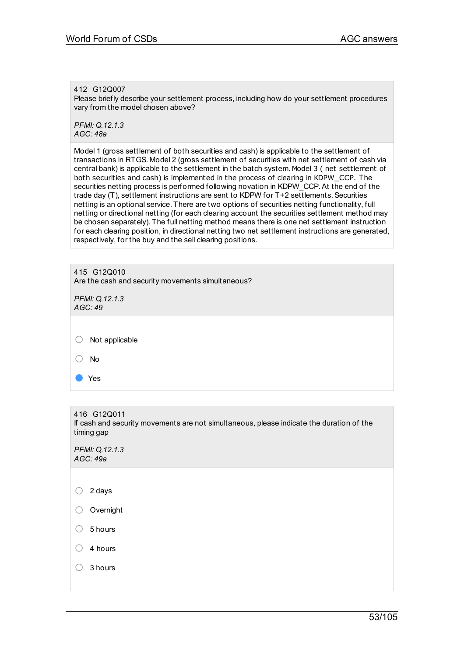## 412 G12Q007

Please briefly describe your settlement process, including how do your settlement procedures vary from the model chosen above?

*PFMI: Q.12.1.3 AGC: 48a*

Model 1 (gross settlement of both securities and cash) is applicable to the settlement of transactions in RTGS. Model 2 (gross settlement of securities with net settlement of cash via central bank) is applicable to the settlement in the batch system. Model 3 ( net settlement of both securities and cash) is implemented in the process of clearing in KDPW\_CCP. The securities netting process is performed following novation in KDPW\_CCP.At the end of the trade day  $(T)$ , settlement instructions are sent to KDPW for  $T+2$  settlements. Securities netting is an optional service. There are two options of securities netting functionality, full netting or directional netting (for each clearing account the securities settlement method may be chosen separately). The full netting method means there is one net settlement instruction for each clearing position, in directional netting two net settlement instructions are generated, respectively, for the buy and the sell clearing positions.

| 415 G12Q010<br>Are the cash and security movements simultaneous?<br>PFMI: Q.12.1.3 |  |
|------------------------------------------------------------------------------------|--|
| AGC:49                                                                             |  |
| Not applicable                                                                     |  |
| No                                                                                 |  |
| Yes                                                                                |  |

416 G12Q011 If cash and security movements are not simultaneous, please indicate the duration of the timing gap

*PFMI: Q.12.1.3 AGC: 49a*

○ <sup>2</sup> days ○ Overnight  $\bigcirc$  5 hours  $\bigcirc$  4 hours ○ <sup>3</sup> hours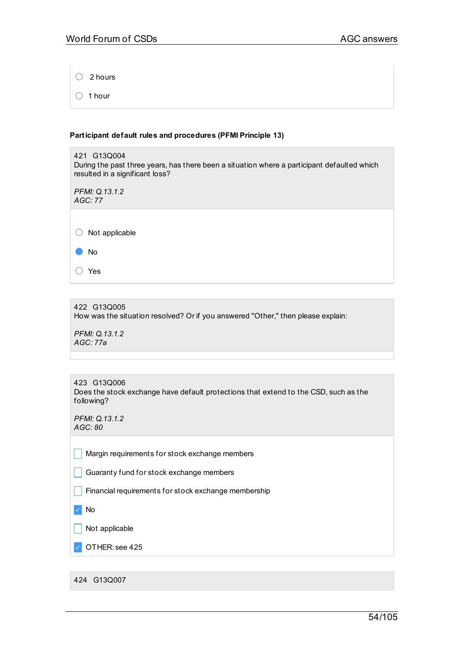○ <sup>2</sup> hours

○ <sup>1</sup> hour

# **Participant default rules and procedures (PFMI Principle 13)**

| 421 G13Q004<br>During the past three years, has there been a situation where a participant defaulted which<br>resulted in a significant loss? |  |  |
|-----------------------------------------------------------------------------------------------------------------------------------------------|--|--|
| PFMI: Q.13.1.2<br>AGC:77                                                                                                                      |  |  |
| Not applicable                                                                                                                                |  |  |
| <b>No</b>                                                                                                                                     |  |  |
| Yes                                                                                                                                           |  |  |

# 422 G13Q005 How was the situation resolved? Or if you answered "Other," then please explain:

*PFMI: Q.13.1.2 AGC: 77a*

| 423 G13Q006                                                                          |
|--------------------------------------------------------------------------------------|
| Does the stock exchange have default protections that extend to the CSD, such as the |
| following?                                                                           |

*PFMI: Q.13.1.2 AGC: 80*

 $\Box$  Margin requirements for stock exchange members

**Guaranty fund for stock exchange members** 

 $\Box$  Financial requirements for stock exchange membership

✓ No

 $\Box$  Not applicable

✓ OTHER: see 425

424 G13Q007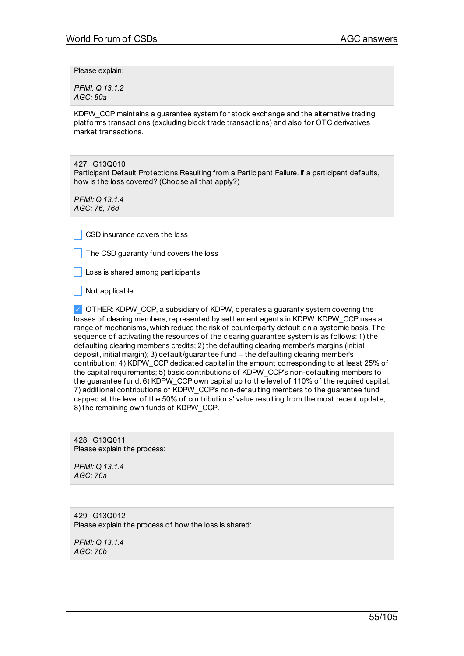Please explain:

*PFMI: Q.13.1.2 AGC: 80a*

KDPW\_CCP maintains a guarantee system for stock exchange and the alternative trading platforms transactions (excluding block trade transactions) and also for OTC derivatives market transactions.

427 G13Q010

Participant Default Protections Resulting from a Participant Failure. If a participant defaults, how is the loss covered? (Choose all that apply?)

*PFMI: Q.13.1.4 AGC: 76, 76d*

CSD insurance covers the loss

 $\Box$  The CSD quaranty fund covers the loss

Loss is shared among participants

 $\overline{\phantom{a}}$  Not applicable

✓ OTHER:KDPW\_CCP, a subsidiary of KDPW, operates a guaranty system covering the losses of clearing members, represented by settlement agents in KDPW. KDPW\_CCP uses a range of mechanisms, which reduce the risk of counterparty default on a systemic basis. The sequence of activating the resources of the clearing guarantee system is as follows: 1) the defaulting clearing member's credits; 2) the defaulting clearing member's margins (initial deposit, initial margin); 3) default/guarantee fund – the defaulting clearing member's contribution; 4) KDPW\_CCP dedicated capital in the amount corresponding to at least 25% of the capital requirements; 5) basic contributions of KDPW\_CCP's non-defaulting members to the guarantee fund; 6) KDPW\_CCP own capital up to the level of 110% of the required capital; 7) additional contributions of KDPW\_CCP's non-defaulting members to the guarantee fund capped at the level of the 50% of contributions' value resulting from the most recent update; 8) the remaining own funds of KDPW\_CCP.

428 G13Q011 Please explain the process:

*PFMI: Q.13.1.4 AGC: 76a*

429 G13Q012 Please explain the process of how the loss is shared:

*PFMI: Q.13.1.4 AGC: 76b*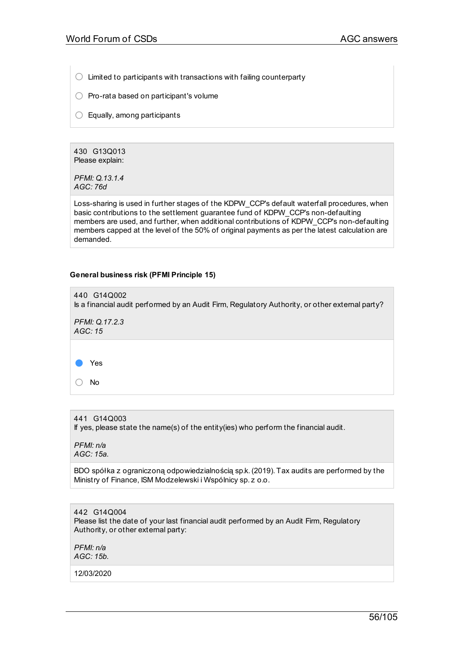$\bigcirc$  Limited to participants with transactions with failing counterparty

- $\bigcirc$  Pro-rata based on participant's volume
- $\bigcirc$  Equally, among participants

430 G13Q013 Please explain:

*PFMI: Q.13.1.4 AGC: 76d*

Loss-sharing is used in further stages of the KDPW\_CCP's default waterfall procedures, when basic contributions to the settlement guarantee fund of KDPW\_CCP's non-defaulting members are used, and further, when additional contributions of KDPW\_CCP's non-defaulting members capped at the level of the 50% of original payments as per the latest calculation are demanded.

## **General business risk (PFMI Principle 15)**



441 G14Q003 If yes, please state the name(s) of the entity(ies) who perform the financial audit.

*PFMI: n/a AGC: 15a.*

BDO spółka z ograniczoną odpowiedzialnością sp.k.(2019). Tax audits are performed by the Ministry of Finance, ISM Modzelewski i Wspólnicy sp. z o.o.

442 G14Q004 Please list the date of your last financial audit performed by an Audit Firm, Regulatory Authority, or other external party:

*PFMI: n/a AGC: 15b.*

12/03/2020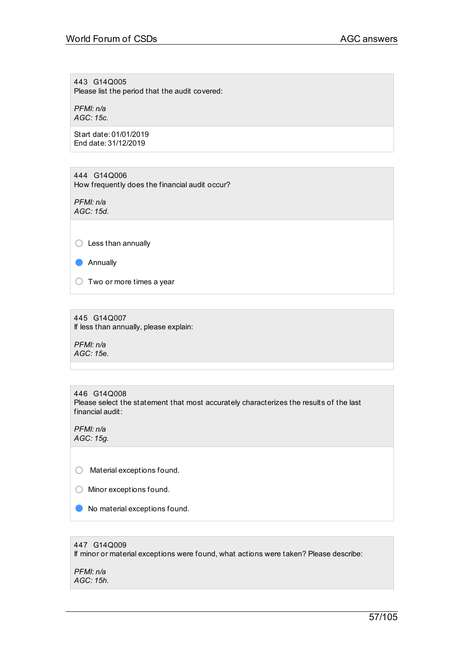443 G14Q005 Please list the period that the audit covered:

*PFMI: n/a AGC: 15c.*

Start date: 01/01/2019 End date: 31/12/2019

444 G14Q006 How frequently does the financial audit occur?

*PFMI: n/a AGC: 15d.*

○ Less than annually

● Annually

 $\bigcirc$  Two or more times a year

445 G14Q007 If less than annually, please explain:

*PFMI: n/a AGC: 15e.*

446 G14Q008 Please select the statement that most accurately characterizes the results of the last financial audit:

*PFMI: n/a AGC: 15g.*

○ Material exceptions found.

○ Minor exceptions found.

● No material exceptions found.

# 447 G14Q009 If minor or material exceptions were found, what actions were taken? Please describe:

*PFMI: n/a AGC: 15h.*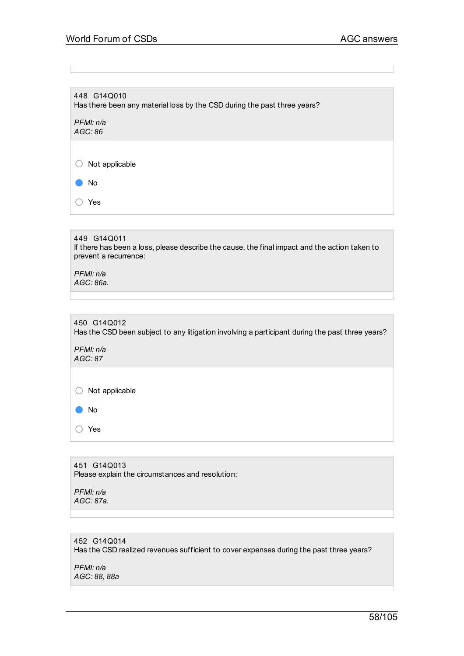448 G14Q010 Has there been any material loss by the CSD during the past three years?

*PFMI: n/a AGC: 86*

 $\bigcirc$  Not applicable

● No

○ Yes

449 G14Q011 If there has been a loss, please describe the cause, the final impact and the action taken to prevent a recurrence:

*PFMI: n/a AGC: 86a.*

450 G14Q012 Has the CSD been subject to any litigation involving a participant during the past three years?

*PFMI: n/a AGC: 87*

 $\bigcirc$  Not applicable

● No

○ Yes

451 G14Q013 Please explain the circumstances and resolution:

*PFMI: n/a AGC: 87a.*

# 452 G14Q014 Has the CSD realized revenues sufficient to cover expenses during the past three years?

*PFMI: n/a AGC: 88, 88a*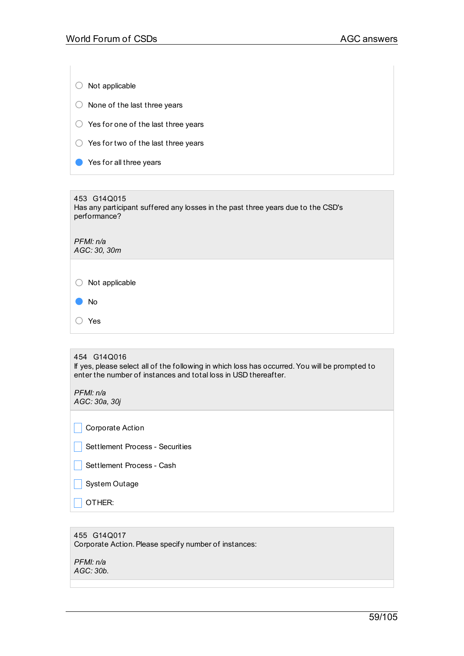$\bigcirc$  Not applicable  $\bigcirc$  None of the last three years ○ Yes for one of the last three years ○ Yes for two of the last three years ● Yes for all three years 453 G14Q015 Has any participant suffered any losses in the past three years due to the CSD's

*PFMI: n/a AGC: 30, 30m*

performance?

○ Not applicable

● No

○ Yes

454 G14Q016 If yes, please select all of the following in which loss has occurred.You will be prompted to enter the number of instances and total loss in USD thereafter.

*PFMI: n/a*

| PFMI: n/a<br>AGC: 30a, 30j      |  |
|---------------------------------|--|
|                                 |  |
| Corporate Action                |  |
| Settlement Process - Securities |  |
| Settlement Process - Cash       |  |
| System Outage                   |  |
| OTHER:                          |  |
|                                 |  |

455 G14Q017 Corporate Action. Please specify number of instances:

*PFMI: n/a AGC: 30b.*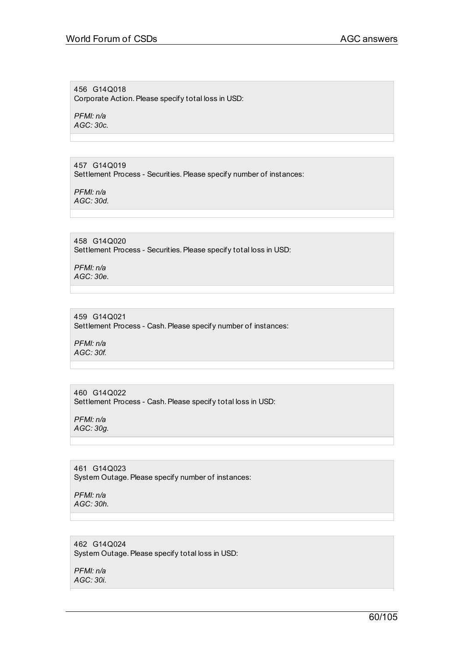456 G14Q018 Corporate Action. Please specify total loss in USD:

*PFMI: n/a AGC: 30c.*

457 G14Q019 Settlement Process - Securities. Please specify number of instances:

*PFMI: n/a AGC: 30d.*

458 G14Q020 Settlement Process - Securities. Please specify total loss in USD:

*PFMI: n/a AGC: 30e.*

459 G14Q021 Settlement Process - Cash. Please specify number of instances:

*PFMI: n/a AGC: 30f.*

460 G14Q022 Settlement Process - Cash. Please specify total loss in USD:

*PFMI: n/a AGC: 30g.*

461 G14Q023 System Outage. Please specify number of instances:

*PFMI: n/a AGC: 30h.*

462 G14Q024 System Outage. Please specify total loss in USD:

*PFMI: n/a AGC: 30i.*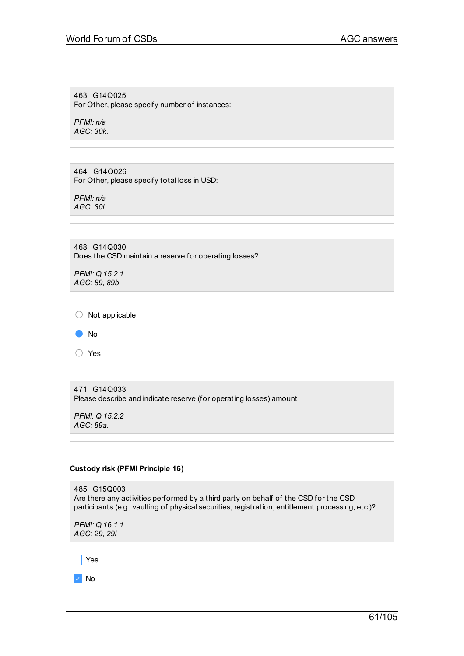463 G14Q025 For Other, please specify number of instances:

*PFMI: n/a AGC: 30k.*

464 G14Q026 For Other, please specify total loss in USD:

*PFMI: n/a AGC: 30l.*

468 G14Q030 Does the CSD maintain a reserve for operating losses?

*PFMI: Q.15.2.1 AGC: 89, 89b*

○ Not applicable

● No

○ Yes

471 G14Q033 Please describe and indicate reserve (for operating losses) amount:

*PFMI: Q.15.2.2 AGC: 89a.*

# **Custody risk (PFMI Principle 16)**

| 485 G15Q003<br>Are there any activities performed by a third party on behalf of the CSD for the CSD<br>participants (e.g., vaulting of physical securities, registration, entitlement processing, etc.)? |
|----------------------------------------------------------------------------------------------------------------------------------------------------------------------------------------------------------|
| PFMI: Q.16.1.1<br>AGC: 29, 29i                                                                                                                                                                           |
|                                                                                                                                                                                                          |
| Yes                                                                                                                                                                                                      |
|                                                                                                                                                                                                          |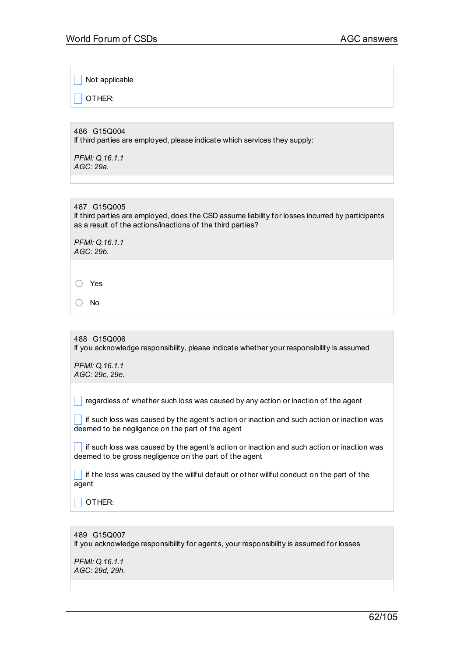Not applicable

OTHER:

486 G15Q004 If third parties are employed, please indicate which services they supply:

*PFMI: Q.16.1.1 AGC: 29a.*

487 G15Q005 If third parties are employed, does the CSD assume liability for losses incurred by participants as a result of the actions/inactions of the third parties?

*PFMI: Q.16.1.1 AGC: 29b.*

○ Yes

○ No

488 G15Q006 If you acknowledge responsibility, please indicate whether your responsibility is assumed

*PFMI: Q.16.1.1 AGC: 29c, 29e.*

 $\Box$  regardless of whether such loss was caused by any action or inaction of the agent

 $\mid \cdot \mid$  if such loss was caused by the agent's action or inaction and such action or inaction was deemed to be negligence on the part of the agent

 $\Box$  if such loss was caused by the agent's action or inaction and such action or inaction was deemed to be gross negligence on the part of the agent

 $\blacksquare$  if the loss was caused by the willful default or other willful conduct on the part of the agent

\_ OTHER:

489 G15Q007 If you acknowledge responsibility for agents, your responsibility is assumed for losses

*PFMI: Q.16.1.1 AGC: 29d, 29h.*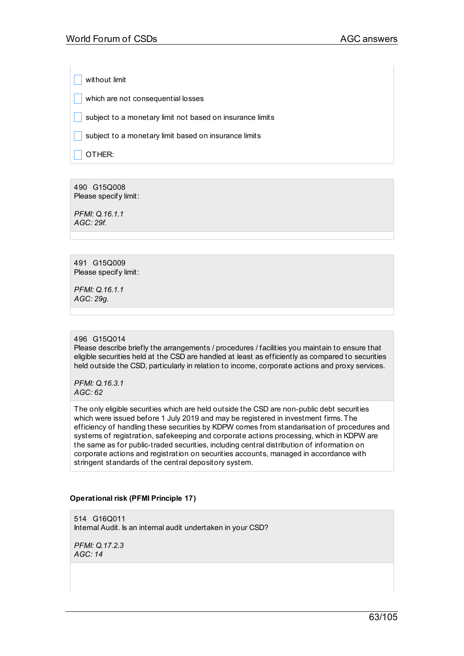without limit

 $\Box$  which are not consequential losses

 $\vert$  subject to a monetary limit not based on insurance limits

 $\Box$  subject to a monetary limit based on insurance limits

OTHER:

490 G15Q008 Please specify limit:

*PFMI: Q.16.1.1 AGC: 29f.*

491 G15Q009 Please specify limit:

*PFMI: Q.16.1.1 AGC: 29g.*

## 496 G15Q014

Please describe briefly the arrangements / procedures / facilities you maintain to ensure that eligible securities held at the CSD are handled at least as efficiently as compared to securities held outside the CSD, particularly in relation to income, corporate actions and proxy services.

*PFMI: Q.16.3.1 AGC: 62*

The only eligible securities which are held outside the CSD are non-public debt securities which were issued before 1 July 2019 and may be registered in investment firms. The efficiency of handling these securities by KDPW comes from standarisation of procedures and systems of registration, safekeeping and corporate actions processing, which in KDPW are the same as for public-traded securities, including central distribution of information on corporate actions and registration on securities accounts, managed in accordance with stringent standards of the central depository system.

# **Operational risk (PFMI Principle 17)**

514 G16Q011 Internal Audit. Is an internal audit undertaken in your CSD?

*PFMI: Q.17.2.3 AGC: 14*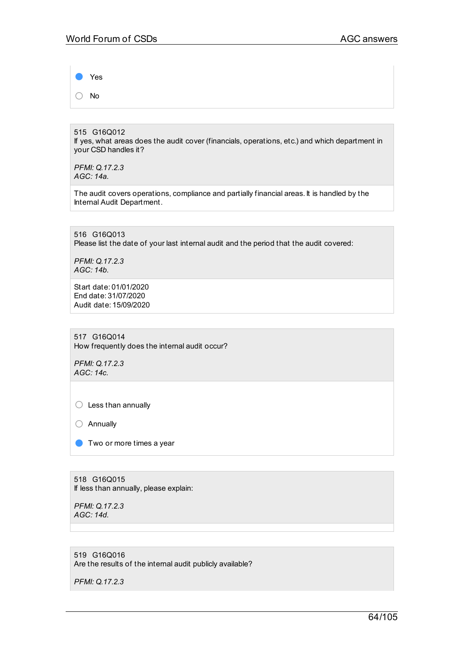Yes ○ No

515 G16Q012 If yes, what areas does the audit cover (financials, operations, etc.) and which department in your CSD handles it?

*PFMI: Q.17.2.3 AGC: 14a.*

The audit covers operations, compliance and partially financial areas. It is handled by the Internal Audit Department.

516 G16Q013 Please list the date of your last internal audit and the period that the audit covered:

*PFMI: Q.17.2.3 AGC: 14b.*

Start date: 01/01/2020 End date: 31/07/2020 Audit date: 15/09/2020

517 G16Q014 How frequently does the internal audit occur?

*PFMI: Q.17.2.3 AGC: 14c.*

○ Less than annually

○ Annually

**O** Two or more times a year

518 G16Q015 If less than annually, please explain:

*PFMI: Q.17.2.3 AGC: 14d.*

519 G16Q016 Are the results of the internal audit publicly available?

*PFMI: Q.17.2.3*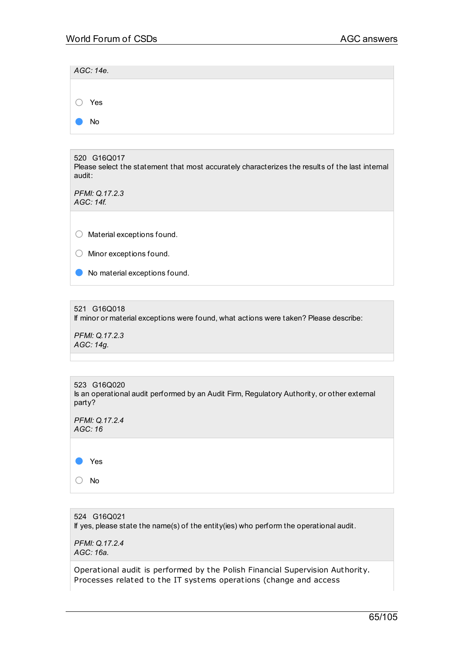|           | AGC: 14e.      |  |  |  |
|-----------|----------------|--|--|--|
|           |                |  |  |  |
|           | $\bigcirc$ Yes |  |  |  |
| <b>CO</b> | No             |  |  |  |

520 G16Q017 Please select the statement that most accurately characterizes the results of the last internal audit:

*PFMI: Q.17.2.3 AGC: 14f.*

○ Material exceptions found.

○ Minor exceptions found.

● No material exceptions found.

521 G16Q018

If minor or material exceptions were found, what actions were taken? Please describe:

*PFMI: Q.17.2.3 AGC: 14g.*

523 G16Q020 Is an operational audit performed by an Audit Firm, Regulatory Authority, or other external party?

*PFMI: Q.17.2.4 AGC: 16*

● Yes

○ No

524 G16Q021 If yes, please state the name(s) of the entity(ies) who perform the operational audit.

*PFMI: Q.17.2.4 AGC: 16a.*

Operational audit is performed by the Polish Financial Supervision Authority. Processes related to the IT systems operations (change and access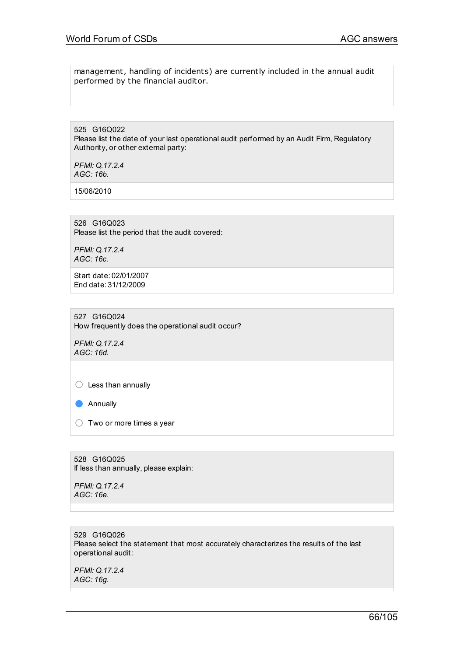management, handling of incidents) are currently included in the annual audit performed by the financial auditor.

525 G16Q022 Please list the date of your last operational audit performed by an Audit Firm, Regulatory Authority, or other external party:

*PFMI: Q.17.2.4 AGC: 16b.*

15/06/2010

526 G16Q023 Please list the period that the audit covered:

*PFMI: Q.17.2.4 AGC: 16c.*

Start date: 02/01/2007 End date: 31/12/2009

527 G16Q024 How frequently does the operational audit occur?

*PFMI: Q.17.2.4 AGC: 16d.*

 $\bigcirc$  Less than annually

● Annually

 $\bigcirc$  Two or more times a year

528 G16Q025 If less than annually, please explain:

*PFMI: Q.17.2.4 AGC: 16e.*

529 G16Q026 Please select the statement that most accurately characterizes the results of the last operational audit:

*PFMI: Q.17.2.4 AGC: 16g.*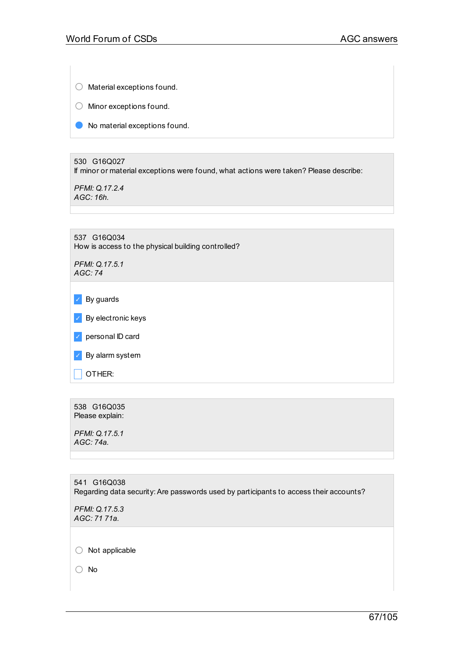○ Material exceptions found.

○ Minor exceptions found.

● No material exceptions found.

530 G16Q027 If minor or material exceptions were found, what actions were taken? Please describe:

*PFMI: Q.17.2.4 AGC: 16h.*

| 537 G16Q034<br>How is access to the physical building controlled? |
|-------------------------------------------------------------------|
| PFMI: Q.17.5.1<br>AGC:74                                          |
|                                                                   |
| By guards                                                         |
| By electronic keys                                                |
| personal ID card                                                  |
| By alarm system                                                   |
| OTHER:                                                            |
|                                                                   |
|                                                                   |

538 G16Q035 Please explain:

*PFMI: Q.17.5.1 AGC: 74a.*

541 G16Q038 Regarding data security:Are passwords used by participants to access their accounts? *PFMI: Q.17.5.3 AGC: 71 71a.* ○ Not applicable

○ No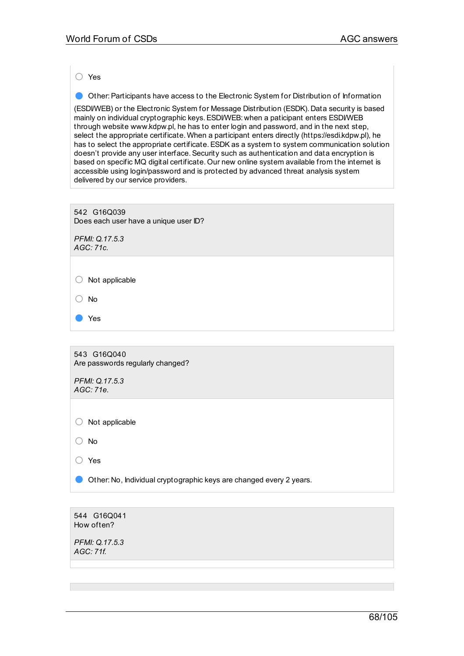○ Yes

● Other: Participants have access to the Electronic System for Distribution of Information

(ESDI/WEB) or the Electronic System for Message Distribution (ESDK). Data security is based mainly on individual cryptographic keys. ESDI/WEB: when a paticipant enters ESDI/WEB through website www.kdpw.pl, he has to enter login and password, and in the next step, select the appropriate certificate. When a participant enters directly (https://esdi.kdpw.pl), he has to select the appropriate certificate.ESDK as a system to system communication solution doesn't provide any user interface. Security such as authentication and data encryption is based on specific MQ digital certificate. Our new online system available from the internet is accessible using login/password and is protected by advanced threat analysis system delivered by our service providers.

| 542 G16Q039                           |
|---------------------------------------|
| Does each user have a unique user ID? |

*PFMI: Q.17.5.3 AGC: 71c.*

○ Not applicable

○ No

● Yes

543 G16Q040 Are passwords regularly changed?

*PFMI: Q.17.5.3 AGC: 71e.*

 $\bigcirc$  Not applicable

○ No

○ Yes

**O** Other: No, Individual cryptographic keys are changed every 2 years.

544 G16Q041 How often?

*PFMI: Q.17.5.3 AGC: 71f.*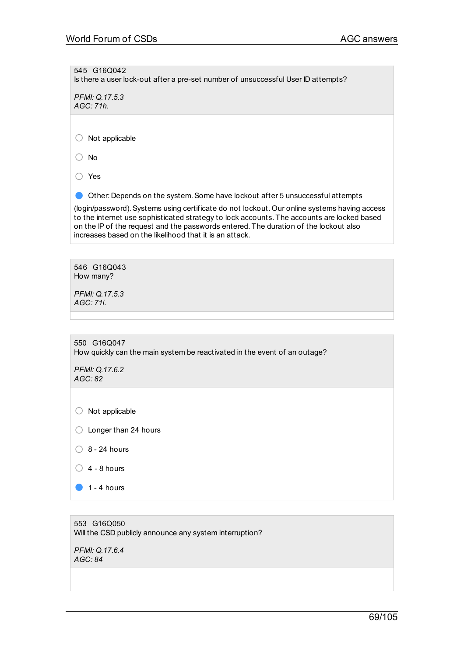545 G16Q042 Is there a user lock-out after a pre-set number of unsuccessful User ID attempts?

*PFMI: Q.17.5.3 AGC: 71h.*

○ Not applicable

○ No

○ Yes

● Other: Depends on the system. Some have lockout after 5 unsuccessful attempts

(login/password).Systems using certificate do not lockout. Our online systems having access to the internet use sophisticated strategy to lock accounts. The accounts are locked based on the IP of the request and the passwords entered. The duration of the lockout also increases based on the likelihood that it is an attack.

546 G16Q043 How many?

*PFMI: Q.17.5.3 AGC: 71i.*

550 G16Q047 How quickly can the main system be reactivated in the event of an outage? *PFMI: Q.17.6.2 AGC: 82*

 $\bigcirc$  Not applicable

 $\bigcirc$  Longer than 24 hours

- $\bigcirc$  8 24 hours
- $\bigcirc$  4 8 hours
- $\bullet$  1 4 hours

553 G16Q050 Will the CSD publicly announce any system interruption?

*PFMI: Q.17.6.4 AGC: 84*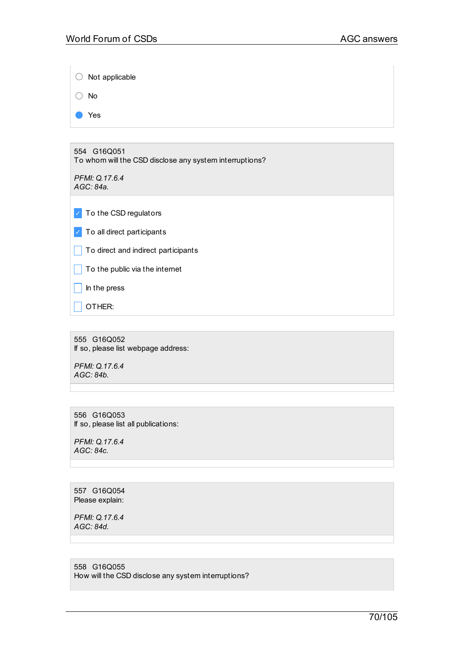| Not applicable                                                         |
|------------------------------------------------------------------------|
| No                                                                     |
| Yes                                                                    |
|                                                                        |
| 554 G16Q051<br>To whom will the CSD disclose any system interruptions? |
| PFMI: Q.17.6.4<br>AGC: 84a.                                            |
| To the CSD regulators<br>$\mathcal{L}$                                 |
| To all direct participants<br>$\checkmark$                             |
| To direct and indirect participants                                    |
| To the public via the internet                                         |
| In the press                                                           |
| OTHER:                                                                 |
|                                                                        |

555 G16Q052 If so, please list webpage address:

*PFMI: Q.17.6.4 AGC: 84b.*

556 G16Q053 If so, please list all publications:

*PFMI: Q.17.6.4 AGC: 84c.*

557 G16Q054 Please explain:

*PFMI: Q.17.6.4 AGC: 84d.*

558 G16Q055 How will the CSD disclose any system interruptions?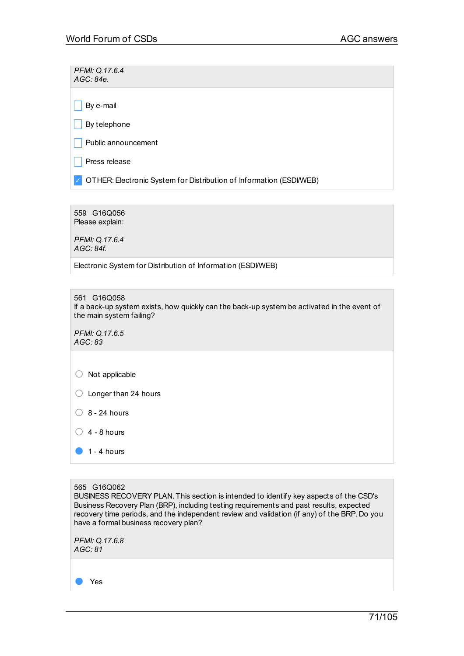*PFMI: Q.17.6.4 AGC: 84e.*

 $\vert$  By e-mail

 $\Box$  By telephone

 $\Box$  Public announcement

 $\Box$  Press release

✓ OTHER:Electronic System for Distribution of Information (ESDI/WEB)

559 G16Q056 Please explain:

*PFMI: Q.17.6.4 AGC: 84f.*

Electronic System for Distribution of Information (ESDI/WEB)

561 G16Q058

If a back-up system exists, how quickly can the back-up system be activated in the event of the main system failing?

*PFMI: Q.17.6.5 AGC: 83*

 $\bigcirc$  Not applicable

○ Longer than 24 hours

 $\bigcirc$  8 - 24 hours

 $\bigcirc$  4 - 8 hours

 $\bullet$  1 - 4 hours

565 G16Q062

BUSINESS RECOVERY PLAN. This section is intended to identify key aspects of the CSD's Business Recovery Plan (BRP), including testing requirements and past results, expected recovery time periods, and the independent review and validation (if any) of the BRP. Do you have a formal business recovery plan?

*PFMI: Q.17.6.8 AGC: 81*

Yes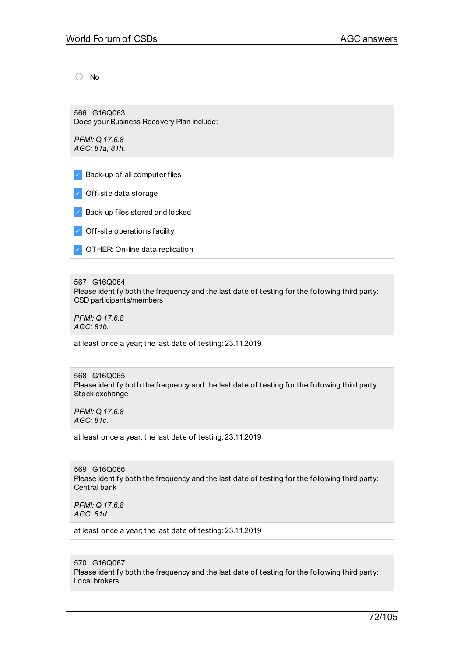○ No

566 G16Q063 Does your Business Recovery Plan include:

*PFMI: Q.17.6.8 AGC: 81a, 81h.*

✓ Back-up of all computer files

✓ Off-site data storage

✓ Back-up files stored and locked

- ✓ Off-site operations facility
- ✓ OTHER: On-line data replication

567 G16Q064

Please identify both the frequency and the last date of testing for the following third party: CSD participants/members

*PFMI: Q.17.6.8 AGC: 81b.*

at least once a year; the last date of testing: 23.11.2019

#### 568 G16Q065 Please identify both the frequency and the last date of testing for the following third party: Stock exchange

*PFMI: Q.17.6.8 AGC: 81c.*

at least once a year; the last date of testing: 23.11.2019

569 G16Q066 Please identify both the frequency and the last date of testing for the following third party: Central bank

*PFMI: Q.17.6.8 AGC: 81d.*

at least once a year; the last date of testing: 23.11.2019

570 G16Q067

Please identify both the frequency and the last date of testing for the following third party: Local brokers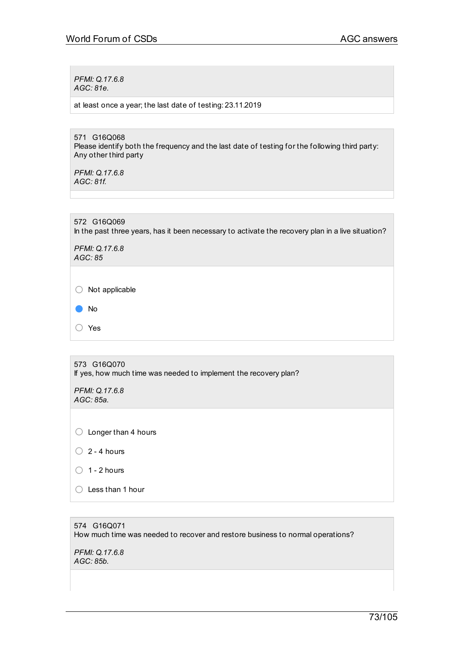*PFMI: Q.17.6.8 AGC: 81e.*

at least once a year; the last date of testing: 23.11.2019

571 G16Q068 Please identify both the frequency and the last date of testing for the following third party: Any other third party

*PFMI: Q.17.6.8 AGC: 81f.*

572 G16Q069 In the past three years, has it been necessary to activate the recovery plan in a live situation?

*PFMI: Q.17.6.8 AGC: 85*

 $\bigcirc$  Not applicable



○ Yes

573 G16Q070 If yes, how much time was needed to implement the recovery plan?

*PFMI: Q.17.6.8 AGC: 85a.*

○ Longer than 4 hours

- $\bigcirc$  2 4 hours
- $\bigcirc$  1 2 hours
- Less than <sup>1</sup> hour

## 574 G16Q071 How much time was needed to recover and restore business to normal operations?

*PFMI: Q.17.6.8 AGC: 85b.*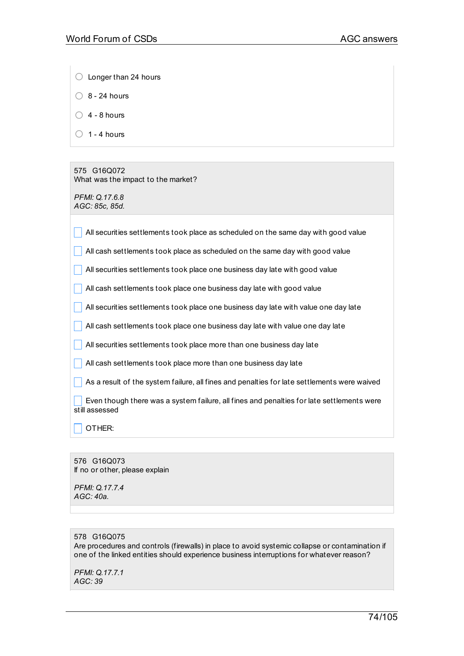- Longer than 24 hours
- $\bigcirc$  8 24 hours
- $\bigcirc$  4 8 hours
- $\bigcirc$  1 4 hours

575 G16Q072 What was the impact to the market?

*PFMI: Q.17.6.8 AGC: 85c, 85d.*

| All securities settlements took place as scheduled on the same day with good value                          |
|-------------------------------------------------------------------------------------------------------------|
| All cash settlements took place as scheduled on the same day with good value                                |
| All securities settlements took place one business day late with good value                                 |
| All cash settlements took place one business day late with good value                                       |
| All securities settlements took place one business day late with value one day late                         |
| All cash settlements took place one business day late with value one day late                               |
| All securities settlements took place more than one business day late                                       |
| All cash settlements took place more than one business day late                                             |
| As a result of the system failure, all fines and penalties for late settlements were waived                 |
| Even though there was a system failure, all fines and penalties for late settlements were<br>still assessed |
| OTHER:                                                                                                      |

576 G16Q073 If no or other, please explain

*PFMI: Q.17.7.4 AGC: 40a.*

# 578 G16Q075

Are procedures and controls (firewalls) in place to avoid systemic collapse or contamination if one of the linked entities should experience business interruptions for whatever reason?

*PFMI: Q.17.7.1 AGC: 39*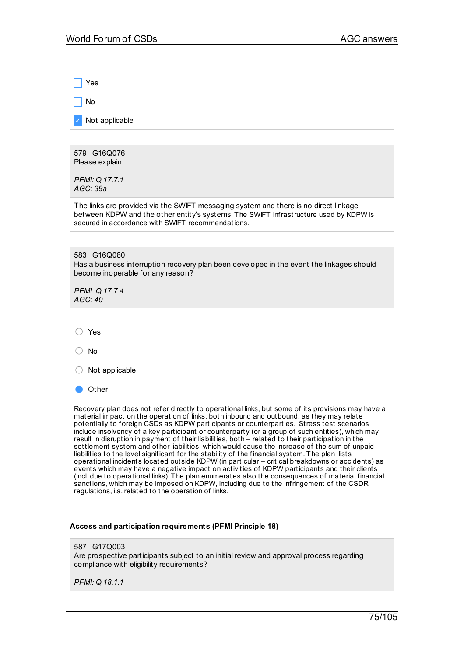| Yes                                                                                                                                                                                                                                                                                                                                                                                                                                                                                                                                                                                                                                                                                                    |
|--------------------------------------------------------------------------------------------------------------------------------------------------------------------------------------------------------------------------------------------------------------------------------------------------------------------------------------------------------------------------------------------------------------------------------------------------------------------------------------------------------------------------------------------------------------------------------------------------------------------------------------------------------------------------------------------------------|
| No                                                                                                                                                                                                                                                                                                                                                                                                                                                                                                                                                                                                                                                                                                     |
| Not applicable                                                                                                                                                                                                                                                                                                                                                                                                                                                                                                                                                                                                                                                                                         |
|                                                                                                                                                                                                                                                                                                                                                                                                                                                                                                                                                                                                                                                                                                        |
| 579 G16Q076<br>Please explain                                                                                                                                                                                                                                                                                                                                                                                                                                                                                                                                                                                                                                                                          |
| PFMI: Q.17.7.1<br>AGC: 39a                                                                                                                                                                                                                                                                                                                                                                                                                                                                                                                                                                                                                                                                             |
| The links are provided via the SWIFT messaging system and there is no direct linkage<br>between KDPW and the other entity's systems. The SWIFT infrastructure used by KDPW is<br>secured in accordance with SWIFT recommendations.                                                                                                                                                                                                                                                                                                                                                                                                                                                                     |
|                                                                                                                                                                                                                                                                                                                                                                                                                                                                                                                                                                                                                                                                                                        |
| 583 G16Q080<br>Has a business interruption recovery plan been developed in the event the linkages should<br>become inoperable for any reason?                                                                                                                                                                                                                                                                                                                                                                                                                                                                                                                                                          |
| PFMI: Q.17.7.4<br>AGC:40                                                                                                                                                                                                                                                                                                                                                                                                                                                                                                                                                                                                                                                                               |
| Yes                                                                                                                                                                                                                                                                                                                                                                                                                                                                                                                                                                                                                                                                                                    |
| <b>No</b>                                                                                                                                                                                                                                                                                                                                                                                                                                                                                                                                                                                                                                                                                              |
| Not applicable                                                                                                                                                                                                                                                                                                                                                                                                                                                                                                                                                                                                                                                                                         |
| Other                                                                                                                                                                                                                                                                                                                                                                                                                                                                                                                                                                                                                                                                                                  |
| Recovery plan does not refer directly to operational links, but some of its provisions may have a<br>material impact on the operation of links, both inbound and outbound, as they may relate<br>potentially to foreign CSDs as KDPW participants or counterparties. Stress test scenarios<br>include insolvency of a key participant or counterparty (or a group of such entities), which may<br>result in disruption in payment of their liabilities, both – related to their participation in the<br>settlement system and other liabilities, which would cause the increase of the sum of unpaid<br>liabilities to the level significant for the stability of the financial system. The plan lists |

## **Access and participation requirements (PFMI Principle 18)**

587 G17Q003 Are prospective participants subject to an initial review and approval process regarding compliance with eligibility requirements?

*PFMI: Q.18.1.1*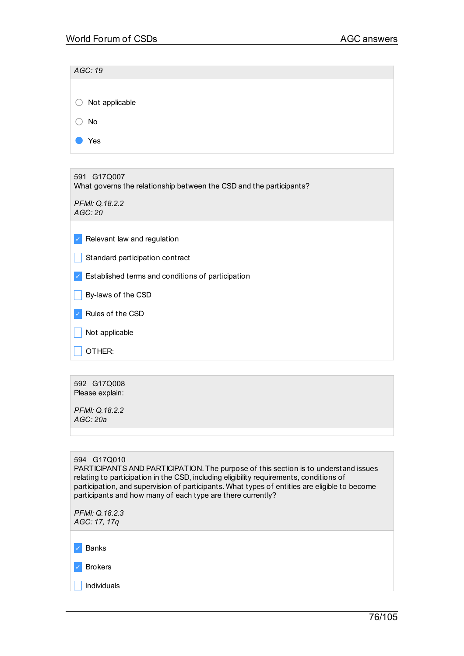| AGC: 19                                                                            |
|------------------------------------------------------------------------------------|
|                                                                                    |
| Not applicable                                                                     |
| <b>No</b>                                                                          |
| Yes                                                                                |
|                                                                                    |
| 591 G17Q007<br>What governs the relationship between the CSD and the participants? |
| PFMI: Q.18.2.2<br>AGC: 20                                                          |
| Relevant law and regulation                                                        |
| Standard participation contract                                                    |
| Established terms and conditions of participation                                  |
| By-laws of the CSD                                                                 |
| Rules of the CSD                                                                   |
| Not applicable                                                                     |

 $\Box$  Other:

592 G17Q008 Please explain:

*PFMI: Q.18.2.2 AGC: 20a*

| 594 G17Q010<br>PARTICIPANTS AND PARTICIPATION. The purpose of this section is to understand issues<br>relating to participation in the CSD, including eligibility requirements, conditions of<br>participation, and supervision of participants. What types of entities are eligible to become |
|------------------------------------------------------------------------------------------------------------------------------------------------------------------------------------------------------------------------------------------------------------------------------------------------|
| participants and how many of each type are there currently?                                                                                                                                                                                                                                    |
| PFMI: Q.18.2.3<br>AGC: 17, 17g                                                                                                                                                                                                                                                                 |
|                                                                                                                                                                                                                                                                                                |
| <b>Banks</b>                                                                                                                                                                                                                                                                                   |
| <b>Brokers</b>                                                                                                                                                                                                                                                                                 |
| Individuals                                                                                                                                                                                                                                                                                    |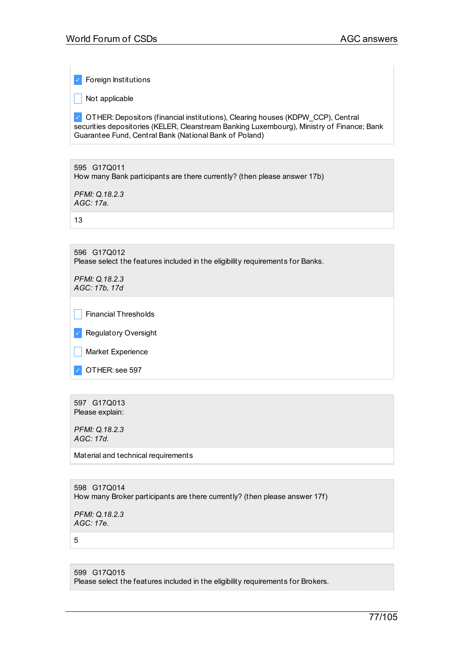✓ Foreign Institutions

 $\Box$  Not applicable

✓ OTHER: Depositors (financial institutions), Clearing houses (KDPW\_CCP), Central securities depositories (KELER, Clearstream Banking Luxembourg), Ministry of Finance; Bank Guarantee Fund, Central Bank (National Bank of Poland)

595 G17Q011 How many Bank participants are there currently? (then please answer 17b)

*PFMI: Q.18.2.3 AGC: 17a.*

13

596 G17Q012 Please select the features included in the eligibility requirements for Banks.

*PFMI: Q.18.2.3 AGC: 17b, 17d*

|               | Financial Thresholds        |
|---------------|-----------------------------|
| $\mathcal{L}$ | <b>Regulatory Oversight</b> |

| Market Experience

✓ OTHER: see 597

597 G17Q013 Please explain:

*PFMI: Q.18.2.3 AGC: 17d.*

Material and technical requirements

598 G17Q014 How many Broker participants are there currently? (then please answer 17f)

*PFMI: Q.18.2.3 AGC: 17e.*

5

599 G17Q015 Please select the features included in the eligibility requirements for Brokers.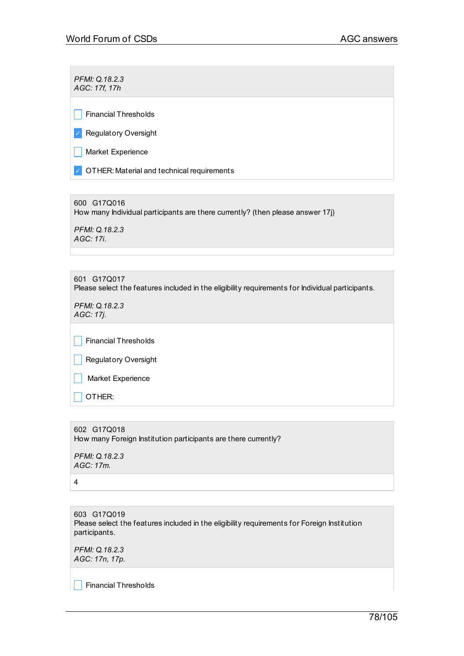*PFMI: Q.18.2.3 AGC: 17f, 17h*

 $\Box$  Financial Thresholds

✓ Regulatory Oversight

 $\Box$  Market Experience

✓ OTHER: Material and technical requirements

600 G17Q016 How many Individual participants are there currently? (then please answer 17j)

*PFMI: Q.18.2.3 AGC: 17i.*

601 G17Q017 Please select the features included in the eligibility requirements for Individual participants. *PFMI: Q.18.2.3*

*AGC: 17j.*

 $\vert \vert$  Financial Thresholds

**Regulatory Oversight** 

**Narket Experience** 

 $\Box$  OTHER:

602 G17Q018 How many Foreign Institution participants are there currently? *PFMI: Q.18.2.3 AGC: 17m.*

4

603 G17Q019 Please select the features included in the eligibility requirements for Foreign Institution participants.

*PFMI: Q.18.2.3 AGC: 17n, 17p.*

 $\Box$  Financial Thresholds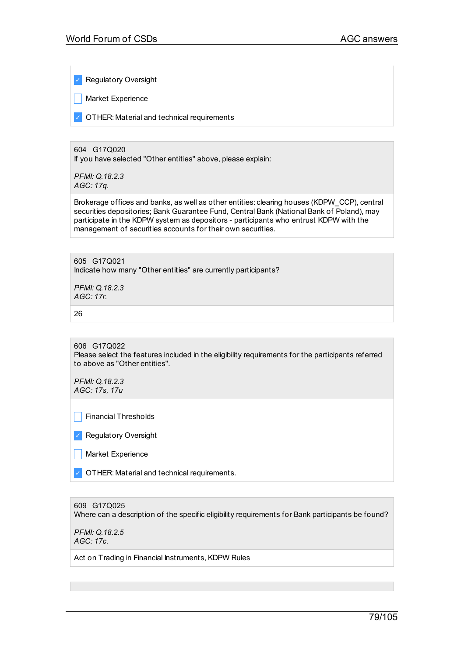✓ Regulatory Oversight

**Market Experience** 

✓ OTHER: Material and technical requirements

604 G17Q020 If you have selected "Other entities" above, please explain:

*PFMI: Q.18.2.3 AGC: 17q.*

Brokerage offices and banks, as well as other entities: clearing houses (KDPW\_CCP), central securities depositories; Bank Guarantee Fund, Central Bank (National Bank of Poland), may participate in the KDPW system as depositors - participants who entrust KDPW with the management of securities accounts for their own securities.

605 G17Q021 Indicate how many "Other entities" are currently participants?

*PFMI: Q.18.2.3 AGC: 17r.*

26

606 G17Q022 Please select the features included in the eligibility requirements for the participants referred to above as "Other entities".

*PFMI: Q.18.2.3 AGC: 17s, 17u*

 $\Box$  Financial Thresholds

✓ Regulatory Oversight

| Market Experience

✓ OTHER: Material and technical requirements.

609 G17Q025 Where can a description of the specific eligibility requirements for Bank participants be found?

*PFMI: Q.18.2.5 AGC: 17c.*

Act on Trading in Financial Instruments, KDPW Rules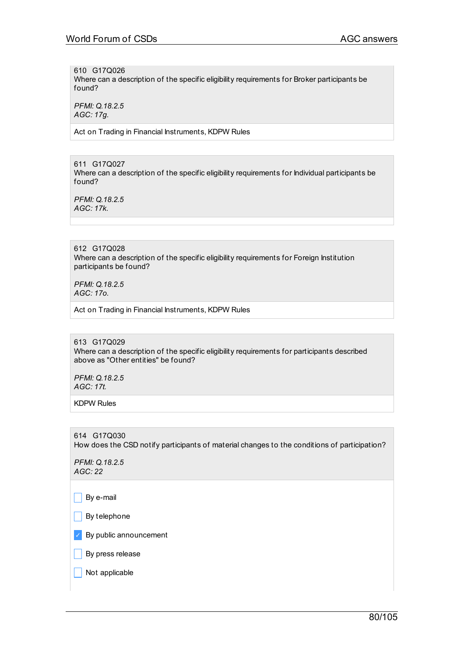610 G17Q026

Where can a description of the specific eligibility requirements for Broker participants be found?

*PFMI: Q.18.2.5 AGC: 17g.*

Act on Trading in Financial Instruments, KDPW Rules

611 G17Q027 Where can a description of the specific eligibility requirements for Individual participants be found?

*PFMI: Q.18.2.5 AGC: 17k.*

612 G17Q028 Where can a description of the specific eligibility requirements for Foreign Institution participants be found?

*PFMI: Q.18.2.5 AGC: 17o.*

Act on Trading in Financial Instruments, KDPW Rules

613 G17Q029 Where can a description of the specific eligibility requirements for participants described above as "Other entities" be found?

*PFMI: Q.18.2.5 AGC: 17t.*

KDPW Rules

614 G17Q030 How does the CSD notify participants of material changes to the conditions of participation?

*PFMI: Q.18.2.5 AGC: 22*

 $\Box$  By e-mail

 $\Box$  By telephone

 $\vee$  By public announcement

 $\vert$  By press release

 $\vert$  Not applicable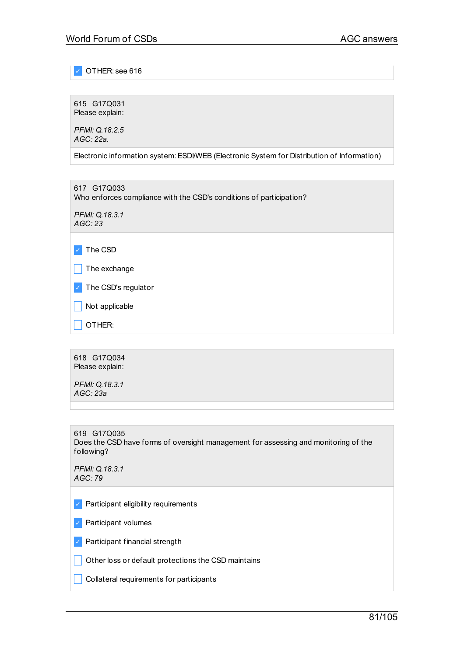✓ OTHER: see 616

615 G17Q031 Please explain:

*PFMI: Q.18.2.5 AGC: 22a.*

Electronic information system:ESDI/WEB (Electronic System for Distribution of Information)

617 G17Q033 Who enforces compliance with the CSD's conditions of participation?

*PFMI: Q.18.3.1 AGC: 23*

✓ The CSD

 $\Box$  The exchange

✓ The CSD's regulator

 $\Box$  Not applicable

 $\vert$  OTHER:

618 G17Q034 Please explain:

*PFMI: Q.18.3.1 AGC: 23a*

619 G17Q035 Does the CSD have forms of oversight management for assessing and monitoring of the following?

*PFMI: Q.18.3.1 AGC: 79*

✓ Participant eligibility requirements

✓ Participant volumes

✓ Participant financial strength

 $\Box$  Other loss or default protections the CSD maintains

 $\Box$  Collateral requirements for participants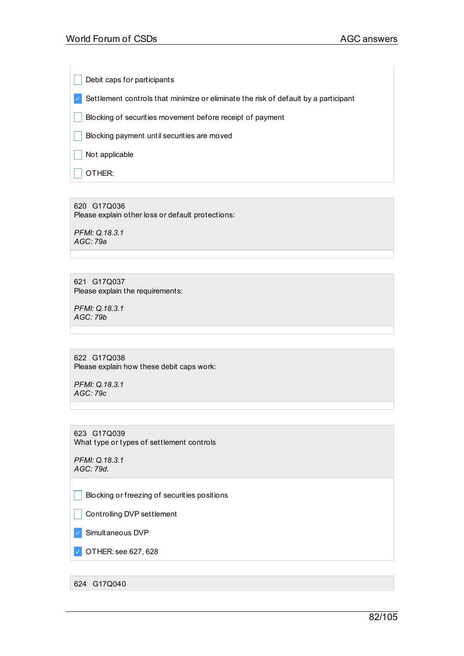Debit caps for participants

✓ Settlement controls that minimize or eliminate the risk of default by a participant

**Blocking of securities movement before receipt of payment** 

 $\Box$  Blocking payment until securities are moved

 $\Box$  Not applicable

 $\Box$  OTHER:

620 G17Q036 Please explain other loss or default protections:

*PFMI: Q.18.3.1 AGC: 79a*

621 G17Q037 Please explain the requirements:

*PFMI: Q.18.3.1 AGC: 79b*

622 G17Q038 Please explain how these debit caps work:

*PFMI: Q.18.3.1 AGC: 79c*

623 G17Q039 What type or types of settlement controls

*PFMI: Q.18.3.1 AGC: 79d.*

 $\Box$  Blocking or freezing of securities positions

**Controlling DVP settlement** 

✓ Simultaneous DVP

✓ OTHER: see 627, 628

624 G17Q040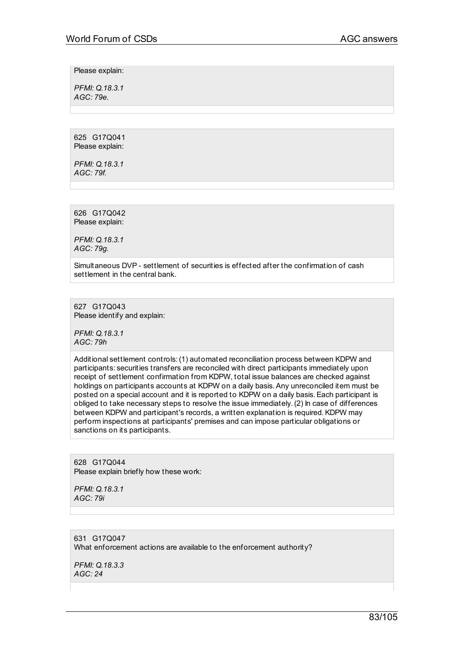Please explain:

*PFMI: Q.18.3.1 AGC: 79e.*

625 G17Q041 Please explain:

*PFMI: Q.18.3.1 AGC: 79f.*

626 G17Q042 Please explain:

*PFMI: Q.18.3.1 AGC: 79g.*

Simultaneous DVP - settlement of securities is effected after the confirmation of cash settlement in the central bank.

627 G17Q043 Please identify and explain:

*PFMI: Q.18.3.1 AGC: 79h*

Additional settlement controls:(1) automated reconciliation process between KDPW and participants: securities transfers are reconciled with direct participants immediately upon receipt of settlement confirmation from KDPW, total issue balances are checked against holdings on participants accounts at KDPW on a daily basis.Any unreconciled item must be posted on a special account and it is reported to KDPW on a daily basis.Each participant is obliged to take necessary steps to resolve the issue immediately.(2) In case of differences between KDPW and participant's records, a written explanation is required.KDPW may perform inspections at participants' premises and can impose particular obligations or sanctions on its participants.

628 G17Q044 Please explain briefly how these work:

*PFMI: Q.18.3.1 AGC: 79i*

631 G17Q047 What enforcement actions are available to the enforcement authority?

*PFMI: Q.18.3.3 AGC: 24*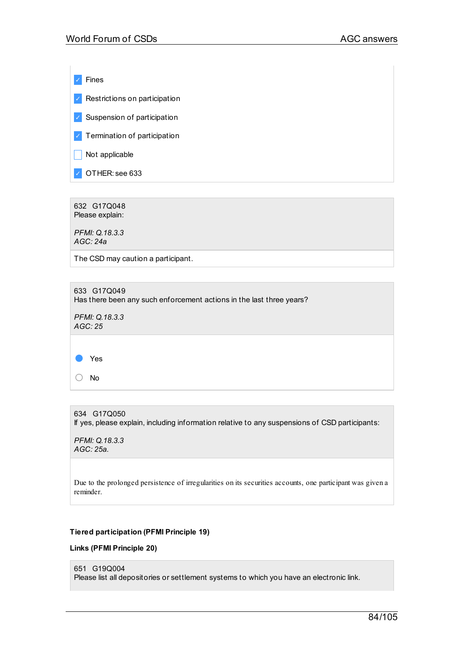✓ Fines  $\vee$  Restrictions on participation ✓ Suspension of participation ✓ Termination of participation  $\Box$  Not applicable ✓ OTHER: see 633

632 G17Q048 Please explain:

*PFMI: Q.18.3.3 AGC: 24a*

The CSD may caution a participant.

633 G17Q049 Has there been any such enforcement actions in the last three years?

*PFMI: Q.18.3.3 AGC: 25*



634 G17Q050 If yes, please explain, including information relative to any suspensions of CSD participants:

*PFMI: Q.18.3.3 AGC: 25a.*

Due to the prolonged persistence of irregularities on its securities accounts, one participant was given a reminder.

### **Tiered participation (PFMI Principle 19)**

#### **Links (PFMI Principle 20)**

```
651 G19Q004
```
Please list all depositories or settlement systems to which you have an electronic link.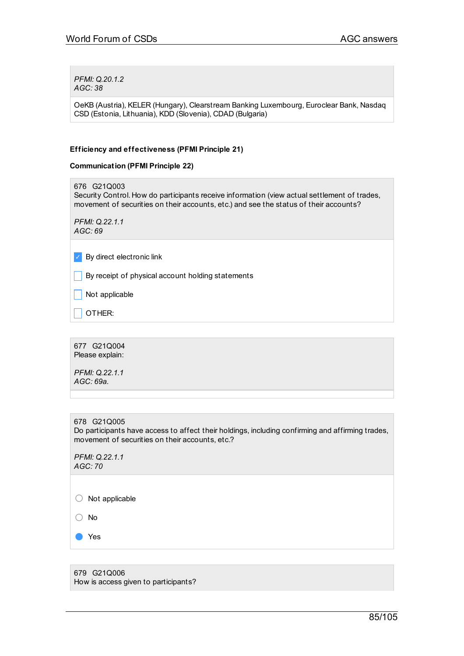*PFMI: Q.20.1.2 AGC: 38*

OeKB (Austria), KELER (Hungary), Clearstream Banking Luxembourg, Euroclear Bank, Nasdaq CSD (Estonia, Lithuania), KDD (Slovenia), CDAD (Bulgaria)

## **Efficiency and effectiveness (PFMI Principle 21)**

#### **Communication (PFMI Principle 22)**

676 G21Q003 Security Control. How do participants receive information (view actual settlement of trades, movement of securities on their accounts, etc.) and see the status of their accounts?

*PFMI: Q.22.1.1 AGC: 69*

✓ By direct electronic link

 $\vert \vert$  By receipt of physical account holding statements

 $\Box$  Not applicable

 $\overline{\phantom{a}}$  OTHER:

677 G21Q004 Please explain:

*PFMI: Q.22.1.1 AGC: 69a.*

678 G21Q005 Do participants have access to affect their holdings, including confirming and affirming trades, movement of securities on their accounts, etc.?

*PFMI: Q.22.1.1 AGC: 70*

○ Not applicable

○ No

● Yes

679 G21Q006 How is access given to participants?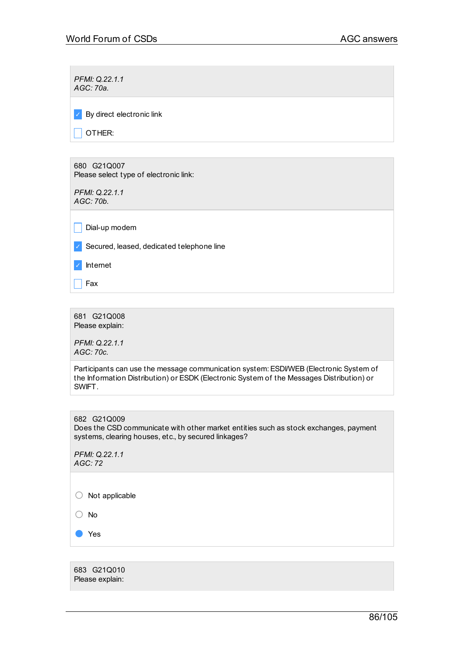$\sim$ 

| PFMI: Q.22.1.1<br>AGC: 70a.                           |
|-------------------------------------------------------|
| By direct electronic link<br>$\checkmark$             |
| OTHER:                                                |
|                                                       |
| 680 G21Q007<br>Please select type of electronic link: |
| PFMI: Q.22.1.1<br>AGC: 70b.                           |
| Dial-up modem                                         |

✓ Secured, leased, dedicated telephone line

✓ Internet

 $\Box$  Fax

681 G21Q008 Please explain:

*PFMI: Q.22.1.1 AGC: 70c.*

Participants can use the message communication system: ESDI/WEB (Electronic System of the Information Distribution) or ESDK (Electronic System of the Messages Distribution) or SWIFT.

| 682 G21Q009<br>Does the CSD communicate with other market entities such as stock exchanges, payment<br>systems, clearing houses, etc., by secured linkages? |
|-------------------------------------------------------------------------------------------------------------------------------------------------------------|
| PFMI: Q.22.1.1<br>AGC:72                                                                                                                                    |
|                                                                                                                                                             |

○ Not applicable

○ No

● Yes

683 G21Q010 Please explain: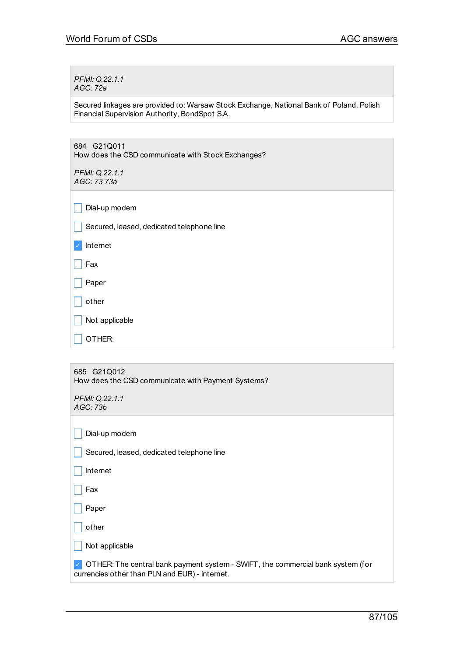*PFMI: Q.22.1.1 AGC: 72a*

Secured linkages are provided to: Warsaw Stock Exchange, National Bank of Poland, Polish Financial Supervision Authority, BondSpot S.A.

684 G21Q011 How does the CSD communicate with Stock Exchanges?

*PFMI: Q.22.1.1 AGC: 73 73a*

 $\vert \vert$  Dial-up modem

Secured, leased, dedicated telephone line

✓ Internet

 $\Box$  Fax

 $\Box$  Paper

 $\Box$  other

 $\Box$  Not applicable

 $\Box$  OTHER:

| 685 G21Q012<br>How does the CSD communicate with Payment Systems?                                                                 |
|-----------------------------------------------------------------------------------------------------------------------------------|
| PFMI: Q.22.1.1<br>AGC: 73b                                                                                                        |
|                                                                                                                                   |
| Dial-up modem                                                                                                                     |
| Secured, leased, dedicated telephone line                                                                                         |
|                                                                                                                                   |
| Internet                                                                                                                          |
| Fax                                                                                                                               |
|                                                                                                                                   |
| Paper                                                                                                                             |
| other                                                                                                                             |
| Not applicable                                                                                                                    |
| OTHER: The central bank payment system - SWIFT, the commercial bank system (for<br>currencies other than PLN and EUR) - internet. |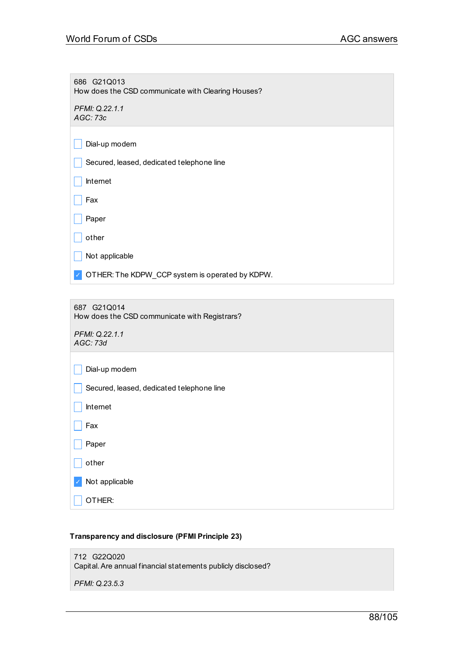686 G21Q013 How does the CSD communicate with Clearing Houses?

*PFMI: Q.22.1.1 AGC: 73c*

| Dial-up modem |  |
|---------------|--|
|---------------|--|

|  | Secured, leased, dedicated telephone line |
|--|-------------------------------------------|
|--|-------------------------------------------|

| Internet |
|----------|
|----------|

 $\Box$  Fax

 $\Box$  Paper

 $\Box$  other

 $\Box$  Not applicable

✓ OTHER: The KDPW\_CCP system is operated by KDPW.

687 G21Q014 How does the CSD communicate with Registrars?

*PFMI: Q.22.1.1 AGC: 73d*

| Dial-up modem                             |
|-------------------------------------------|
| Secured, leased, dedicated telephone line |
| Internet                                  |
| Fax                                       |
| Paper                                     |
| other                                     |
| Not applicable<br>$\checkmark$            |
| OTHER:                                    |
|                                           |

### **Transparency and disclosure (PFMI Principle 23)**

712 G22Q020 Capital.Are annual financial statements publicly disclosed?

*PFMI: Q.23.5.3*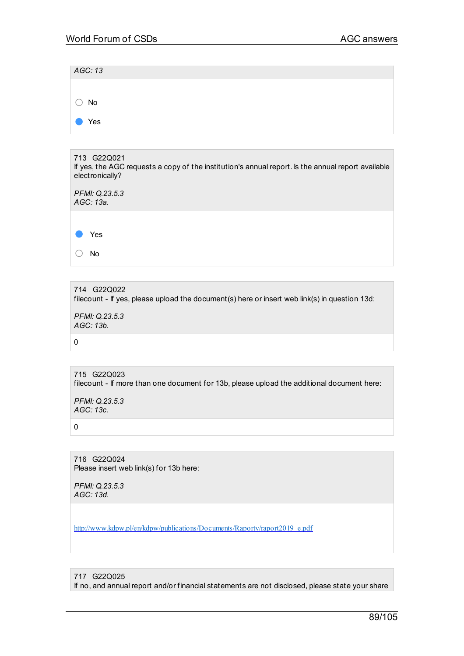| AGC: 13           |  |  |  |
|-------------------|--|--|--|
|                   |  |  |  |
| $\bigcirc$ No     |  |  |  |
| Yes<br>$\sqrt{2}$ |  |  |  |

| 713 G22Q021<br>If yes, the AGC requests a copy of the institution's annual report. Is the annual report available<br>electronically? |
|--------------------------------------------------------------------------------------------------------------------------------------|
| PFMI: Q.23.5.3<br>AGC: 13a.                                                                                                          |
|                                                                                                                                      |
| Yes                                                                                                                                  |
| No                                                                                                                                   |

714 G22Q022 filecount - If yes, please upload the document(s) here or insert web link(s) in question 13d: *PFMI: Q.23.5.3 AGC: 13b.*

```
715 G22Q023
filecount - If more than one document for 13b, please upload the additional document here:
```
*PFMI: Q.23.5.3 AGC: 13c.*

0

 $\Omega$ 

716 G22Q024 Please insert web link(s) for 13b here:

*PFMI: Q.23.5.3 AGC: 13d.*

[http://www.kdpw.pl/en/kdpw/publications/Documents/Raporty/raport2019\\_e.pdf](http://www.kdpw.pl/en/kdpw/publications/Documents/Raporty/raport2019_e.pdf)

717 G22Q025

If no, and annual report and/or financial statements are not disclosed, please state your share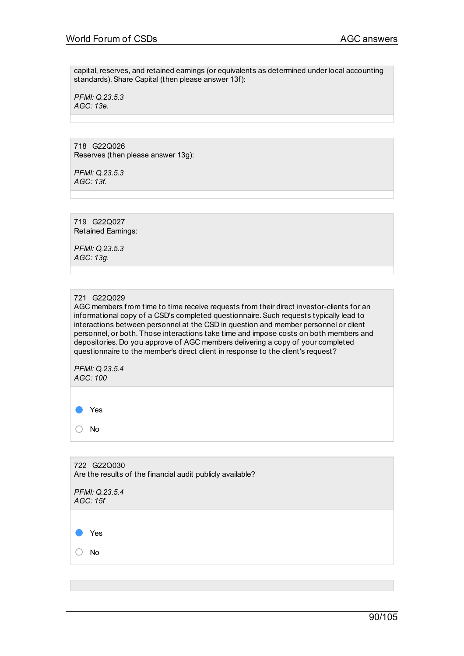capital, reserves, and retained earnings (or equivalents as determined under local accounting standards).Share Capital (then please answer 13f):

*PFMI: Q.23.5.3 AGC: 13e.*

718 G22Q026 Reserves (then please answer 13g):

*PFMI: Q.23.5.3 AGC: 13f.*

719 G22Q027 Retained Earnings:

*PFMI: Q.23.5.3 AGC: 13g.*

### 721 G22Q029

AGC members from time to time receive requests from their direct investor-clients for an informational copy of a CSD's completed questionnaire. Such requests typically lead to interactions between personnel at the CSD in question and member personnel or client personnel, or both. Those interactions take time and impose costs on both members and depositories. Do you approve of AGC members delivering a copy of your completed questionnaire to the member's direct client in response to the client's request?

*PFMI: Q.23.5.4 AGC: 100*

● Yes

○ No

722 G22Q030 Are the results of the financial audit publicly available? *PFMI: Q.23.5.4 AGC: 15f* ● Yes ○ No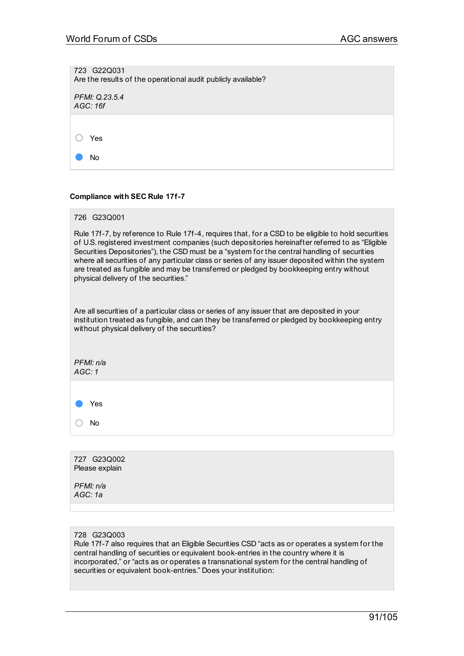| 723 G22Q031<br>Are the results of the operational audit publicly available? |
|-----------------------------------------------------------------------------|
| PFMI: Q.23.5.4<br>AGC: 16f                                                  |
|                                                                             |
| Yes                                                                         |
| No                                                                          |

#### **Compliance with SEC Rule 17f-7**

| 726 G23Q001                                                                                                                                                                                                                                                                                                                                                                                                                                                                                                                                 |
|---------------------------------------------------------------------------------------------------------------------------------------------------------------------------------------------------------------------------------------------------------------------------------------------------------------------------------------------------------------------------------------------------------------------------------------------------------------------------------------------------------------------------------------------|
| Rule 17f-7, by reference to Rule 17f-4, requires that, for a CSD to be eligible to hold securities<br>of U.S. registered investment companies (such depositories hereinafter referred to as "Eligible<br>Securities Depositories"), the CSD must be a "system for the central handling of securities<br>where all securities of any particular class or series of any issuer deposited within the system<br>are treated as fungible and may be transferred or pledged by bookkeeping entry without<br>physical delivery of the securities." |
| Are all securities of a particular class or series of any issuer that are deposited in your<br>institution treated as fungible, and can they be transferred or pledged by bookkeeping entry<br>without physical delivery of the securities?                                                                                                                                                                                                                                                                                                 |
| PFMI: n/a<br>AGC:1                                                                                                                                                                                                                                                                                                                                                                                                                                                                                                                          |
|                                                                                                                                                                                                                                                                                                                                                                                                                                                                                                                                             |
| Yes                                                                                                                                                                                                                                                                                                                                                                                                                                                                                                                                         |
| No                                                                                                                                                                                                                                                                                                                                                                                                                                                                                                                                          |
|                                                                                                                                                                                                                                                                                                                                                                                                                                                                                                                                             |
| 727 G23Q002<br>Please explain                                                                                                                                                                                                                                                                                                                                                                                                                                                                                                               |

*PFMI: n/a AGC: 1a*

728 G23Q003

Rule 17f-7 also requires that an Eligible Securities CSD "acts as or operates a system for the central handling of securities or equivalent book-entries in the country where it is incorporated," or "acts as or operates a transnational system for the central handling of securities or equivalent book-entries." Does your institution: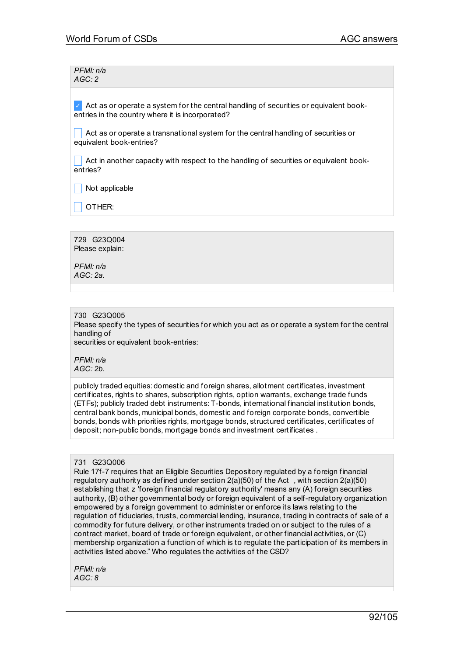*PFMI: n/a AGC: 2*

 $\vee$  Act as or operate a system for the central handling of securities or equivalent bookentries in the country where it is incorporated?

\_ Act as or operate a transnational system for the central handling of securities or equivalent book-entries?

Act in another capacity with respect to the handling of securities or equivalent bookentries?

 $\Box$  Not applicable

\_ OTHER:

729 G23Q004 Please explain:

*PFMI: n/a AGC: 2a.*

### 730 G23Q005

Please specify the types of securities for which you act as or operate a system for the central handling of

securities or equivalent book-entries:

*PFMI: n/a AGC: 2b.*

publicly traded equities: domestic and foreign shares, allotment certificates, investment certificates, rights to shares, subscription rights, option warrants, exchange trade funds (ETFs); publicly traded debt instruments: T-bonds, international financial institution bonds, central bank bonds, municipal bonds, domestic and foreign corporate bonds, convertible bonds, bonds with priorities rights, mortgage bonds, structured certificates, certificates of deposit; non-public bonds, mortgage bonds and investment certificates .

#### 731 G23Q006

Rule 17f-7 requires that an Eligible Securities Depository regulated by a foreign financial regulatory authority as defined under section 2(a)(50) of the Act , with section 2(a)(50) establishing that z 'foreign financial regulatory authority' means any (A) foreign securities authority, (B) other governmental body or foreign equivalent of a self-regulatory organization empowered by a foreign government to administer or enforce its laws relating to the regulation of fiduciaries, trusts, commercial lending, insurance, trading in contracts of sale of a commodity for future delivery, or other instruments traded on or subject to the rules of a contract market, board of trade or foreign equivalent, or other financial activities, or (C) membership organization a function of which is to regulate the participation of its members in activities listed above." Who regulates the activities of the CSD?

*PFMI: n/a AGC: 8*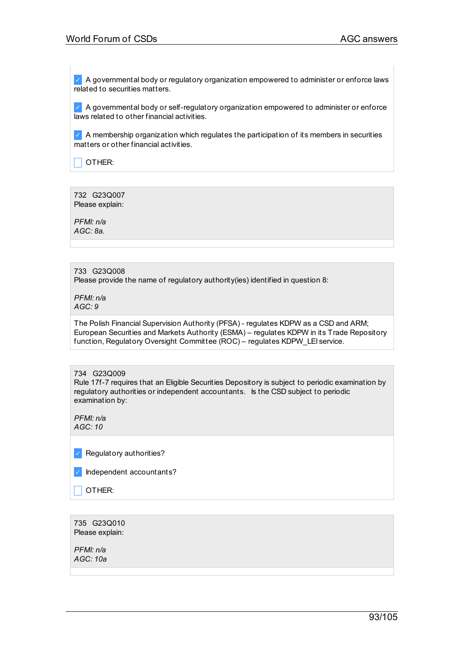✓ A governmental body or regulatory organization empowered to administer or enforce laws related to securities matters.

 $\vee$  A governmental body or self-regulatory organization empowered to administer or enforce laws related to other financial activities.

 $\vee$  A membership organization which regulates the participation of its members in securities matters or other financial activities.

 $\Box$  OTHER:

732 G23Q007 Please explain:

*PFMI: n/a AGC: 8a.*

## 733 G23Q008

Please provide the name of regulatory authority(ies) identified in question 8:

*PFMI: n/a AGC: 9*

The Polish Financial Supervision Authority (PFSA) - regulates KDPW as a CSD and ARM; European Securities and Markets Authority (ESMA) – regulates KDPW in its Trade Repository function, Regulatory Oversight Committee (ROC) – regulates KDPW\_LEI service.

#### 734 G23Q009

Rule 17f-7 requires that an Eligible Securities Depository is subject to periodic examination by regulatory authorities or independent accountants. Is the CSD subject to periodic examination by:

*PFMI: n/a AGC: 10*

✓ Regulatory authorities?

| Independent accountants? |
|--------------------------|
|--------------------------|

 $\Box$  OTHER:

735 G23Q010 Please explain:

*PFMI: n/a AGC: 10a*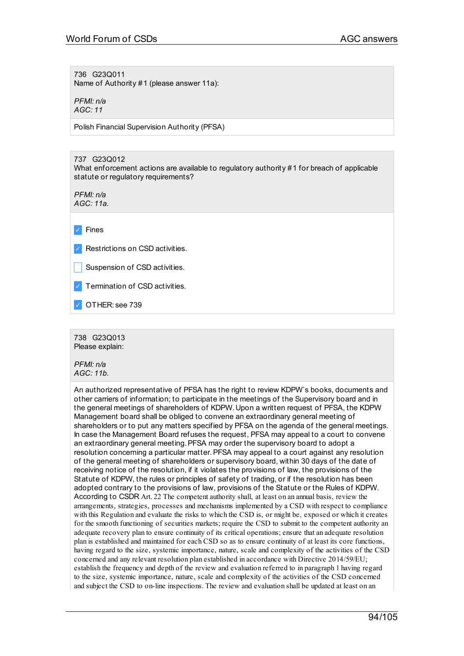736 G23Q011

Name of Authority #1 (please answer 11a):

*PFMI: n/a AGC: 11*

Polish Financial Supervision Authority (PFSA)

737 G23Q012

What enforcement actions are available to regulatory authority #1 for breach of applicable statute or regulatory requirements?

*PFMI: n/a AGC: 11a.*

✓ Fines

✓ Restrictions on CSD activities.

Suspension of CSD activities.

✓ Termination of CSD activities.

OTHER: see 739

738 G23Q013 Please explain:

*PFMI: n/a AGC: 11b.*

An authorized representative of PFSA has the right to review KDPW`s books, documents and other carriers of information; to participate in the meetings of the Supervisory board and in the general meetings of shareholders of KDPW. Upon a written request of PFSA, the KDPW Management board shall be obliged to convene an extraordinary general meeting of shareholders or to put any matters specified by PFSA on the agenda of the general meetings. In case the Management Board refuses the request, PFSA may appeal to a court to convene an extraordinary general meeting. PFSA may order the supervisory board to adopt a resolution concerning a particular matter.PFSA may appeal to a court against any resolution of the general meeting of shareholders or supervisory board, within 30 days of the date of receiving notice of the resolution, if it violates the provisions of law, the provisions of the Statute of KDPW, the rules or principles of safety of trading, or if the resolution has been adopted contrary to the provisions of law, provisions of the Statute or the Rules of KDPW. According to CSDR Art. 22 The competent authority shall, at least on an annual basis, review the arrangements, strategies, processes and mechanisms implemented by a CSD with respect to compliance with this Regulation and evaluate the risks to which the CSD is, or might be, exposed or which it creates for the smooth functioning of securities markets; require the CSD to submit to the competent authority an adequate recovery plan to ensure continuity of its critical operations; ensure that an adequate resolution plan is established and maintained for each CSD so as to ensure continuity of at least its core functions, having regard to the size, systemic importance, nature, scale and complexity of the activities of the CSD concerned and any relevant resolution plan established in accordance with Directive 2014/59/EU; establish the frequency and depth of the review and evaluation referred to in paragraph 1 having regard to the size, systemic importance, nature, scale and complexity of the activities of the CSD concerned and subject the CSD to on-line inspections. The review and evaluation shall be updated at least on an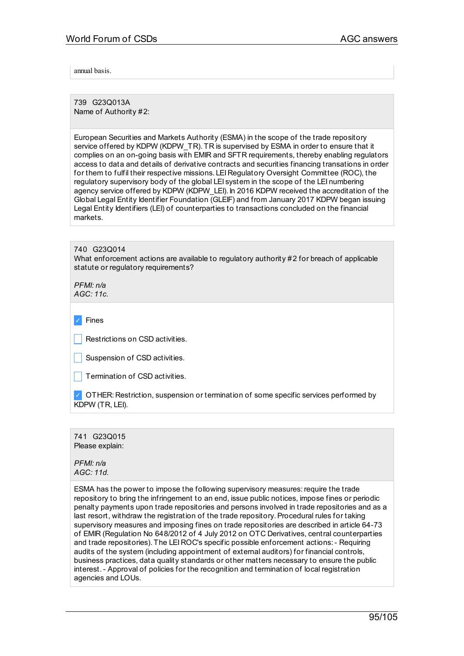annual basis.

739 G23Q013A Name of Authority #2:

European Securities and Markets Authority (ESMA) in the scope of the trade repository service offered by KDPW (KDPW\_TR). TR is supervised by ESMA in order to ensure that it complies on an on-going basis with EMIR and SFTR requirements, thereby enabling regulators access to data and details of derivative contracts and securities financing transations in order for them to fulfil their respective missions. LEI Regulatory Oversight Committee (ROC), the regulatory supervisory body of the global LEI system in the scope of the LEI numbering agency service offered by KDPW (KDPW\_LEI). In 2016 KDPW received the accreditation of the Global Legal Entity Identifier Foundation (GLEIF) and from January 2017 KDPW began issuing Legal Entity Identifiers (LEI) of counterparties to transactions concluded on the financial markets.

740 G23Q014 What enforcement actions are available to regulatory authority #2 for breach of applicable statute or regulatory requirements?

*PFMI: n/a AGC: 11c.*

✓ Fines Restrictions on CSD activities. Suspension of CSD activities. Termination of CSD activities. ✓ OTHER: Restriction, suspension or termination of some specific services performed by KDPW (TR, LEI).

741 G23Q015 Please explain:

*PFMI: n/a AGC: 11d.*

ESMA has the power to impose the following supervisory measures: require the trade repository to bring the infringement to an end, issue public notices, impose fines or periodic penalty payments upon trade repositories and persons involved in trade repositories and as a last resort, withdraw the registration of the trade repository. Procedural rules for taking supervisory measures and imposing fines on trade repositories are described in article 64-73 of EMIR (Regulation No 648/2012 of 4 July 2012 on OTC Derivatives, central counterparties and trade repositories). The LEI ROC's specific possible enforcement actions:- Requiring audits of the system (including appointment of external auditors) for financial controls, business practices, data quality standards or other matters necessary to ensure the public interest.- Approval of policies for the recognition and termination of local registration agencies and LOUs.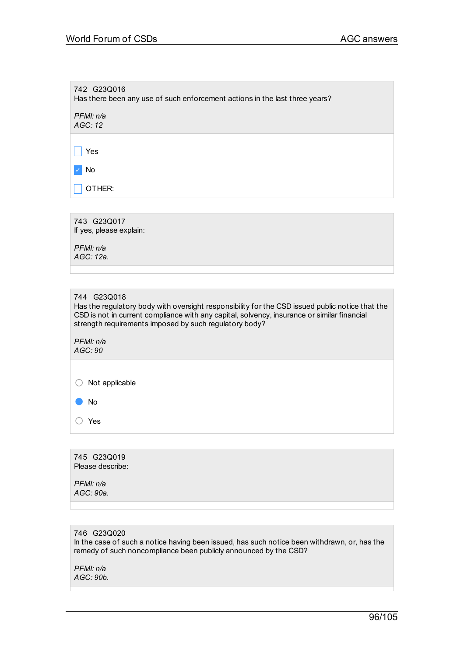| 742 G23Q016<br>Has there been any use of such enforcement actions in the last three years?                                                                                                                                                                                           |
|--------------------------------------------------------------------------------------------------------------------------------------------------------------------------------------------------------------------------------------------------------------------------------------|
| PFMI: n/a<br>AGC: 12                                                                                                                                                                                                                                                                 |
| Yes                                                                                                                                                                                                                                                                                  |
| No                                                                                                                                                                                                                                                                                   |
| OTHER:                                                                                                                                                                                                                                                                               |
|                                                                                                                                                                                                                                                                                      |
| 743 G23Q017<br>If yes, please explain:                                                                                                                                                                                                                                               |
| PFMI: n/a<br>AGC: 12a.                                                                                                                                                                                                                                                               |
|                                                                                                                                                                                                                                                                                      |
| 744 G23Q018<br>Has the regulatory body with oversight responsibility for the CSD issued public notice that the<br>CSD is not in current compliance with any capital, solvency, insurance or similar financial<br>strength requirements imposed by such regulatory body?<br>PFMI: n/a |
| AGC: 90                                                                                                                                                                                                                                                                              |
| Not applicable<br><b>No</b>                                                                                                                                                                                                                                                          |
| Yes                                                                                                                                                                                                                                                                                  |
|                                                                                                                                                                                                                                                                                      |
| 745 G23Q019<br>Please describe:                                                                                                                                                                                                                                                      |
| PFMI: n/a<br>AGC: 90a.                                                                                                                                                                                                                                                               |

746 G23Q020 In the case of such a notice having been issued, has such notice been withdrawn, or, has the remedy of such noncompliance been publicly announced by the CSD?

*PFMI: n/a AGC: 90b.*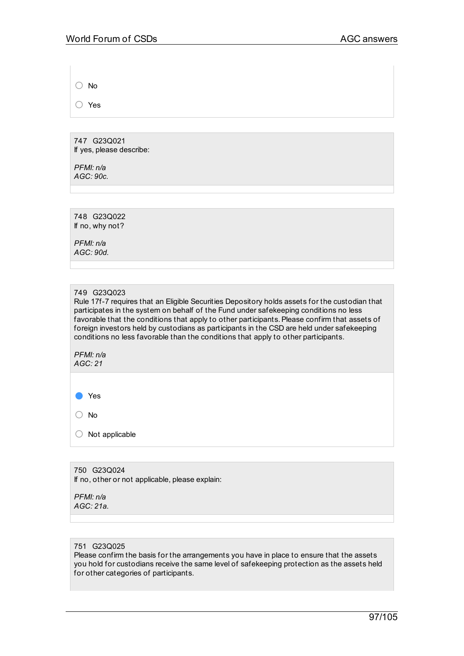○ No

○ Yes

747 G23Q021 If yes, please describe:

*PFMI: n/a AGC: 90c.*

748 G23Q022 If no, why not?

*PFMI: n/a AGC: 90d.*

### 749 G23Q023

Rule 17f-7 requires that an Eligible Securities Depository holds assets for the custodian that participates in the system on behalf of the Fund under safekeeping conditions no less favorable that the conditions that apply to other participants. Please confirm that assets of foreign investors held by custodians as participants in the CSD are held under safekeeping conditions no less favorable than the conditions that apply to other participants.

*PFMI: n/a AGC: 21*

● Yes

○ No

 $\bigcirc$  Not applicable

750 G23Q024 If no, other or not applicable, please explain:

#### *PFMI: n/a AGC: 21a.*

#### 751 G23Q025

Please confirm the basis for the arrangements you have in place to ensure that the assets you hold for custodians receive the same level of safekeeping protection as the assets held for other categories of participants.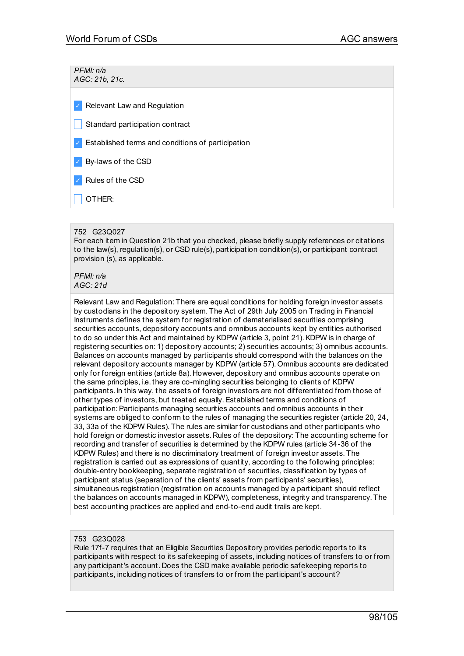*PFMI: n/a AGC: 21b, 21c.*

✓ Relevant Law and Regulation

Standard participation contract

✓ Established terms and conditions of participation

✓ By-laws of the CSD

✓ Rules of the CSD

\_ OTHER:

### 752 G23Q027

For each item in Question 21b that you checked, please briefly supply references or citations to the law(s), regulation(s), or CSD rule(s), participation condition(s), or participant contract provision (s), as applicable.

*PFMI: n/a AGC: 21d*

Relevant Law and Regulation: There are equal conditions for holding foreign investor assets by custodians in the depository system. The Act of 29th July 2005 on Trading in Financial Instruments defines the system for registration of dematerialised securities comprising securities accounts, depository accounts and omnibus accounts kept by entities authorised to do so under this Act and maintained by KDPW (article 3, point 21).KDPW is in charge of registering securities on: 1) depository accounts; 2) securities accounts; 3) omnibus accounts. Balances on accounts managed by participants should correspond with the balances on the relevant depository accounts manager by KDPW (article 57). Omnibus accounts are dedicated only for foreign entities (article 8a). However, depository and omnibus accounts operate on the same principles, i.e. they are co-mingling securities belonging to clients of KDPW participants. In this way, the assets of foreign investors are not differentiated from those of other types of investors, but treated equally.Established terms and conditions of participation:Participants managing securities accounts and omnibus accounts in their systems are obliged to conform to the rules of managing the securities register (article 20, 24, 33, 33a of the KDPW Rules). The rules are similar for custodians and other participants who hold foreign or domestic investor assets. Rules of the depository: The accounting scheme for recording and transfer of securities is determined by the KDPW rules (article 34-36 of the KDPW Rules) and there is no discriminatory treatment of foreign investor assets. The registration is carried out as expressions of quantity, according to the following principles: double-entry bookkeeping, separate registration of securities, classification by types of participant status (separation of the clients' assets from participants' securities), simultaneous registration (registration on accounts managed by a participant should reflect the balances on accounts managed in KDPW), completeness, integrity and transparency. The best accounting practices are applied and end-to-end audit trails are kept.

## 753 G23Q028

Rule 17f-7 requires that an Eligible Securities Depository provides periodic reports to its participants with respect to its safekeeping of assets, including notices of transfers to or from any participant's account. Does the CSD make available periodic safekeeping reports to participants, including notices of transfers to or from the participant's account?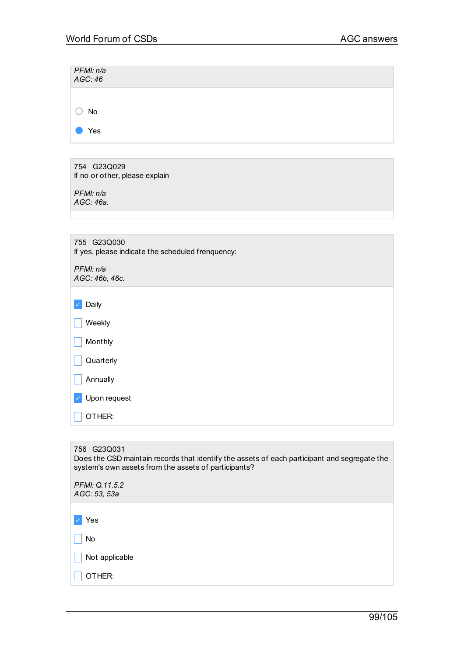| PFMI: n/a<br>AGC:46                                                                                                                                                 |
|---------------------------------------------------------------------------------------------------------------------------------------------------------------------|
|                                                                                                                                                                     |
| No                                                                                                                                                                  |
| Yes                                                                                                                                                                 |
|                                                                                                                                                                     |
| 754 G23Q029<br>If no or other, please explain                                                                                                                       |
| PFMI: n/a<br>AGC: 46a.                                                                                                                                              |
|                                                                                                                                                                     |
|                                                                                                                                                                     |
| 755 G23Q030<br>If yes, please indicate the scheduled frenquency:                                                                                                    |
| PFMI: n/a<br>AGC: 46b, 46c.                                                                                                                                         |
| Daily                                                                                                                                                               |
| Weekly                                                                                                                                                              |
| Monthly                                                                                                                                                             |
| Quarterly                                                                                                                                                           |
| Annually                                                                                                                                                            |
| Upon request                                                                                                                                                        |
| OTHER:                                                                                                                                                              |
|                                                                                                                                                                     |
| 756 G23Q031<br>Does the CSD maintain records that identify the assets of each participant and segregate the<br>system's own assets from the assets of participants? |

| PFMI: Q.11.5.2<br>AGC: 53, 53a |  |
|--------------------------------|--|
|                                |  |
| Yes                            |  |
| No                             |  |
| Not applicable                 |  |
| OTHER:                         |  |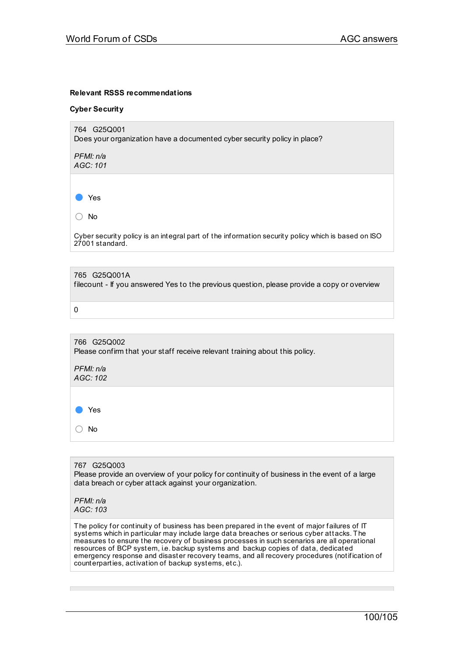### **Relevant RSSS recommendations**

#### **Cyber Security**

764 G25Q001 Does your organization have a documented cyber security policy in place?

*PFMI: n/a AGC: 101*

● Yes

○ No

Cyber security policy is an integral part of the information security policy which is based on ISO 27001 standard.

765 G25Q001A filecount - If you answered Yes to the previous question, please provide a copy or overview

0

766 G25Q002 Please confirm that your staff receive relevant training about this policy.

*PFMI: n/a AGC: 102*

● Yes

○ No

767 G25Q003 Please provide an overview of your policy for continuity of business in the event of a large data breach or cyber attack against your organization.

*PFMI: n/a AGC: 103*

The policy for continuity of business has been prepared in the event of major failures of IT systems which in particular may include large data breaches or serious cyber attacks. The measures to ensure the recovery of business processes in such scenarios are all operational resources of BCP system, i.e. backup systems and backup copies of data, dedicated emergency response and disaster recovery teams, and all recovery procedures (notification of counterparties, activation of backup systems, etc.).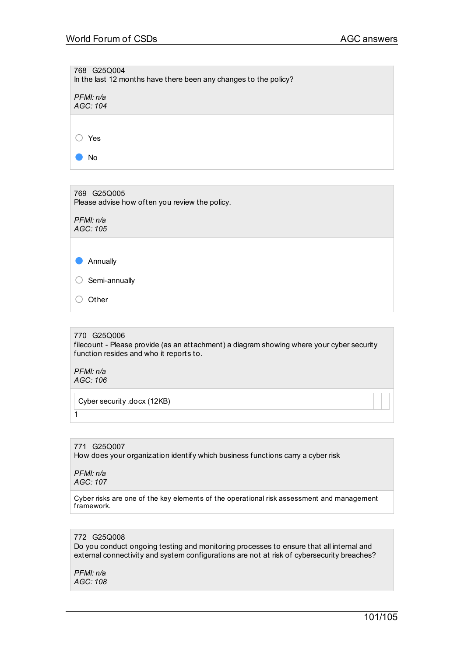| 768 G25Q004<br>In the last 12 months have there been any changes to the policy? |
|---------------------------------------------------------------------------------|
| PFMI: n/a<br>AGC: 104                                                           |
|                                                                                 |
| Yes                                                                             |
| No                                                                              |
|                                                                                 |
| 769 G25Q005<br>Please advise how often you review the policy.                   |

*PFMI: n/a AGC: 105*

● Annually

○ Semi-annually

○ Other

## 770 G25Q006

filecount - Please provide (as an attachment) a diagram showing where your cyber security function resides and who it reports to.

*PFMI: n/a AGC: 106*

 $\overline{1}$ 

Cyber security .docx (12KB)

771 G25Q007 How does your organization identify which business functions carry a cyber risk

*PFMI: n/a AGC: 107*

Cyber risks are one of the key elements of the operational risk assessment and management framework.

## 772 G25Q008

Do you conduct ongoing testing and monitoring processes to ensure that all internal and external connectivity and system configurations are not at risk of cybersecurity breaches?

*PFMI: n/a AGC: 108*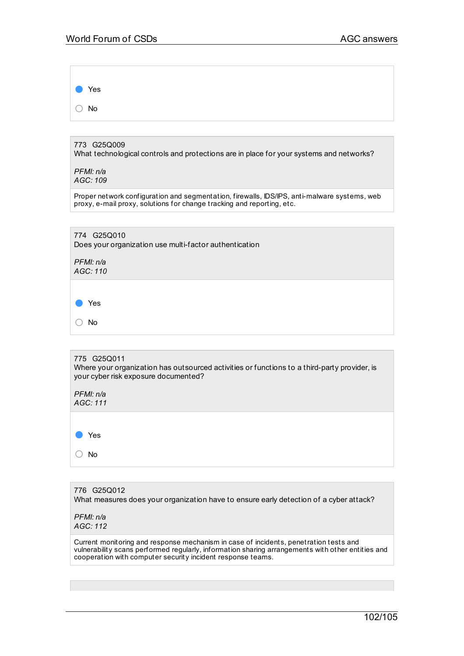Yes ○ No

773 G25Q009 What technological controls and protections are in place for your systems and networks?

*PFMI: n/a AGC: 109*

Proper network configuration and segmentation, firewalls, IDS/IPS, anti-malware systems, web proxy, e-mail proxy, solutions for change tracking and reporting, etc.

| 774 G25Q010<br>Does your organization use multi-factor authentication |
|-----------------------------------------------------------------------|
| PFMI: n/a<br>AGC: 110                                                 |
|                                                                       |
| Yes                                                                   |
| <b>No</b>                                                             |

## 775 G25Q011 Where your organization has outsourced activities or functions to a third-party provider, is your cyber risk exposure documented?

*PFMI: n/a AGC: 111*



776 G25Q012 What measures does your organization have to ensure early detection of a cyber attack?

*PFMI: n/a AGC: 112*

Current monitoring and response mechanism in case of incidents, penetration tests and vulnerability scans performed regularly, information sharing arrangements with other entities and cooperation with computer securit y incident response teams.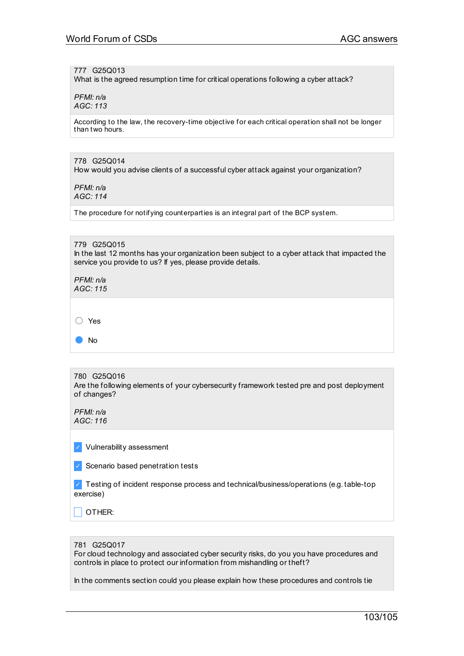### 777 G25Q013

What is the agreed resumption time for critical operations following a cyber attack?

*PFMI: n/a AGC: 113*

According to the law, the recovery-time objective for each critical operation shall not be longer than two hours.

### 778 G25Q014

How would you advise clients of a successful cyber attack against your organization?

*PFMI: n/a AGC: 114*

The procedure for notifying counterparties is an integral part of the BCP system.

#### 779 G25Q015

In the last 12 months has your organization been subject to a cyber attack that impacted the service you provide to us? If yes, please provide details.

*PFMI: n/a AGC: 115*

○ Yes

● No

#### 780 G25Q016

Are the following elements of your cybersecurity framework tested pre and post deployment of changes?

*PFMI: n/a AGC: 116*

✓ Vulnerability assessment

✓ Scenario based penetration tests

✓ Testing of incident response process and technical/business/operations (e.g. table-top exercise)

\_ OTHER:

#### 781 G25Q017

For cloud technology and associated cyber security risks, do you you have procedures and controls in place to protect our information from mishandling or theft?

In the comments section could you please explain how these procedures and controls tie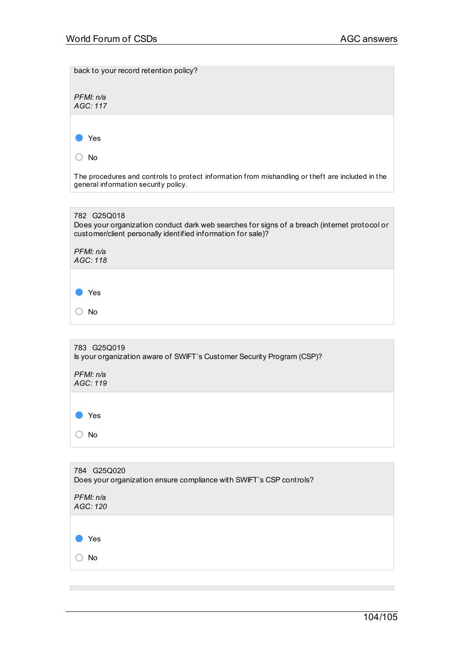**Contract Contract** 

| back to your record retention policy?                                                                                                                                                                |
|------------------------------------------------------------------------------------------------------------------------------------------------------------------------------------------------------|
| PFMI: n/a<br>AGC: 117                                                                                                                                                                                |
| Yes                                                                                                                                                                                                  |
| No<br>The procedures and controls to protect information from mishandling or theft are included in the<br>general information security policy.                                                       |
|                                                                                                                                                                                                      |
| 782 G25Q018<br>Does your organization conduct dark web searches for signs of a breach (internet protocol or<br>customer/client personally identified information for sale)?<br>PFMI: n/a<br>AGC: 118 |
|                                                                                                                                                                                                      |
| Yes                                                                                                                                                                                                  |
| <b>No</b>                                                                                                                                                                                            |
|                                                                                                                                                                                                      |
| 783 G25Q019<br>Is your organization aware of SWIFT's Customer Security Program (CSP)?                                                                                                                |
| PFMI: n/a<br>AGC: 119                                                                                                                                                                                |
| Yes                                                                                                                                                                                                  |
| No                                                                                                                                                                                                   |
|                                                                                                                                                                                                      |
| 784 G25Q020<br>Does your organization ensure compliance with SWIFT's CSP controls?                                                                                                                   |
| PFMI: n/a<br>AGC: 120                                                                                                                                                                                |
|                                                                                                                                                                                                      |
| Yes                                                                                                                                                                                                  |
| No                                                                                                                                                                                                   |

and the control of the control of the